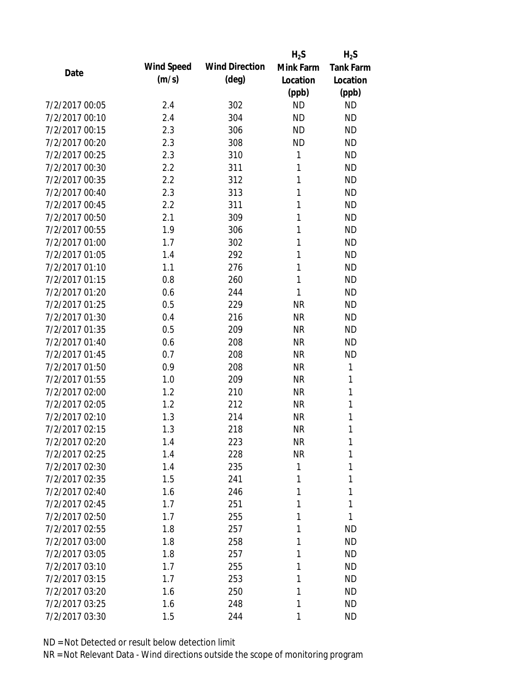|                |                   |                       | $H_2S$    | $H_2S$           |
|----------------|-------------------|-----------------------|-----------|------------------|
| Date           | <b>Wind Speed</b> | <b>Wind Direction</b> | Mink Farm | <b>Tank Farm</b> |
|                | (m/s)             | $(\text{deg})$        | Location  | Location         |
|                |                   |                       | (ppb)     | (ppb)            |
| 7/2/2017 00:05 | 2.4               | 302                   | <b>ND</b> | <b>ND</b>        |
| 7/2/2017 00:10 | 2.4               | 304                   | <b>ND</b> | <b>ND</b>        |
| 7/2/2017 00:15 | 2.3               | 306                   | <b>ND</b> | <b>ND</b>        |
| 7/2/2017 00:20 | 2.3               | 308                   | <b>ND</b> | <b>ND</b>        |
| 7/2/2017 00:25 | 2.3               | 310                   | 1         | <b>ND</b>        |
| 7/2/2017 00:30 | 2.2               | 311                   | 1         | <b>ND</b>        |
| 7/2/2017 00:35 | 2.2               | 312                   | 1         | <b>ND</b>        |
| 7/2/2017 00:40 | 2.3               | 313                   | 1         | <b>ND</b>        |
| 7/2/2017 00:45 | 2.2               | 311                   | 1         | <b>ND</b>        |
| 7/2/2017 00:50 | 2.1               | 309                   | 1         | <b>ND</b>        |
| 7/2/2017 00:55 | 1.9               | 306                   | 1         | <b>ND</b>        |
| 7/2/2017 01:00 | 1.7               | 302                   | 1         | <b>ND</b>        |
| 7/2/2017 01:05 | 1.4               | 292                   | 1         | <b>ND</b>        |
| 7/2/2017 01:10 | 1.1               | 276                   | 1         | <b>ND</b>        |
| 7/2/2017 01:15 | 0.8               | 260                   | 1         | <b>ND</b>        |
| 7/2/2017 01:20 | 0.6               | 244                   | 1         | <b>ND</b>        |
| 7/2/2017 01:25 | 0.5               | 229                   | <b>NR</b> | <b>ND</b>        |
| 7/2/2017 01:30 | 0.4               | 216                   | <b>NR</b> | <b>ND</b>        |
| 7/2/2017 01:35 | 0.5               | 209                   | <b>NR</b> | <b>ND</b>        |
| 7/2/2017 01:40 | 0.6               | 208                   | <b>NR</b> | <b>ND</b>        |
| 7/2/2017 01:45 | 0.7               | 208                   | <b>NR</b> | <b>ND</b>        |
| 7/2/2017 01:50 | 0.9               | 208                   | <b>NR</b> | 1                |
| 7/2/2017 01:55 | 1.0               | 209                   | <b>NR</b> | 1                |
| 7/2/2017 02:00 | 1.2               | 210                   | <b>NR</b> | 1                |
| 7/2/2017 02:05 | 1.2               | 212                   | <b>NR</b> | 1                |
| 7/2/2017 02:10 | 1.3               | 214                   | <b>NR</b> | 1                |
| 7/2/2017 02:15 | 1.3               | 218                   | <b>NR</b> | 1                |
| 7/2/2017 02:20 | 1.4               | 223                   | <b>NR</b> | 1                |
| 7/2/2017 02:25 | 1.4               | 228                   | <b>NR</b> | 1                |
| 7/2/2017 02:30 | 1.4               | 235                   | 1         | 1                |
| 7/2/2017 02:35 | 1.5               | 241                   | 1         | 1                |
| 7/2/2017 02:40 | 1.6               | 246                   | 1         | 1                |
| 7/2/2017 02:45 | 1.7               | 251                   | 1         | 1                |
| 7/2/2017 02:50 | 1.7               | 255                   | 1         | 1                |
| 7/2/2017 02:55 | 1.8               | 257                   | 1         | <b>ND</b>        |
| 7/2/2017 03:00 | 1.8               | 258                   | 1         | <b>ND</b>        |
| 7/2/2017 03:05 | 1.8               | 257                   | 1         | <b>ND</b>        |
| 7/2/2017 03:10 | 1.7               | 255                   | 1         | <b>ND</b>        |
| 7/2/2017 03:15 | 1.7               | 253                   | 1         | <b>ND</b>        |
| 7/2/2017 03:20 | 1.6               | 250                   | 1         | <b>ND</b>        |
| 7/2/2017 03:25 | 1.6               | 248                   | 1         | <b>ND</b>        |
| 7/2/2017 03:30 | 1.5               | 244                   | 1         | <b>ND</b>        |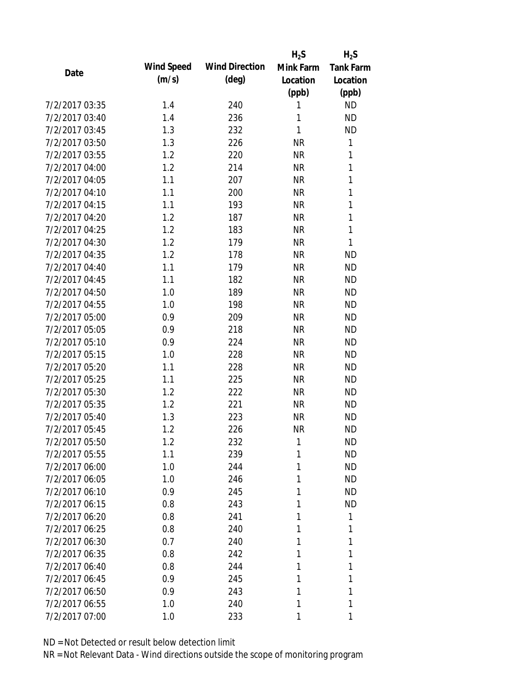|                |            |                       | $H_2S$    | $H_2S$           |
|----------------|------------|-----------------------|-----------|------------------|
| Date           | Wind Speed | <b>Wind Direction</b> | Mink Farm | <b>Tank Farm</b> |
|                | (m/s)      | $(\text{deg})$        | Location  | Location         |
|                |            |                       | (ppb)     | (ppb)            |
| 7/2/2017 03:35 | 1.4        | 240                   | 1         | <b>ND</b>        |
| 7/2/2017 03:40 | 1.4        | 236                   | 1         | <b>ND</b>        |
| 7/2/2017 03:45 | 1.3        | 232                   | 1         | <b>ND</b>        |
| 7/2/2017 03:50 | 1.3        | 226                   | <b>NR</b> | $\mathbf 1$      |
| 7/2/2017 03:55 | 1.2        | 220                   | <b>NR</b> | 1                |
| 7/2/2017 04:00 | 1.2        | 214                   | <b>NR</b> | 1                |
| 7/2/2017 04:05 | 1.1        | 207                   | <b>NR</b> | 1                |
| 7/2/2017 04:10 | 1.1        | 200                   | <b>NR</b> | 1                |
| 7/2/2017 04:15 | 1.1        | 193                   | <b>NR</b> | 1                |
| 7/2/2017 04:20 | 1.2        | 187                   | <b>NR</b> | 1                |
| 7/2/2017 04:25 | 1.2        | 183                   | <b>NR</b> | 1                |
| 7/2/2017 04:30 | 1.2        | 179                   | <b>NR</b> | 1                |
| 7/2/2017 04:35 | 1.2        | 178                   | <b>NR</b> | <b>ND</b>        |
| 7/2/2017 04:40 | 1.1        | 179                   | <b>NR</b> | <b>ND</b>        |
| 7/2/2017 04:45 | 1.1        | 182                   | <b>NR</b> | <b>ND</b>        |
| 7/2/2017 04:50 | 1.0        | 189                   | <b>NR</b> | <b>ND</b>        |
| 7/2/2017 04:55 | 1.0        | 198                   | <b>NR</b> | <b>ND</b>        |
| 7/2/2017 05:00 | 0.9        | 209                   | <b>NR</b> | <b>ND</b>        |
| 7/2/2017 05:05 | 0.9        | 218                   | <b>NR</b> | <b>ND</b>        |
| 7/2/2017 05:10 | 0.9        | 224                   | <b>NR</b> | <b>ND</b>        |
| 7/2/2017 05:15 | 1.0        | 228                   | <b>NR</b> | <b>ND</b>        |
| 7/2/2017 05:20 | 1.1        | 228                   | <b>NR</b> | <b>ND</b>        |
| 7/2/2017 05:25 | 1.1        | 225                   | <b>NR</b> | <b>ND</b>        |
| 7/2/2017 05:30 | 1.2        | 222                   | <b>NR</b> | <b>ND</b>        |
| 7/2/2017 05:35 | 1.2        | 221                   | <b>NR</b> | <b>ND</b>        |
| 7/2/2017 05:40 | 1.3        | 223                   | <b>NR</b> | <b>ND</b>        |
| 7/2/2017 05:45 | 1.2        | 226                   | <b>NR</b> | <b>ND</b>        |
| 7/2/2017 05:50 | 1.2        | 232                   | 1         | <b>ND</b>        |
| 7/2/2017 05:55 | 1.1        | 239                   | 1         | <b>ND</b>        |
| 7/2/2017 06:00 | 1.0        | 244                   | 1         | <b>ND</b>        |
| 7/2/2017 06:05 | 1.0        | 246                   | 1         | <b>ND</b>        |
| 7/2/2017 06:10 | 0.9        | 245                   | 1         | <b>ND</b>        |
| 7/2/2017 06:15 | 0.8        | 243                   | 1         | <b>ND</b>        |
| 7/2/2017 06:20 | 0.8        | 241                   | 1         | 1                |
| 7/2/2017 06:25 | 0.8        | 240                   | 1         | 1                |
| 7/2/2017 06:30 | 0.7        | 240                   | 1         | 1                |
| 7/2/2017 06:35 | 0.8        | 242                   | 1         | 1                |
| 7/2/2017 06:40 | 0.8        | 244                   | 1         | 1                |
| 7/2/2017 06:45 | 0.9        | 245                   | 1         | 1                |
| 7/2/2017 06:50 | 0.9        | 243                   | 1         | 1                |
| 7/2/2017 06:55 | 1.0        | 240                   | 1         | 1                |
| 7/2/2017 07:00 | 1.0        | 233                   | 1         | 1                |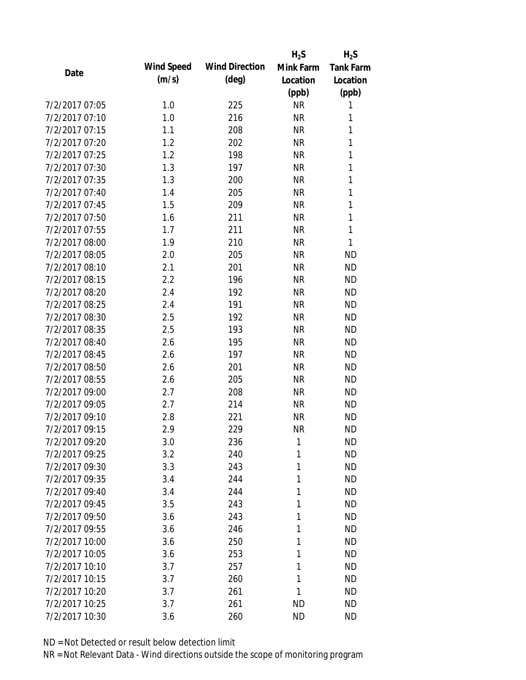|                |            |                       | $H_2S$    | $H_2S$           |
|----------------|------------|-----------------------|-----------|------------------|
| Date           | Wind Speed | <b>Wind Direction</b> | Mink Farm | <b>Tank Farm</b> |
|                | (m/s)      | $(\text{deg})$        | Location  | Location         |
|                |            |                       | (ppb)     | (ppb)            |
| 7/2/2017 07:05 | 1.0        | 225                   | <b>NR</b> | 1                |
| 7/2/2017 07:10 | 1.0        | 216                   | <b>NR</b> | 1                |
| 7/2/2017 07:15 | 1.1        | 208                   | <b>NR</b> | 1                |
| 7/2/2017 07:20 | 1.2        | 202                   | <b>NR</b> | $\mathbf{1}$     |
| 7/2/2017 07:25 | 1.2        | 198                   | <b>NR</b> | 1                |
| 7/2/2017 07:30 | 1.3        | 197                   | <b>NR</b> | 1                |
| 7/2/2017 07:35 | 1.3        | 200                   | <b>NR</b> | $\mathbf{1}$     |
| 7/2/2017 07:40 | 1.4        | 205                   | <b>NR</b> | $\mathbf{1}$     |
| 7/2/2017 07:45 | 1.5        | 209                   | <b>NR</b> | 1                |
| 7/2/2017 07:50 | 1.6        | 211                   | <b>NR</b> | 1                |
| 7/2/2017 07:55 | 1.7        | 211                   | <b>NR</b> | $\mathbf{1}$     |
| 7/2/2017 08:00 | 1.9        | 210                   | <b>NR</b> | 1                |
| 7/2/2017 08:05 | 2.0        | 205                   | <b>NR</b> | <b>ND</b>        |
| 7/2/2017 08:10 | 2.1        | 201                   | <b>NR</b> | <b>ND</b>        |
| 7/2/2017 08:15 | 2.2        | 196                   | <b>NR</b> | <b>ND</b>        |
| 7/2/2017 08:20 | 2.4        | 192                   | <b>NR</b> | <b>ND</b>        |
| 7/2/2017 08:25 | 2.4        | 191                   | <b>NR</b> | <b>ND</b>        |
| 7/2/2017 08:30 | 2.5        | 192                   | <b>NR</b> | <b>ND</b>        |
| 7/2/2017 08:35 | 2.5        | 193                   | <b>NR</b> | <b>ND</b>        |
| 7/2/2017 08:40 | 2.6        | 195                   | <b>NR</b> | <b>ND</b>        |
| 7/2/2017 08:45 | 2.6        | 197                   | <b>NR</b> | <b>ND</b>        |
| 7/2/2017 08:50 | 2.6        | 201                   | <b>NR</b> | <b>ND</b>        |
| 7/2/2017 08:55 | 2.6        | 205                   | <b>NR</b> | <b>ND</b>        |
| 7/2/2017 09:00 | 2.7        | 208                   | <b>NR</b> | <b>ND</b>        |
| 7/2/2017 09:05 | 2.7        | 214                   | <b>NR</b> | <b>ND</b>        |
| 7/2/2017 09:10 | 2.8        | 221                   | <b>NR</b> | <b>ND</b>        |
| 7/2/2017 09:15 | 2.9        | 229                   | <b>NR</b> | <b>ND</b>        |
| 7/2/2017 09:20 | 3.0        | 236                   | 1         | <b>ND</b>        |
| 7/2/2017 09:25 | 3.2        | 240                   | 1         | <b>ND</b>        |
| 7/2/2017 09:30 | 3.3        | 243                   | 1         | <b>ND</b>        |
| 7/2/2017 09:35 | 3.4        | 244                   | 1         | <b>ND</b>        |
| 7/2/2017 09:40 | 3.4        | 244                   | 1         | <b>ND</b>        |
| 7/2/2017 09:45 | 3.5        | 243                   | 1         | <b>ND</b>        |
| 7/2/2017 09:50 | 3.6        | 243                   | 1         | <b>ND</b>        |
| 7/2/2017 09:55 | 3.6        | 246                   | 1         | <b>ND</b>        |
| 7/2/2017 10:00 | 3.6        | 250                   | 1         | <b>ND</b>        |
| 7/2/2017 10:05 | 3.6        | 253                   | 1         | <b>ND</b>        |
| 7/2/2017 10:10 | 3.7        | 257                   | 1         | <b>ND</b>        |
| 7/2/2017 10:15 | 3.7        | 260                   | 1         | <b>ND</b>        |
| 7/2/2017 10:20 | 3.7        | 261                   | 1         | <b>ND</b>        |
| 7/2/2017 10:25 |            |                       | <b>ND</b> | <b>ND</b>        |
|                | 3.7        | 261                   |           |                  |
| 7/2/2017 10:30 | 3.6        | 260                   | <b>ND</b> | <b>ND</b>        |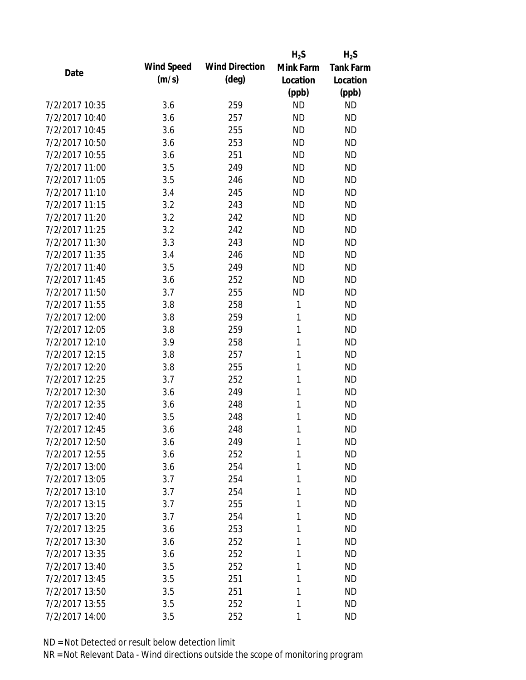|                |                   |                       | $H_2S$    | $H_2S$           |
|----------------|-------------------|-----------------------|-----------|------------------|
| Date           | <b>Wind Speed</b> | <b>Wind Direction</b> | Mink Farm | <b>Tank Farm</b> |
|                | (m/s)             | $(\text{deg})$        | Location  | Location         |
|                |                   |                       | (ppb)     | (ppb)            |
| 7/2/2017 10:35 | 3.6               | 259                   | <b>ND</b> | <b>ND</b>        |
| 7/2/2017 10:40 | 3.6               | 257                   | <b>ND</b> | <b>ND</b>        |
| 7/2/2017 10:45 | 3.6               | 255                   | <b>ND</b> | <b>ND</b>        |
| 7/2/2017 10:50 | 3.6               | 253                   | <b>ND</b> | <b>ND</b>        |
| 7/2/2017 10:55 | 3.6               | 251                   | <b>ND</b> | <b>ND</b>        |
| 7/2/2017 11:00 | 3.5               | 249                   | <b>ND</b> | <b>ND</b>        |
| 7/2/2017 11:05 | 3.5               | 246                   | <b>ND</b> | <b>ND</b>        |
| 7/2/2017 11:10 | 3.4               | 245                   | <b>ND</b> | <b>ND</b>        |
| 7/2/2017 11:15 | 3.2               | 243                   | <b>ND</b> | <b>ND</b>        |
| 7/2/2017 11:20 | 3.2               | 242                   | <b>ND</b> | <b>ND</b>        |
| 7/2/2017 11:25 | 3.2               | 242                   | <b>ND</b> | <b>ND</b>        |
| 7/2/2017 11:30 | 3.3               | 243                   | <b>ND</b> | <b>ND</b>        |
| 7/2/2017 11:35 | 3.4               | 246                   | <b>ND</b> | <b>ND</b>        |
| 7/2/2017 11:40 | 3.5               | 249                   | <b>ND</b> | <b>ND</b>        |
| 7/2/2017 11:45 | 3.6               | 252                   | <b>ND</b> | <b>ND</b>        |
| 7/2/2017 11:50 | 3.7               | 255                   | <b>ND</b> | <b>ND</b>        |
| 7/2/2017 11:55 | 3.8               | 258                   | 1         | <b>ND</b>        |
| 7/2/2017 12:00 | 3.8               | 259                   | 1         | <b>ND</b>        |
| 7/2/2017 12:05 | 3.8               | 259                   | 1         | <b>ND</b>        |
| 7/2/2017 12:10 | 3.9               | 258                   | 1         | <b>ND</b>        |
| 7/2/2017 12:15 | 3.8               | 257                   | 1         | <b>ND</b>        |
| 7/2/2017 12:20 | 3.8               | 255                   | 1         | <b>ND</b>        |
| 7/2/2017 12:25 | 3.7               | 252                   | 1         | <b>ND</b>        |
| 7/2/2017 12:30 | 3.6               | 249                   | 1         | <b>ND</b>        |
| 7/2/2017 12:35 | 3.6               | 248                   | 1         | <b>ND</b>        |
| 7/2/2017 12:40 | 3.5               | 248                   | 1         | <b>ND</b>        |
| 7/2/2017 12:45 | 3.6               | 248                   | 1         | <b>ND</b>        |
| 7/2/2017 12:50 | 3.6               | 249                   | 1         | <b>ND</b>        |
| 7/2/2017 12:55 | 3.6               | 252                   | 1         | <b>ND</b>        |
| 7/2/2017 13:00 | 3.6               | 254                   | 1         | <b>ND</b>        |
| 7/2/2017 13:05 | 3.7               | 254                   | 1         | <b>ND</b>        |
| 7/2/2017 13:10 | 3.7               | 254                   | 1         | <b>ND</b>        |
| 7/2/2017 13:15 | 3.7               | 255                   | 1         | <b>ND</b>        |
| 7/2/2017 13:20 | 3.7               | 254                   | 1         | <b>ND</b>        |
| 7/2/2017 13:25 | 3.6               | 253                   | 1         | <b>ND</b>        |
| 7/2/2017 13:30 | 3.6               | 252                   | 1         | <b>ND</b>        |
| 7/2/2017 13:35 | 3.6               | 252                   | 1         | <b>ND</b>        |
| 7/2/2017 13:40 | 3.5               | 252                   | 1         | <b>ND</b>        |
| 7/2/2017 13:45 | 3.5               | 251                   | 1         | <b>ND</b>        |
| 7/2/2017 13:50 | 3.5               | 251                   | 1         | <b>ND</b>        |
| 7/2/2017 13:55 | 3.5               | 252                   | 1         | <b>ND</b>        |
| 7/2/2017 14:00 | 3.5               | 252                   | 1         | <b>ND</b>        |
|                |                   |                       |           |                  |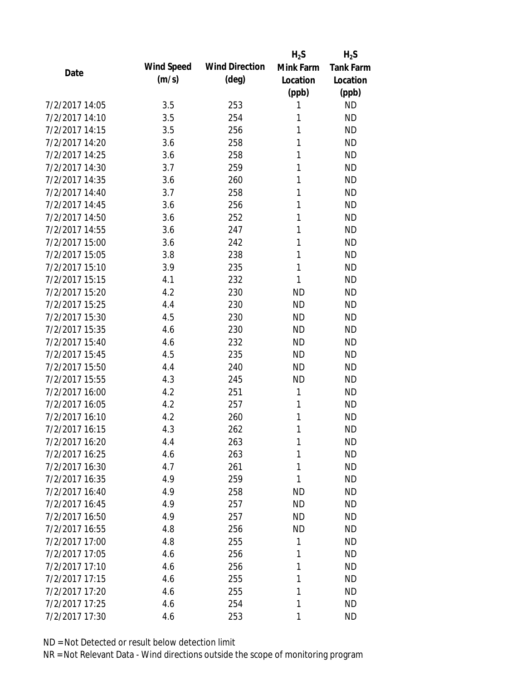|                |                   |                       | $H_2S$    | $H_2S$           |
|----------------|-------------------|-----------------------|-----------|------------------|
| Date           | <b>Wind Speed</b> | <b>Wind Direction</b> | Mink Farm | <b>Tank Farm</b> |
|                | (m/s)             | $(\text{deg})$        | Location  | Location         |
|                |                   |                       | (ppb)     | (ppb)            |
| 7/2/2017 14:05 | 3.5               | 253                   | 1         | <b>ND</b>        |
| 7/2/2017 14:10 | 3.5               | 254                   | 1         | <b>ND</b>        |
| 7/2/2017 14:15 | 3.5               | 256                   | 1         | <b>ND</b>        |
| 7/2/2017 14:20 | 3.6               | 258                   | 1         | <b>ND</b>        |
| 7/2/2017 14:25 | 3.6               | 258                   | 1         | <b>ND</b>        |
| 7/2/2017 14:30 | 3.7               | 259                   | 1         | <b>ND</b>        |
| 7/2/2017 14:35 | 3.6               | 260                   | 1         | <b>ND</b>        |
| 7/2/2017 14:40 | 3.7               | 258                   | 1         | <b>ND</b>        |
| 7/2/2017 14:45 | 3.6               | 256                   | 1         | <b>ND</b>        |
| 7/2/2017 14:50 | 3.6               | 252                   | 1         | <b>ND</b>        |
| 7/2/2017 14:55 | 3.6               | 247                   | 1         | <b>ND</b>        |
| 7/2/2017 15:00 | 3.6               | 242                   | 1         | <b>ND</b>        |
| 7/2/2017 15:05 | 3.8               | 238                   | 1         | <b>ND</b>        |
| 7/2/2017 15:10 | 3.9               | 235                   | 1         | <b>ND</b>        |
| 7/2/2017 15:15 | 4.1               | 232                   | 1         | <b>ND</b>        |
| 7/2/2017 15:20 | 4.2               | 230                   | <b>ND</b> | <b>ND</b>        |
| 7/2/2017 15:25 | 4.4               | 230                   | <b>ND</b> | <b>ND</b>        |
| 7/2/2017 15:30 | 4.5               | 230                   | <b>ND</b> | <b>ND</b>        |
| 7/2/2017 15:35 | 4.6               | 230                   | <b>ND</b> | <b>ND</b>        |
| 7/2/2017 15:40 | 4.6               | 232                   | <b>ND</b> | <b>ND</b>        |
| 7/2/2017 15:45 | 4.5               | 235                   | <b>ND</b> | <b>ND</b>        |
| 7/2/2017 15:50 | 4.4               | 240                   | <b>ND</b> | <b>ND</b>        |
| 7/2/2017 15:55 | 4.3               | 245                   | <b>ND</b> | <b>ND</b>        |
| 7/2/2017 16:00 | 4.2               | 251                   | 1         | <b>ND</b>        |
| 7/2/2017 16:05 | 4.2               | 257                   | 1         | <b>ND</b>        |
| 7/2/2017 16:10 | 4.2               | 260                   | 1         | <b>ND</b>        |
| 7/2/2017 16:15 | 4.3               | 262                   | 1         | <b>ND</b>        |
| 7/2/2017 16:20 | 4.4               | 263                   | 1         | <b>ND</b>        |
| 7/2/2017 16:25 | 4.6               | 263                   | 1         | <b>ND</b>        |
| 7/2/2017 16:30 | 4.7               | 261                   | 1         | <b>ND</b>        |
| 7/2/2017 16:35 | 4.9               | 259                   | 1         | <b>ND</b>        |
| 7/2/2017 16:40 | 4.9               | 258                   | <b>ND</b> | <b>ND</b>        |
| 7/2/2017 16:45 | 4.9               | 257                   | <b>ND</b> | <b>ND</b>        |
| 7/2/2017 16:50 | 4.9               | 257                   | <b>ND</b> | <b>ND</b>        |
| 7/2/2017 16:55 | 4.8               | 256                   | <b>ND</b> | <b>ND</b>        |
| 7/2/2017 17:00 | 4.8               | 255                   | 1         | <b>ND</b>        |
| 7/2/2017 17:05 | 4.6               | 256                   | 1         | <b>ND</b>        |
| 7/2/2017 17:10 | 4.6               | 256                   | 1         | <b>ND</b>        |
| 7/2/2017 17:15 | 4.6               | 255                   | 1         | <b>ND</b>        |
| 7/2/2017 17:20 | 4.6               | 255                   | 1         | <b>ND</b>        |
| 7/2/2017 17:25 | 4.6               | 254                   | 1         | <b>ND</b>        |
| 7/2/2017 17:30 | 4.6               | 253                   | 1         | <b>ND</b>        |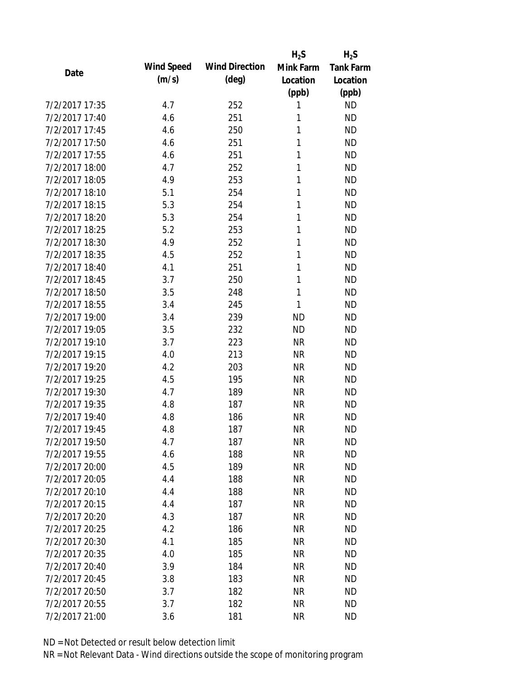|                |                   |                       | $H_2S$    | $H_2S$           |
|----------------|-------------------|-----------------------|-----------|------------------|
| Date           | <b>Wind Speed</b> | <b>Wind Direction</b> | Mink Farm | <b>Tank Farm</b> |
|                | (m/s)             | $(\text{deg})$        | Location  | Location         |
|                |                   |                       | (ppb)     | (ppb)            |
| 7/2/2017 17:35 | 4.7               | 252                   | 1         | <b>ND</b>        |
| 7/2/2017 17:40 | 4.6               | 251                   | 1         | <b>ND</b>        |
| 7/2/2017 17:45 | 4.6               | 250                   | 1         | <b>ND</b>        |
| 7/2/2017 17:50 | 4.6               | 251                   | 1         | <b>ND</b>        |
| 7/2/2017 17:55 | 4.6               | 251                   | 1         | <b>ND</b>        |
| 7/2/2017 18:00 | 4.7               | 252                   | 1         | <b>ND</b>        |
| 7/2/2017 18:05 | 4.9               | 253                   | 1         | <b>ND</b>        |
| 7/2/2017 18:10 | 5.1               | 254                   | 1         | <b>ND</b>        |
| 7/2/2017 18:15 | 5.3               | 254                   | 1         | <b>ND</b>        |
| 7/2/2017 18:20 | 5.3               | 254                   | 1         | <b>ND</b>        |
| 7/2/2017 18:25 | 5.2               | 253                   | 1         | <b>ND</b>        |
| 7/2/2017 18:30 | 4.9               | 252                   | 1         | <b>ND</b>        |
| 7/2/2017 18:35 | 4.5               | 252                   | 1         | <b>ND</b>        |
| 7/2/2017 18:40 | 4.1               | 251                   | 1         | <b>ND</b>        |
| 7/2/2017 18:45 | 3.7               | 250                   | 1         | <b>ND</b>        |
| 7/2/2017 18:50 | 3.5               | 248                   | 1         | <b>ND</b>        |
| 7/2/2017 18:55 | 3.4               | 245                   | 1         | <b>ND</b>        |
| 7/2/2017 19:00 | 3.4               | 239                   | <b>ND</b> | <b>ND</b>        |
| 7/2/2017 19:05 | 3.5               | 232                   | <b>ND</b> | <b>ND</b>        |
| 7/2/2017 19:10 | 3.7               | 223                   | <b>NR</b> | <b>ND</b>        |
| 7/2/2017 19:15 | 4.0               | 213                   | <b>NR</b> | <b>ND</b>        |
| 7/2/2017 19:20 | 4.2               | 203                   | <b>NR</b> | <b>ND</b>        |
| 7/2/2017 19:25 | 4.5               | 195                   | <b>NR</b> | <b>ND</b>        |
| 7/2/2017 19:30 | 4.7               | 189                   | <b>NR</b> | <b>ND</b>        |
| 7/2/2017 19:35 | 4.8               | 187                   | <b>NR</b> | <b>ND</b>        |
| 7/2/2017 19:40 | 4.8               | 186                   | <b>NR</b> | <b>ND</b>        |
| 7/2/2017 19:45 | 4.8               | 187                   | <b>NR</b> | <b>ND</b>        |
| 7/2/2017 19:50 | 4.7               | 187                   | ΝR        | <b>ND</b>        |
| 7/2/2017 19:55 | 4.6               | 188                   | <b>NR</b> | <b>ND</b>        |
| 7/2/2017 20:00 | 4.5               | 189                   | <b>NR</b> | <b>ND</b>        |
| 7/2/2017 20:05 | 4.4               | 188                   | <b>NR</b> | <b>ND</b>        |
| 7/2/2017 20:10 | 4.4               | 188                   | <b>NR</b> | <b>ND</b>        |
| 7/2/2017 20:15 | 4.4               | 187                   | <b>NR</b> | <b>ND</b>        |
| 7/2/2017 20:20 | 4.3               | 187                   | <b>NR</b> | <b>ND</b>        |
| 7/2/2017 20:25 | 4.2               | 186                   | <b>NR</b> | <b>ND</b>        |
| 7/2/2017 20:30 | 4.1               | 185                   | <b>NR</b> | <b>ND</b>        |
| 7/2/2017 20:35 | 4.0               | 185                   | <b>NR</b> | <b>ND</b>        |
| 7/2/2017 20:40 | 3.9               | 184                   | <b>NR</b> | <b>ND</b>        |
| 7/2/2017 20:45 | 3.8               | 183                   | <b>NR</b> | <b>ND</b>        |
| 7/2/2017 20:50 | 3.7               | 182                   | <b>NR</b> | <b>ND</b>        |
| 7/2/2017 20:55 | 3.7               | 182                   | <b>NR</b> | <b>ND</b>        |
| 7/2/2017 21:00 | 3.6               | 181                   | <b>NR</b> | <b>ND</b>        |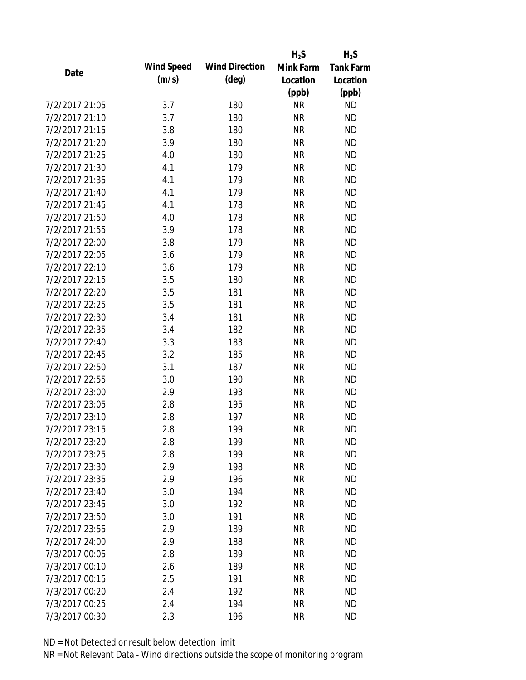|                |                   |                       | $H_2S$    | $H_2S$           |
|----------------|-------------------|-----------------------|-----------|------------------|
| Date           | <b>Wind Speed</b> | <b>Wind Direction</b> | Mink Farm | <b>Tank Farm</b> |
|                | (m/s)             | $(\text{deg})$        | Location  | Location         |
|                |                   |                       | (ppb)     | (ppb)            |
| 7/2/2017 21:05 | 3.7               | 180                   | <b>NR</b> | <b>ND</b>        |
| 7/2/2017 21:10 | 3.7               | 180                   | <b>NR</b> | <b>ND</b>        |
| 7/2/2017 21:15 | 3.8               | 180                   | <b>NR</b> | <b>ND</b>        |
| 7/2/2017 21:20 | 3.9               | 180                   | <b>NR</b> | <b>ND</b>        |
| 7/2/2017 21:25 | 4.0               | 180                   | <b>NR</b> | <b>ND</b>        |
| 7/2/2017 21:30 | 4.1               | 179                   | <b>NR</b> | <b>ND</b>        |
| 7/2/2017 21:35 | 4.1               | 179                   | <b>NR</b> | <b>ND</b>        |
| 7/2/2017 21:40 | 4.1               | 179                   | <b>NR</b> | <b>ND</b>        |
| 7/2/2017 21:45 | 4.1               | 178                   | <b>NR</b> | <b>ND</b>        |
| 7/2/2017 21:50 | 4.0               | 178                   | <b>NR</b> | <b>ND</b>        |
| 7/2/2017 21:55 | 3.9               | 178                   | <b>NR</b> | <b>ND</b>        |
| 7/2/2017 22:00 | 3.8               | 179                   | <b>NR</b> | <b>ND</b>        |
| 7/2/2017 22:05 | 3.6               | 179                   | <b>NR</b> | <b>ND</b>        |
| 7/2/2017 22:10 | 3.6               | 179                   | <b>NR</b> | <b>ND</b>        |
| 7/2/2017 22:15 | 3.5               | 180                   | <b>NR</b> | <b>ND</b>        |
| 7/2/2017 22:20 | 3.5               | 181                   | <b>NR</b> | <b>ND</b>        |
| 7/2/2017 22:25 | 3.5               | 181                   | <b>NR</b> | <b>ND</b>        |
| 7/2/2017 22:30 | 3.4               | 181                   | <b>NR</b> | <b>ND</b>        |
| 7/2/2017 22:35 | 3.4               | 182                   | <b>NR</b> | <b>ND</b>        |
| 7/2/2017 22:40 | 3.3               | 183                   | <b>NR</b> | <b>ND</b>        |
| 7/2/2017 22:45 | 3.2               | 185                   | <b>NR</b> | <b>ND</b>        |
| 7/2/2017 22:50 | 3.1               | 187                   | <b>NR</b> | <b>ND</b>        |
| 7/2/2017 22:55 | 3.0               | 190                   | <b>NR</b> | <b>ND</b>        |
| 7/2/2017 23:00 | 2.9               | 193                   | <b>NR</b> | <b>ND</b>        |
| 7/2/2017 23:05 | 2.8               | 195                   | <b>NR</b> | <b>ND</b>        |
| 7/2/2017 23:10 | 2.8               | 197                   | <b>NR</b> | <b>ND</b>        |
| 7/2/2017 23:15 | 2.8               | 199                   | <b>NR</b> | <b>ND</b>        |
| 7/2/2017 23:20 | 2.8               | 199                   | <b>NR</b> | <b>ND</b>        |
| 7/2/2017 23:25 | 2.8               | 199                   | <b>NR</b> | <b>ND</b>        |
| 7/2/2017 23:30 | 2.9               | 198                   | <b>NR</b> | <b>ND</b>        |
| 7/2/2017 23:35 | 2.9               | 196                   | <b>NR</b> | <b>ND</b>        |
| 7/2/2017 23:40 | 3.0               | 194                   | <b>NR</b> | <b>ND</b>        |
| 7/2/2017 23:45 | 3.0               | 192                   | <b>NR</b> | <b>ND</b>        |
| 7/2/2017 23:50 | 3.0               | 191                   | <b>NR</b> | <b>ND</b>        |
| 7/2/2017 23:55 | 2.9               | 189                   | <b>NR</b> | <b>ND</b>        |
| 7/2/2017 24:00 | 2.9               | 188                   | <b>NR</b> | <b>ND</b>        |
| 7/3/2017 00:05 | 2.8               | 189                   | <b>NR</b> | <b>ND</b>        |
| 7/3/2017 00:10 | 2.6               | 189                   | <b>NR</b> | <b>ND</b>        |
| 7/3/2017 00:15 | 2.5               | 191                   | <b>NR</b> | <b>ND</b>        |
| 7/3/2017 00:20 | 2.4               | 192                   | <b>NR</b> | <b>ND</b>        |
| 7/3/2017 00:25 | 2.4               | 194                   | <b>NR</b> | <b>ND</b>        |
| 7/3/2017 00:30 | 2.3               | 196                   | <b>NR</b> | <b>ND</b>        |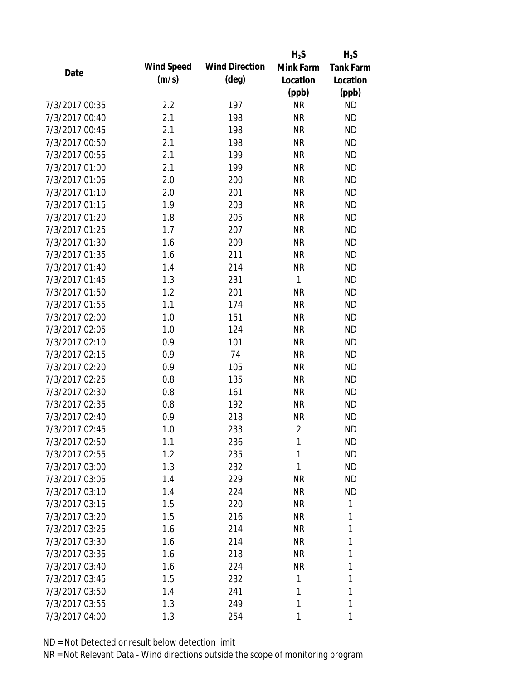|                |                   |                       | $H_2S$         | $H_2S$           |
|----------------|-------------------|-----------------------|----------------|------------------|
| Date           | <b>Wind Speed</b> | <b>Wind Direction</b> | Mink Farm      | <b>Tank Farm</b> |
|                | (m/s)             | $(\text{deg})$        | Location       | Location         |
|                |                   |                       | (ppb)          | (ppb)            |
| 7/3/2017 00:35 | 2.2               | 197                   | <b>NR</b>      | <b>ND</b>        |
| 7/3/2017 00:40 | 2.1               | 198                   | <b>NR</b>      | <b>ND</b>        |
| 7/3/2017 00:45 | 2.1               | 198                   | <b>NR</b>      | <b>ND</b>        |
| 7/3/2017 00:50 | 2.1               | 198                   | <b>NR</b>      | <b>ND</b>        |
| 7/3/2017 00:55 | 2.1               | 199                   | <b>NR</b>      | <b>ND</b>        |
| 7/3/2017 01:00 | 2.1               | 199                   | <b>NR</b>      | <b>ND</b>        |
| 7/3/2017 01:05 | 2.0               | 200                   | <b>NR</b>      | <b>ND</b>        |
| 7/3/2017 01:10 | 2.0               | 201                   | <b>NR</b>      | <b>ND</b>        |
| 7/3/2017 01:15 | 1.9               | 203                   | <b>NR</b>      | <b>ND</b>        |
| 7/3/2017 01:20 | 1.8               | 205                   | <b>NR</b>      | <b>ND</b>        |
| 7/3/2017 01:25 | 1.7               | 207                   | <b>NR</b>      | <b>ND</b>        |
| 7/3/2017 01:30 | 1.6               | 209                   | <b>NR</b>      | <b>ND</b>        |
| 7/3/2017 01:35 | 1.6               | 211                   | <b>NR</b>      | <b>ND</b>        |
| 7/3/2017 01:40 | 1.4               | 214                   | <b>NR</b>      | <b>ND</b>        |
| 7/3/2017 01:45 | 1.3               | 231                   | $\mathbf{1}$   | <b>ND</b>        |
| 7/3/2017 01:50 | 1.2               | 201                   | <b>NR</b>      | <b>ND</b>        |
| 7/3/2017 01:55 | 1.1               | 174                   | <b>NR</b>      | <b>ND</b>        |
| 7/3/2017 02:00 | 1.0               | 151                   | <b>NR</b>      | <b>ND</b>        |
| 7/3/2017 02:05 | 1.0               | 124                   | <b>NR</b>      | <b>ND</b>        |
| 7/3/2017 02:10 | 0.9               | 101                   | <b>NR</b>      | <b>ND</b>        |
| 7/3/2017 02:15 | 0.9               | 74                    | <b>NR</b>      | <b>ND</b>        |
| 7/3/2017 02:20 | 0.9               | 105                   | <b>NR</b>      | <b>ND</b>        |
| 7/3/2017 02:25 | 0.8               | 135                   | <b>NR</b>      | <b>ND</b>        |
| 7/3/2017 02:30 | 0.8               | 161                   | <b>NR</b>      | <b>ND</b>        |
| 7/3/2017 02:35 | 0.8               | 192                   | <b>NR</b>      | <b>ND</b>        |
| 7/3/2017 02:40 | 0.9               | 218                   | <b>NR</b>      | <b>ND</b>        |
| 7/3/2017 02:45 | 1.0               | 233                   | $\overline{2}$ | <b>ND</b>        |
| 7/3/2017 02:50 | 1.1               | 236                   | 1              | <b>ND</b>        |
| 7/3/2017 02:55 | 1.2               | 235                   | 1              | <b>ND</b>        |
| 7/3/2017 03:00 | 1.3               | 232                   | 1              | <b>ND</b>        |
| 7/3/2017 03:05 | 1.4               | 229                   | <b>NR</b>      | <b>ND</b>        |
| 7/3/2017 03:10 | 1.4               | 224                   | <b>NR</b>      | <b>ND</b>        |
| 7/3/2017 03:15 | 1.5               | 220                   | NR             | 1                |
| 7/3/2017 03:20 | 1.5               | 216                   | <b>NR</b>      | 1                |
| 7/3/2017 03:25 | 1.6               | 214                   | NR             | 1                |
| 7/3/2017 03:30 | 1.6               | 214                   | <b>NR</b>      | 1                |
| 7/3/2017 03:35 | 1.6               | 218                   | <b>NR</b>      | 1                |
| 7/3/2017 03:40 | 1.6               | 224                   | <b>NR</b>      | 1                |
| 7/3/2017 03:45 | 1.5               | 232                   | 1              | 1                |
| 7/3/2017 03:50 | 1.4               | 241                   | 1              | 1                |
| 7/3/2017 03:55 | 1.3               | 249                   | 1              | 1                |
| 7/3/2017 04:00 | 1.3               | 254                   | 1              | 1                |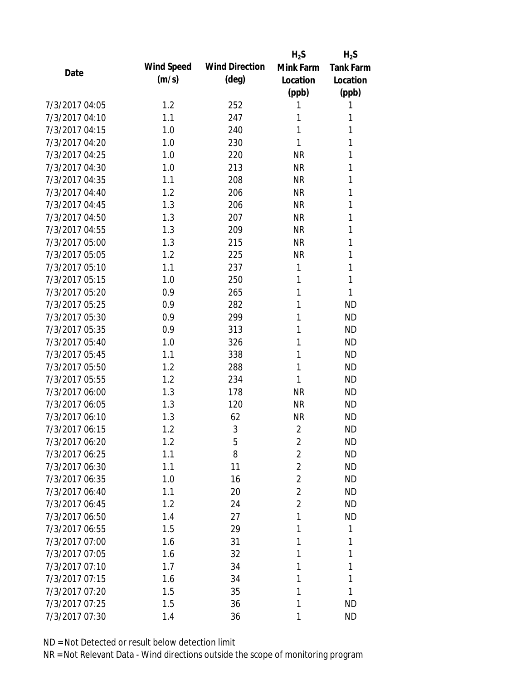|                |            |                       | $H_2S$         | $H_2S$           |
|----------------|------------|-----------------------|----------------|------------------|
| Date           | Wind Speed | <b>Wind Direction</b> | Mink Farm      | <b>Tank Farm</b> |
|                | (m/s)      | $(\text{deg})$        | Location       | Location         |
|                |            |                       | (ppb)          | (ppb)            |
| 7/3/2017 04:05 | 1.2        | 252                   | 1              | 1                |
| 7/3/2017 04:10 | 1.1        | 247                   | 1              | 1                |
| 7/3/2017 04:15 | 1.0        | 240                   | 1              | 1                |
| 7/3/2017 04:20 | 1.0        | 230                   | 1              | 1                |
| 7/3/2017 04:25 | 1.0        | 220                   | <b>NR</b>      | 1                |
| 7/3/2017 04:30 | 1.0        | 213                   | <b>NR</b>      | 1                |
| 7/3/2017 04:35 | 1.1        | 208                   | <b>NR</b>      | 1                |
| 7/3/2017 04:40 | 1.2        | 206                   | <b>NR</b>      | 1                |
| 7/3/2017 04:45 | 1.3        | 206                   | <b>NR</b>      | 1                |
| 7/3/2017 04:50 | 1.3        | 207                   | <b>NR</b>      | 1                |
| 7/3/2017 04:55 | 1.3        | 209                   | <b>NR</b>      | 1                |
| 7/3/2017 05:00 | 1.3        | 215                   | <b>NR</b>      | 1                |
| 7/3/2017 05:05 | 1.2        | 225                   | <b>NR</b>      | 1                |
| 7/3/2017 05:10 | 1.1        | 237                   | 1              | 1                |
| 7/3/2017 05:15 | 1.0        | 250                   | 1              | 1                |
| 7/3/2017 05:20 | 0.9        | 265                   | 1              | 1                |
| 7/3/2017 05:25 | 0.9        | 282                   | 1              | <b>ND</b>        |
| 7/3/2017 05:30 | 0.9        | 299                   | 1              | <b>ND</b>        |
| 7/3/2017 05:35 | 0.9        | 313                   | 1              | <b>ND</b>        |
| 7/3/2017 05:40 | 1.0        | 326                   | 1              | <b>ND</b>        |
| 7/3/2017 05:45 | 1.1        | 338                   | 1              | <b>ND</b>        |
| 7/3/2017 05:50 | 1.2        | 288                   | 1              | <b>ND</b>        |
| 7/3/2017 05:55 | 1.2        | 234                   | 1              | <b>ND</b>        |
| 7/3/2017 06:00 | 1.3        | 178                   | <b>NR</b>      | <b>ND</b>        |
| 7/3/2017 06:05 | 1.3        | 120                   | <b>NR</b>      | <b>ND</b>        |
| 7/3/2017 06:10 | 1.3        | 62                    | <b>NR</b>      | <b>ND</b>        |
| 7/3/2017 06:15 | 1.2        | 3                     | $\overline{2}$ | <b>ND</b>        |
| 7/3/2017 06:20 | 1.2        | 5                     | 2              | <b>ND</b>        |
| 7/3/2017 06:25 | 1.1        | 8                     | $\overline{2}$ | <b>ND</b>        |
| 7/3/2017 06:30 | 1.1        | 11                    | $\overline{2}$ | <b>ND</b>        |
| 7/3/2017 06:35 | 1.0        | 16                    | $\overline{2}$ | <b>ND</b>        |
| 7/3/2017 06:40 | 1.1        | 20                    | $\overline{2}$ | <b>ND</b>        |
| 7/3/2017 06:45 | 1.2        | 24                    | $\overline{2}$ | <b>ND</b>        |
| 7/3/2017 06:50 | 1.4        | 27                    | 1              | <b>ND</b>        |
| 7/3/2017 06:55 | 1.5        | 29                    | 1              | 1                |
| 7/3/2017 07:00 | 1.6        | 31                    | 1              | 1                |
| 7/3/2017 07:05 | 1.6        | 32                    | 1              | 1                |
| 7/3/2017 07:10 | 1.7        | 34                    | 1              | 1                |
| 7/3/2017 07:15 | 1.6        | 34                    | 1              | 1                |
| 7/3/2017 07:20 | 1.5        | 35                    | 1              | 1                |
| 7/3/2017 07:25 | 1.5        | 36                    | 1              | <b>ND</b>        |
| 7/3/2017 07:30 | 1.4        | 36                    | 1              | <b>ND</b>        |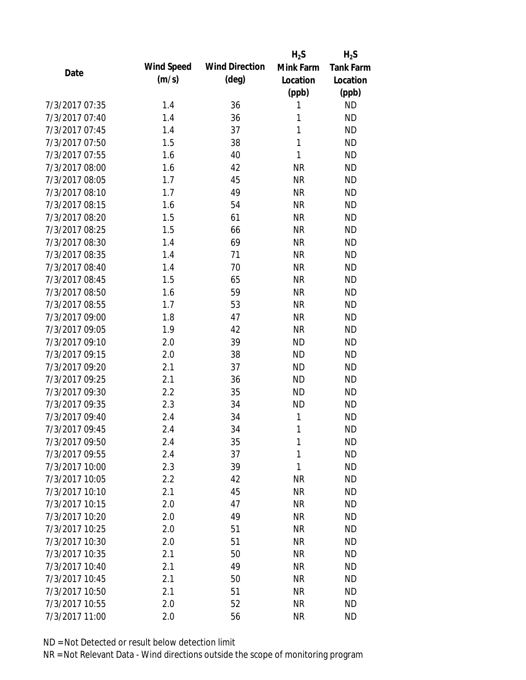|                |            |                       | $H_2S$       | $H_2S$           |
|----------------|------------|-----------------------|--------------|------------------|
| Date           | Wind Speed | <b>Wind Direction</b> | Mink Farm    | <b>Tank Farm</b> |
|                | (m/s)      | $(\text{deg})$        | Location     | Location         |
|                |            |                       | (ppb)        | (ppb)            |
| 7/3/2017 07:35 | 1.4        | 36                    | 1            | <b>ND</b>        |
| 7/3/2017 07:40 | 1.4        | 36                    | 1            | <b>ND</b>        |
| 7/3/2017 07:45 | 1.4        | 37                    | 1            | <b>ND</b>        |
| 7/3/2017 07:50 | 1.5        | 38                    | $\mathbf{1}$ | <b>ND</b>        |
| 7/3/2017 07:55 | 1.6        | 40                    | $\mathbf{1}$ | <b>ND</b>        |
| 7/3/2017 08:00 | 1.6        | 42                    | <b>NR</b>    | <b>ND</b>        |
| 7/3/2017 08:05 | 1.7        | 45                    | <b>NR</b>    | <b>ND</b>        |
| 7/3/2017 08:10 | 1.7        | 49                    | <b>NR</b>    | <b>ND</b>        |
| 7/3/2017 08:15 | 1.6        | 54                    | <b>NR</b>    | <b>ND</b>        |
| 7/3/2017 08:20 | 1.5        | 61                    | <b>NR</b>    | <b>ND</b>        |
| 7/3/2017 08:25 | 1.5        | 66                    | <b>NR</b>    | <b>ND</b>        |
| 7/3/2017 08:30 | 1.4        | 69                    | <b>NR</b>    | <b>ND</b>        |
| 7/3/2017 08:35 | 1.4        | 71                    | <b>NR</b>    | <b>ND</b>        |
| 7/3/2017 08:40 | 1.4        | 70                    | <b>NR</b>    | <b>ND</b>        |
| 7/3/2017 08:45 | 1.5        | 65                    | <b>NR</b>    | <b>ND</b>        |
| 7/3/2017 08:50 | 1.6        | 59                    | <b>NR</b>    | <b>ND</b>        |
| 7/3/2017 08:55 | 1.7        | 53                    | <b>NR</b>    | <b>ND</b>        |
| 7/3/2017 09:00 | 1.8        | 47                    | <b>NR</b>    | <b>ND</b>        |
| 7/3/2017 09:05 | 1.9        | 42                    | <b>NR</b>    | <b>ND</b>        |
| 7/3/2017 09:10 | 2.0        | 39                    | <b>ND</b>    | <b>ND</b>        |
| 7/3/2017 09:15 | 2.0        | 38                    | <b>ND</b>    | <b>ND</b>        |
| 7/3/2017 09:20 | 2.1        | 37                    | <b>ND</b>    | <b>ND</b>        |
| 7/3/2017 09:25 | 2.1        | 36                    | <b>ND</b>    | <b>ND</b>        |
| 7/3/2017 09:30 | 2.2        | 35                    | <b>ND</b>    | <b>ND</b>        |
| 7/3/2017 09:35 | 2.3        | 34                    | <b>ND</b>    | <b>ND</b>        |
| 7/3/2017 09:40 | 2.4        | 34                    | 1            | <b>ND</b>        |
| 7/3/2017 09:45 | 2.4        | 34                    | 1            | <b>ND</b>        |
| 7/3/2017 09:50 | 2.4        | 35                    | 1            | <b>ND</b>        |
| 7/3/2017 09:55 | 2.4        | 37                    | $\mathbf{1}$ | <b>ND</b>        |
| 7/3/2017 10:00 | 2.3        | 39                    | 1            | <b>ND</b>        |
| 7/3/2017 10:05 | 2.2        | 42                    | <b>NR</b>    | <b>ND</b>        |
| 7/3/2017 10:10 | 2.1        | 45                    | <b>NR</b>    | <b>ND</b>        |
| 7/3/2017 10:15 | 2.0        | 47                    | <b>NR</b>    | <b>ND</b>        |
| 7/3/2017 10:20 | 2.0        | 49                    | <b>NR</b>    | <b>ND</b>        |
| 7/3/2017 10:25 | 2.0        | 51                    | <b>NR</b>    | <b>ND</b>        |
| 7/3/2017 10:30 | 2.0        | 51                    | <b>NR</b>    | <b>ND</b>        |
| 7/3/2017 10:35 | 2.1        | 50                    | <b>NR</b>    | <b>ND</b>        |
| 7/3/2017 10:40 | 2.1        | 49                    | <b>NR</b>    | <b>ND</b>        |
| 7/3/2017 10:45 | 2.1        | 50                    | <b>NR</b>    | <b>ND</b>        |
| 7/3/2017 10:50 | 2.1        | 51                    | <b>NR</b>    | <b>ND</b>        |
| 7/3/2017 10:55 | 2.0        | 52                    | <b>NR</b>    | <b>ND</b>        |
| 7/3/2017 11:00 | 2.0        | 56                    | <b>NR</b>    | <b>ND</b>        |
|                |            |                       |              |                  |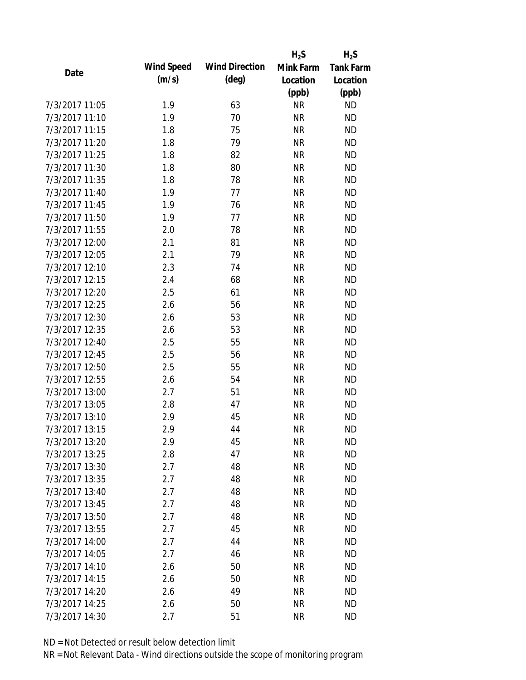|                |                   |                       | $H_2S$    | $H_2S$           |
|----------------|-------------------|-----------------------|-----------|------------------|
| Date           | <b>Wind Speed</b> | <b>Wind Direction</b> | Mink Farm | <b>Tank Farm</b> |
|                | (m/s)             | $(\text{deg})$        | Location  | Location         |
|                |                   |                       | (ppb)     | (ppb)            |
| 7/3/2017 11:05 | 1.9               | 63                    | <b>NR</b> | <b>ND</b>        |
| 7/3/2017 11:10 | 1.9               | 70                    | <b>NR</b> | <b>ND</b>        |
| 7/3/2017 11:15 | 1.8               | 75                    | <b>NR</b> | <b>ND</b>        |
| 7/3/2017 11:20 | 1.8               | 79                    | <b>NR</b> | <b>ND</b>        |
| 7/3/2017 11:25 | 1.8               | 82                    | <b>NR</b> | <b>ND</b>        |
| 7/3/2017 11:30 | 1.8               | 80                    | <b>NR</b> | <b>ND</b>        |
| 7/3/2017 11:35 | 1.8               | 78                    | <b>NR</b> | <b>ND</b>        |
| 7/3/2017 11:40 | 1.9               | 77                    | <b>NR</b> | <b>ND</b>        |
| 7/3/2017 11:45 | 1.9               | 76                    | <b>NR</b> | <b>ND</b>        |
| 7/3/2017 11:50 | 1.9               | 77                    | <b>NR</b> | <b>ND</b>        |
| 7/3/2017 11:55 | 2.0               | 78                    | <b>NR</b> | <b>ND</b>        |
| 7/3/2017 12:00 | 2.1               | 81                    | <b>NR</b> | <b>ND</b>        |
| 7/3/2017 12:05 | 2.1               | 79                    | <b>NR</b> | <b>ND</b>        |
| 7/3/2017 12:10 | 2.3               | 74                    | <b>NR</b> | <b>ND</b>        |
| 7/3/2017 12:15 | 2.4               | 68                    | <b>NR</b> | <b>ND</b>        |
| 7/3/2017 12:20 | 2.5               | 61                    | <b>NR</b> | <b>ND</b>        |
| 7/3/2017 12:25 | 2.6               | 56                    | <b>NR</b> | <b>ND</b>        |
| 7/3/2017 12:30 | 2.6               | 53                    | <b>NR</b> | <b>ND</b>        |
| 7/3/2017 12:35 | 2.6               | 53                    | <b>NR</b> | <b>ND</b>        |
| 7/3/2017 12:40 | 2.5               | 55                    | <b>NR</b> | <b>ND</b>        |
| 7/3/2017 12:45 | 2.5               | 56                    | <b>NR</b> | <b>ND</b>        |
| 7/3/2017 12:50 | 2.5               | 55                    | <b>NR</b> | <b>ND</b>        |
| 7/3/2017 12:55 | 2.6               | 54                    | <b>NR</b> | <b>ND</b>        |
| 7/3/2017 13:00 | 2.7               | 51                    | <b>NR</b> | <b>ND</b>        |
| 7/3/2017 13:05 | 2.8               | 47                    | <b>NR</b> | <b>ND</b>        |
| 7/3/2017 13:10 | 2.9               | 45                    | <b>NR</b> | <b>ND</b>        |
| 7/3/2017 13:15 | 2.9               | 44                    | <b>NR</b> | <b>ND</b>        |
| 7/3/2017 13:20 | 2.9               | 45                    | <b>NR</b> | <b>ND</b>        |
| 7/3/2017 13:25 | 2.8               | 47                    | <b>NR</b> | <b>ND</b>        |
| 7/3/2017 13:30 | 2.7               | 48                    | <b>NR</b> | <b>ND</b>        |
| 7/3/2017 13:35 | 2.7               | 48                    | <b>NR</b> | <b>ND</b>        |
| 7/3/2017 13:40 | 2.7               | 48                    | <b>NR</b> | <b>ND</b>        |
| 7/3/2017 13:45 | 2.7               | 48                    | <b>NR</b> | <b>ND</b>        |
| 7/3/2017 13:50 | 2.7               | 48                    | <b>NR</b> | <b>ND</b>        |
| 7/3/2017 13:55 | 2.7               | 45                    | <b>NR</b> | <b>ND</b>        |
| 7/3/2017 14:00 | 2.7               | 44                    | <b>NR</b> | <b>ND</b>        |
| 7/3/2017 14:05 | 2.7               | 46                    | <b>NR</b> | <b>ND</b>        |
| 7/3/2017 14:10 | 2.6               | 50                    | <b>NR</b> | <b>ND</b>        |
| 7/3/2017 14:15 | 2.6               | 50                    | <b>NR</b> | <b>ND</b>        |
| 7/3/2017 14:20 | 2.6               | 49                    | <b>NR</b> | <b>ND</b>        |
| 7/3/2017 14:25 | 2.6               | 50                    | <b>NR</b> | <b>ND</b>        |
| 7/3/2017 14:30 | 2.7               | 51                    | <b>NR</b> | <b>ND</b>        |
|                |                   |                       |           |                  |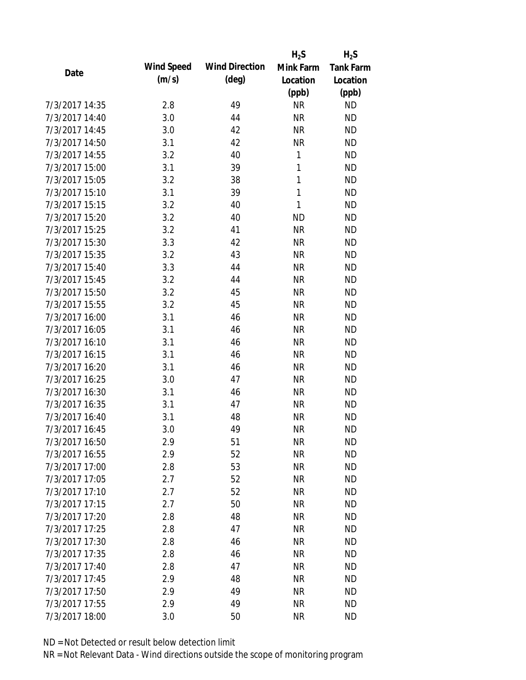|                |                   |                       | $H_2S$    | $H_2S$           |
|----------------|-------------------|-----------------------|-----------|------------------|
| Date           | <b>Wind Speed</b> | <b>Wind Direction</b> | Mink Farm | <b>Tank Farm</b> |
|                | (m/s)             | $(\text{deg})$        | Location  | Location         |
|                |                   |                       | (ppb)     | (ppb)            |
| 7/3/2017 14:35 | 2.8               | 49                    | <b>NR</b> | <b>ND</b>        |
| 7/3/2017 14:40 | 3.0               | 44                    | <b>NR</b> | <b>ND</b>        |
| 7/3/2017 14:45 | 3.0               | 42                    | <b>NR</b> | <b>ND</b>        |
| 7/3/2017 14:50 | 3.1               | 42                    | <b>NR</b> | <b>ND</b>        |
| 7/3/2017 14:55 | 3.2               | 40                    | 1         | <b>ND</b>        |
| 7/3/2017 15:00 | 3.1               | 39                    | 1         | <b>ND</b>        |
| 7/3/2017 15:05 | 3.2               | 38                    | 1         | <b>ND</b>        |
| 7/3/2017 15:10 | 3.1               | 39                    | 1         | <b>ND</b>        |
| 7/3/2017 15:15 | 3.2               | 40                    | 1         | <b>ND</b>        |
| 7/3/2017 15:20 | 3.2               | 40                    | <b>ND</b> | <b>ND</b>        |
| 7/3/2017 15:25 | 3.2               | 41                    | <b>NR</b> | <b>ND</b>        |
| 7/3/2017 15:30 | 3.3               | 42                    | <b>NR</b> | <b>ND</b>        |
| 7/3/2017 15:35 | 3.2               | 43                    | <b>NR</b> | <b>ND</b>        |
| 7/3/2017 15:40 | 3.3               | 44                    | <b>NR</b> | <b>ND</b>        |
| 7/3/2017 15:45 | 3.2               | 44                    | <b>NR</b> | <b>ND</b>        |
| 7/3/2017 15:50 | 3.2               | 45                    | <b>NR</b> | <b>ND</b>        |
| 7/3/2017 15:55 | 3.2               | 45                    | <b>NR</b> | <b>ND</b>        |
| 7/3/2017 16:00 | 3.1               | 46                    | <b>NR</b> | <b>ND</b>        |
| 7/3/2017 16:05 | 3.1               | 46                    | <b>NR</b> | <b>ND</b>        |
| 7/3/2017 16:10 | 3.1               | 46                    | <b>NR</b> | <b>ND</b>        |
| 7/3/2017 16:15 | 3.1               | 46                    | <b>NR</b> | <b>ND</b>        |
| 7/3/2017 16:20 | 3.1               | 46                    | <b>NR</b> | <b>ND</b>        |
| 7/3/2017 16:25 | 3.0               | 47                    | <b>NR</b> | <b>ND</b>        |
| 7/3/2017 16:30 | 3.1               | 46                    | <b>NR</b> | <b>ND</b>        |
| 7/3/2017 16:35 | 3.1               | 47                    | <b>NR</b> | <b>ND</b>        |
| 7/3/2017 16:40 | 3.1               | 48                    | <b>NR</b> | <b>ND</b>        |
| 7/3/2017 16:45 | 3.0               | 49                    | <b>NR</b> | <b>ND</b>        |
| 7/3/2017 16:50 | 2.9               | 51                    | <b>NR</b> | <b>ND</b>        |
| 7/3/2017 16:55 | 2.9               | 52                    | <b>NR</b> | <b>ND</b>        |
| 7/3/2017 17:00 | 2.8               | 53                    | <b>NR</b> | <b>ND</b>        |
| 7/3/2017 17:05 | 2.7               | 52                    | <b>NR</b> | <b>ND</b>        |
| 7/3/2017 17:10 | 2.7               | 52                    | <b>NR</b> | <b>ND</b>        |
| 7/3/2017 17:15 | 2.7               | 50                    | <b>NR</b> | <b>ND</b>        |
| 7/3/2017 17:20 | 2.8               | 48                    | <b>NR</b> | <b>ND</b>        |
| 7/3/2017 17:25 | 2.8               | 47                    | <b>NR</b> | <b>ND</b>        |
| 7/3/2017 17:30 | 2.8               | 46                    | <b>NR</b> | <b>ND</b>        |
| 7/3/2017 17:35 | 2.8               | 46                    | <b>NR</b> | <b>ND</b>        |
| 7/3/2017 17:40 | 2.8               | 47                    | <b>NR</b> | <b>ND</b>        |
| 7/3/2017 17:45 | 2.9               | 48                    | <b>NR</b> | <b>ND</b>        |
| 7/3/2017 17:50 | 2.9               | 49                    | <b>NR</b> | <b>ND</b>        |
| 7/3/2017 17:55 | 2.9               | 49                    | <b>NR</b> | <b>ND</b>        |
| 7/3/2017 18:00 | 3.0               | 50                    | <b>NR</b> | <b>ND</b>        |
|                |                   |                       |           |                  |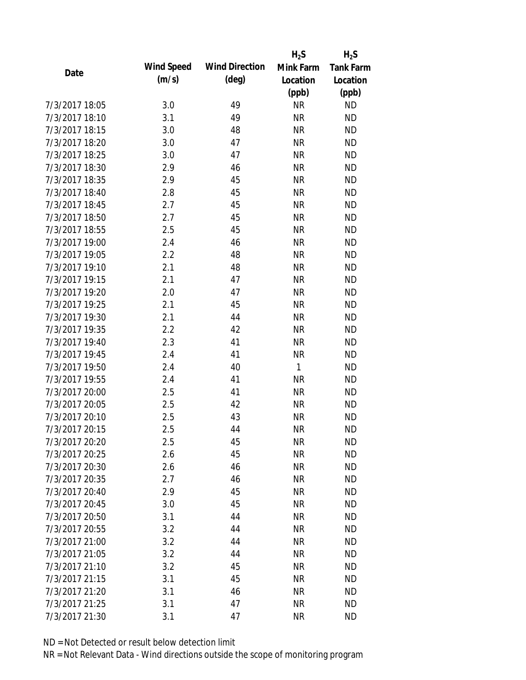|                |                   |                       | $H_2S$    | $H_2S$           |
|----------------|-------------------|-----------------------|-----------|------------------|
| Date           | <b>Wind Speed</b> | <b>Wind Direction</b> | Mink Farm | <b>Tank Farm</b> |
|                | (m/s)             | $(\text{deg})$        | Location  | Location         |
|                |                   |                       | (ppb)     | (ppb)            |
| 7/3/2017 18:05 | 3.0               | 49                    | <b>NR</b> | <b>ND</b>        |
| 7/3/2017 18:10 | 3.1               | 49                    | <b>NR</b> | <b>ND</b>        |
| 7/3/2017 18:15 | 3.0               | 48                    | <b>NR</b> | <b>ND</b>        |
| 7/3/2017 18:20 | 3.0               | 47                    | <b>NR</b> | <b>ND</b>        |
| 7/3/2017 18:25 | 3.0               | 47                    | <b>NR</b> | <b>ND</b>        |
| 7/3/2017 18:30 | 2.9               | 46                    | <b>NR</b> | <b>ND</b>        |
| 7/3/2017 18:35 | 2.9               | 45                    | <b>NR</b> | <b>ND</b>        |
| 7/3/2017 18:40 | 2.8               | 45                    | <b>NR</b> | <b>ND</b>        |
| 7/3/2017 18:45 | 2.7               | 45                    | <b>NR</b> | <b>ND</b>        |
| 7/3/2017 18:50 | 2.7               | 45                    | <b>NR</b> | <b>ND</b>        |
| 7/3/2017 18:55 | 2.5               | 45                    | <b>NR</b> | <b>ND</b>        |
| 7/3/2017 19:00 | 2.4               | 46                    | <b>NR</b> | <b>ND</b>        |
| 7/3/2017 19:05 | 2.2               | 48                    | <b>NR</b> | <b>ND</b>        |
| 7/3/2017 19:10 | 2.1               | 48                    | <b>NR</b> | <b>ND</b>        |
| 7/3/2017 19:15 | 2.1               | 47                    | <b>NR</b> | <b>ND</b>        |
| 7/3/2017 19:20 | 2.0               | 47                    | <b>NR</b> | <b>ND</b>        |
| 7/3/2017 19:25 | 2.1               | 45                    | <b>NR</b> | <b>ND</b>        |
| 7/3/2017 19:30 | 2.1               | 44                    | <b>NR</b> | <b>ND</b>        |
| 7/3/2017 19:35 | 2.2               | 42                    | <b>NR</b> | <b>ND</b>        |
| 7/3/2017 19:40 | 2.3               | 41                    | <b>NR</b> | <b>ND</b>        |
| 7/3/2017 19:45 | 2.4               | 41                    | <b>NR</b> | <b>ND</b>        |
| 7/3/2017 19:50 | 2.4               | 40                    | 1         | <b>ND</b>        |
| 7/3/2017 19:55 | 2.4               | 41                    | <b>NR</b> | <b>ND</b>        |
| 7/3/2017 20:00 | 2.5               | 41                    | <b>NR</b> | <b>ND</b>        |
| 7/3/2017 20:05 | 2.5               | 42                    | <b>NR</b> | <b>ND</b>        |
| 7/3/2017 20:10 | 2.5               | 43                    | <b>NR</b> | <b>ND</b>        |
| 7/3/2017 20:15 | 2.5               | 44                    | <b>NR</b> | <b>ND</b>        |
| 7/3/2017 20:20 | 2.5               | 45                    | <b>NR</b> | <b>ND</b>        |
| 7/3/2017 20:25 | 2.6               | 45                    | <b>NR</b> | <b>ND</b>        |
| 7/3/2017 20:30 | 2.6               | 46                    | <b>NR</b> | <b>ND</b>        |
| 7/3/2017 20:35 | 2.7               | 46                    | <b>NR</b> | <b>ND</b>        |
| 7/3/2017 20:40 | 2.9               | 45                    | <b>NR</b> | <b>ND</b>        |
| 7/3/2017 20:45 | 3.0               | 45                    | <b>NR</b> | <b>ND</b>        |
| 7/3/2017 20:50 | 3.1               | 44                    | <b>NR</b> | <b>ND</b>        |
| 7/3/2017 20:55 | 3.2               | 44                    | <b>NR</b> | <b>ND</b>        |
| 7/3/2017 21:00 | 3.2               | 44                    | <b>NR</b> | <b>ND</b>        |
| 7/3/2017 21:05 | 3.2               | 44                    | <b>NR</b> | <b>ND</b>        |
| 7/3/2017 21:10 | 3.2               | 45                    | <b>NR</b> | <b>ND</b>        |
| 7/3/2017 21:15 | 3.1               | 45                    | <b>NR</b> | <b>ND</b>        |
| 7/3/2017 21:20 | 3.1               | 46                    | ΝR        | <b>ND</b>        |
| 7/3/2017 21:25 | 3.1               | 47                    | <b>NR</b> | <b>ND</b>        |
| 7/3/2017 21:30 | 3.1               | 47                    | <b>NR</b> | <b>ND</b>        |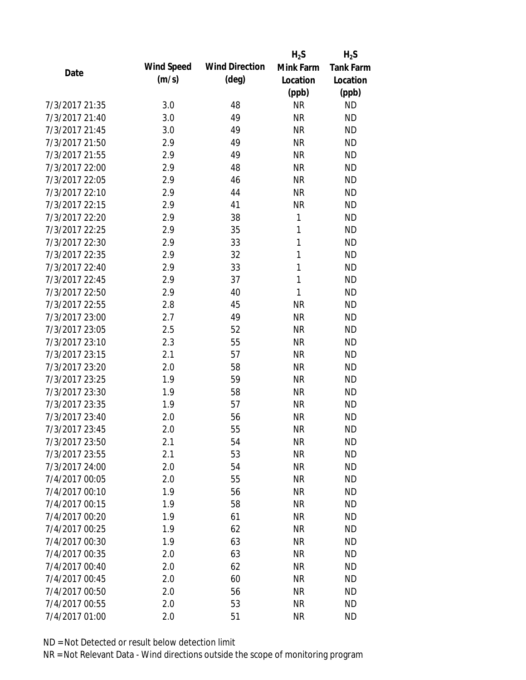|                |                   |                       | $H_2S$    | $H_2S$           |
|----------------|-------------------|-----------------------|-----------|------------------|
| Date           | <b>Wind Speed</b> | <b>Wind Direction</b> | Mink Farm | <b>Tank Farm</b> |
|                | (m/s)             | $(\text{deg})$        | Location  | Location         |
|                |                   |                       | (ppb)     | (ppb)            |
| 7/3/2017 21:35 | 3.0               | 48                    | <b>NR</b> | <b>ND</b>        |
| 7/3/2017 21:40 | 3.0               | 49                    | <b>NR</b> | <b>ND</b>        |
| 7/3/2017 21:45 | 3.0               | 49                    | <b>NR</b> | <b>ND</b>        |
| 7/3/2017 21:50 | 2.9               | 49                    | <b>NR</b> | <b>ND</b>        |
| 7/3/2017 21:55 | 2.9               | 49                    | <b>NR</b> | <b>ND</b>        |
| 7/3/2017 22:00 | 2.9               | 48                    | <b>NR</b> | <b>ND</b>        |
| 7/3/2017 22:05 | 2.9               | 46                    | <b>NR</b> | <b>ND</b>        |
| 7/3/2017 22:10 | 2.9               | 44                    | <b>NR</b> | <b>ND</b>        |
| 7/3/2017 22:15 | 2.9               | 41                    | <b>NR</b> | <b>ND</b>        |
| 7/3/2017 22:20 | 2.9               | 38                    | 1         | <b>ND</b>        |
| 7/3/2017 22:25 | 2.9               | 35                    | 1         | <b>ND</b>        |
| 7/3/2017 22:30 | 2.9               | 33                    | 1         | <b>ND</b>        |
| 7/3/2017 22:35 | 2.9               | 32                    | 1         | <b>ND</b>        |
| 7/3/2017 22:40 | 2.9               | 33                    | 1         | <b>ND</b>        |
| 7/3/2017 22:45 | 2.9               | 37                    | 1         | <b>ND</b>        |
| 7/3/2017 22:50 | 2.9               | 40                    | 1         | <b>ND</b>        |
| 7/3/2017 22:55 | 2.8               | 45                    | <b>NR</b> | <b>ND</b>        |
| 7/3/2017 23:00 | 2.7               | 49                    | <b>NR</b> | <b>ND</b>        |
| 7/3/2017 23:05 | 2.5               | 52                    | <b>NR</b> | <b>ND</b>        |
| 7/3/2017 23:10 | 2.3               | 55                    | <b>NR</b> | <b>ND</b>        |
| 7/3/2017 23:15 | 2.1               | 57                    | <b>NR</b> | <b>ND</b>        |
| 7/3/2017 23:20 | 2.0               | 58                    | <b>NR</b> | <b>ND</b>        |
| 7/3/2017 23:25 | 1.9               | 59                    | <b>NR</b> | <b>ND</b>        |
| 7/3/2017 23:30 | 1.9               | 58                    | <b>NR</b> | <b>ND</b>        |
| 7/3/2017 23:35 | 1.9               | 57                    | <b>NR</b> | <b>ND</b>        |
| 7/3/2017 23:40 | 2.0               | 56                    | <b>NR</b> | <b>ND</b>        |
| 7/3/2017 23:45 | 2.0               | 55                    | <b>NR</b> | <b>ND</b>        |
| 7/3/2017 23:50 | 2.1               | 54                    | <b>NR</b> | <b>ND</b>        |
| 7/3/2017 23:55 | 2.1               | 53                    | <b>NR</b> | <b>ND</b>        |
| 7/3/2017 24:00 | 2.0               | 54                    | <b>NR</b> | <b>ND</b>        |
| 7/4/2017 00:05 | 2.0               | 55                    | <b>NR</b> | <b>ND</b>        |
| 7/4/2017 00:10 | 1.9               | 56                    | <b>NR</b> | <b>ND</b>        |
| 7/4/2017 00:15 | 1.9               | 58                    | <b>NR</b> | <b>ND</b>        |
| 7/4/2017 00:20 | 1.9               | 61                    | <b>NR</b> | <b>ND</b>        |
| 7/4/2017 00:25 | 1.9               | 62                    | <b>NR</b> | <b>ND</b>        |
| 7/4/2017 00:30 | 1.9               | 63                    | <b>NR</b> | <b>ND</b>        |
| 7/4/2017 00:35 | 2.0               | 63                    | <b>NR</b> | <b>ND</b>        |
| 7/4/2017 00:40 | 2.0               | 62                    | <b>NR</b> | <b>ND</b>        |
| 7/4/2017 00:45 | 2.0               | 60                    | <b>NR</b> | <b>ND</b>        |
| 7/4/2017 00:50 | 2.0               | 56                    | <b>NR</b> | <b>ND</b>        |
| 7/4/2017 00:55 | 2.0               | 53                    | <b>NR</b> | <b>ND</b>        |
| 7/4/2017 01:00 | 2.0               | 51                    | <b>NR</b> | <b>ND</b>        |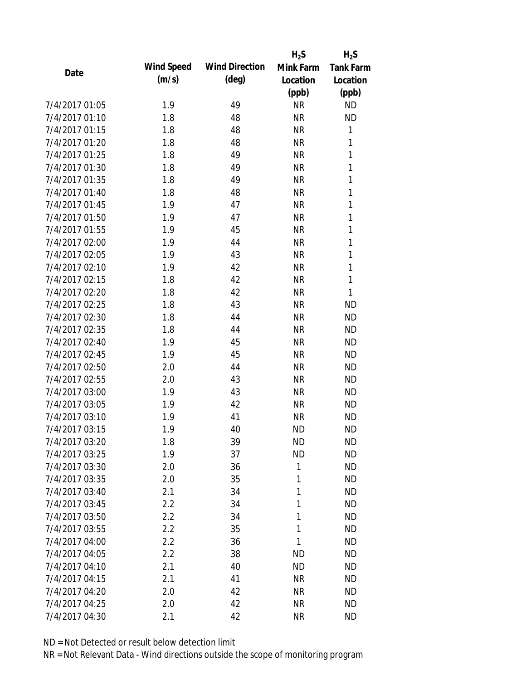|                |            |                       | $H_2S$    | $H_2S$    |
|----------------|------------|-----------------------|-----------|-----------|
| Date           | Wind Speed | <b>Wind Direction</b> | Mink Farm | Tank Farm |
|                | (m/s)      | $(\text{deg})$        | Location  | Location  |
|                |            |                       | (ppb)     | (ppb)     |
| 7/4/2017 01:05 | 1.9        | 49                    | <b>NR</b> | <b>ND</b> |
| 7/4/2017 01:10 | 1.8        | 48                    | <b>NR</b> | <b>ND</b> |
| 7/4/2017 01:15 | 1.8        | 48                    | <b>NR</b> | 1         |
| 7/4/2017 01:20 | 1.8        | 48                    | <b>NR</b> | 1         |
| 7/4/2017 01:25 | 1.8        | 49                    | <b>NR</b> | 1         |
| 7/4/2017 01:30 | 1.8        | 49                    | <b>NR</b> | 1         |
| 7/4/2017 01:35 | 1.8        | 49                    | <b>NR</b> | 1         |
| 7/4/2017 01:40 | 1.8        | 48                    | <b>NR</b> | 1         |
| 7/4/2017 01:45 | 1.9        | 47                    | <b>NR</b> | 1         |
| 7/4/2017 01:50 | 1.9        | 47                    | <b>NR</b> | 1         |
| 7/4/2017 01:55 | 1.9        | 45                    | <b>NR</b> | 1         |
| 7/4/2017 02:00 | 1.9        | 44                    | <b>NR</b> | 1         |
| 7/4/2017 02:05 | 1.9        | 43                    | <b>NR</b> | 1         |
| 7/4/2017 02:10 | 1.9        | 42                    | <b>NR</b> | 1         |
| 7/4/2017 02:15 | 1.8        | 42                    | <b>NR</b> | 1         |
| 7/4/2017 02:20 | 1.8        | 42                    | <b>NR</b> | 1         |
| 7/4/2017 02:25 | 1.8        | 43                    | <b>NR</b> | <b>ND</b> |
| 7/4/2017 02:30 | 1.8        | 44                    | <b>NR</b> | <b>ND</b> |
| 7/4/2017 02:35 | 1.8        | 44                    | <b>NR</b> | <b>ND</b> |
| 7/4/2017 02:40 | 1.9        | 45                    | <b>NR</b> | <b>ND</b> |
| 7/4/2017 02:45 | 1.9        | 45                    | <b>NR</b> | <b>ND</b> |
| 7/4/2017 02:50 | 2.0        | 44                    | <b>NR</b> | <b>ND</b> |
| 7/4/2017 02:55 | 2.0        | 43                    | <b>NR</b> | <b>ND</b> |
| 7/4/2017 03:00 | 1.9        | 43                    | <b>NR</b> | <b>ND</b> |
| 7/4/2017 03:05 | 1.9        | 42                    | <b>NR</b> | <b>ND</b> |
| 7/4/2017 03:10 | 1.9        | 41                    | <b>NR</b> | <b>ND</b> |
| 7/4/2017 03:15 | 1.9        | 40                    | <b>ND</b> | <b>ND</b> |
| 7/4/2017 03:20 | 1.8        | 39                    | <b>ND</b> | <b>ND</b> |
| 7/4/2017 03:25 | 1.9        | 37                    | <b>ND</b> | <b>ND</b> |
| 7/4/2017 03:30 | 2.0        | 36                    | 1         | <b>ND</b> |
| 7/4/2017 03:35 | 2.0        | 35                    | 1         | <b>ND</b> |
| 7/4/2017 03:40 | 2.1        | 34                    | 1         | <b>ND</b> |
| 7/4/2017 03:45 | 2.2        | 34                    | 1         | <b>ND</b> |
| 7/4/2017 03:50 | 2.2        | 34                    | 1         | <b>ND</b> |
| 7/4/2017 03:55 | 2.2        | 35                    | 1         | <b>ND</b> |
| 7/4/2017 04:00 | 2.2        | 36                    | 1         | <b>ND</b> |
| 7/4/2017 04:05 | 2.2        | 38                    | <b>ND</b> | <b>ND</b> |
| 7/4/2017 04:10 | 2.1        | 40                    | <b>ND</b> | <b>ND</b> |
| 7/4/2017 04:15 | 2.1        | 41                    | <b>NR</b> | <b>ND</b> |
| 7/4/2017 04:20 | 2.0        | 42                    | <b>NR</b> | <b>ND</b> |
| 7/4/2017 04:25 | 2.0        | 42                    | <b>NR</b> | <b>ND</b> |
| 7/4/2017 04:30 | 2.1        | 42                    | <b>NR</b> | <b>ND</b> |
|                |            |                       |           |           |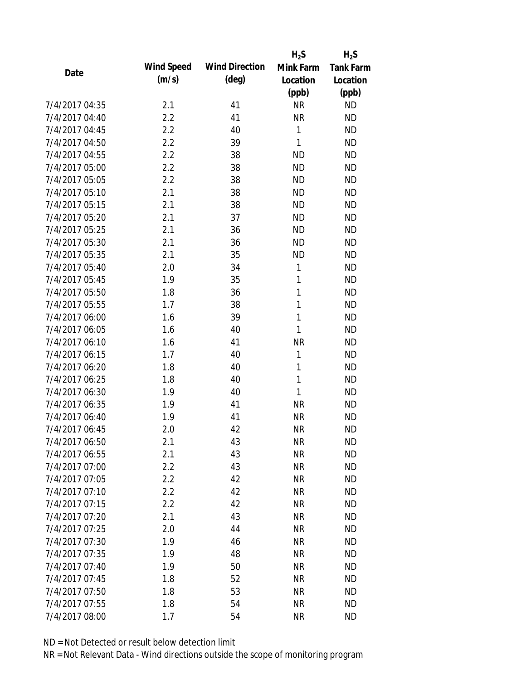|                |                   |                       | $H_2S$       | $H_2S$           |
|----------------|-------------------|-----------------------|--------------|------------------|
| Date           | <b>Wind Speed</b> | <b>Wind Direction</b> | Mink Farm    | <b>Tank Farm</b> |
|                | (m/s)             | $(\text{deg})$        | Location     | Location         |
|                |                   |                       | (ppb)        | (ppb)            |
| 7/4/2017 04:35 | 2.1               | 41                    | <b>NR</b>    | <b>ND</b>        |
| 7/4/2017 04:40 | 2.2               | 41                    | <b>NR</b>    | <b>ND</b>        |
| 7/4/2017 04:45 | 2.2               | 40                    | 1            | <b>ND</b>        |
| 7/4/2017 04:50 | 2.2               | 39                    | $\mathbf{1}$ | <b>ND</b>        |
| 7/4/2017 04:55 | 2.2               | 38                    | <b>ND</b>    | <b>ND</b>        |
| 7/4/2017 05:00 | 2.2               | 38                    | <b>ND</b>    | <b>ND</b>        |
| 7/4/2017 05:05 | 2.2               | 38                    | <b>ND</b>    | <b>ND</b>        |
| 7/4/2017 05:10 | 2.1               | 38                    | <b>ND</b>    | <b>ND</b>        |
| 7/4/2017 05:15 | 2.1               | 38                    | <b>ND</b>    | <b>ND</b>        |
| 7/4/2017 05:20 | 2.1               | 37                    | <b>ND</b>    | <b>ND</b>        |
| 7/4/2017 05:25 | 2.1               | 36                    | <b>ND</b>    | <b>ND</b>        |
| 7/4/2017 05:30 | 2.1               | 36                    | <b>ND</b>    | <b>ND</b>        |
| 7/4/2017 05:35 | 2.1               | 35                    | <b>ND</b>    | <b>ND</b>        |
| 7/4/2017 05:40 | 2.0               | 34                    | 1            | <b>ND</b>        |
| 7/4/2017 05:45 | 1.9               | 35                    | 1            | <b>ND</b>        |
| 7/4/2017 05:50 | 1.8               | 36                    | 1            | <b>ND</b>        |
| 7/4/2017 05:55 | 1.7               | 38                    | $\mathbf{1}$ | <b>ND</b>        |
| 7/4/2017 06:00 | 1.6               | 39                    | $\mathbf{1}$ | <b>ND</b>        |
| 7/4/2017 06:05 | 1.6               | 40                    | 1            | <b>ND</b>        |
| 7/4/2017 06:10 | 1.6               | 41                    | <b>NR</b>    | <b>ND</b>        |
| 7/4/2017 06:15 | 1.7               | 40                    | 1            | <b>ND</b>        |
| 7/4/2017 06:20 | 1.8               | 40                    | 1            | <b>ND</b>        |
| 7/4/2017 06:25 | 1.8               | 40                    | 1            | <b>ND</b>        |
| 7/4/2017 06:30 | 1.9               | 40                    | 1            | <b>ND</b>        |
| 7/4/2017 06:35 | 1.9               | 41                    | <b>NR</b>    | <b>ND</b>        |
| 7/4/2017 06:40 | 1.9               | 41                    | <b>NR</b>    | <b>ND</b>        |
| 7/4/2017 06:45 | 2.0               | 42                    | <b>NR</b>    | <b>ND</b>        |
| 7/4/2017 06:50 | 2.1               | 43                    | <b>NR</b>    | <b>ND</b>        |
| 7/4/2017 06:55 | 2.1               | 43                    | <b>NR</b>    | <b>ND</b>        |
| 7/4/2017 07:00 | 2.2               | 43                    | <b>NR</b>    | <b>ND</b>        |
| 7/4/2017 07:05 | 2.2               | 42                    | <b>NR</b>    | <b>ND</b>        |
| 7/4/2017 07:10 | 2.2               | 42                    | <b>NR</b>    | <b>ND</b>        |
| 7/4/2017 07:15 | 2.2               | 42                    | <b>NR</b>    | <b>ND</b>        |
| 7/4/2017 07:20 | 2.1               | 43                    | <b>NR</b>    | <b>ND</b>        |
| 7/4/2017 07:25 | 2.0               | 44                    | <b>NR</b>    | <b>ND</b>        |
| 7/4/2017 07:30 | 1.9               | 46                    | <b>NR</b>    | <b>ND</b>        |
| 7/4/2017 07:35 | 1.9               | 48                    | <b>NR</b>    | <b>ND</b>        |
| 7/4/2017 07:40 | 1.9               | 50                    | <b>NR</b>    | <b>ND</b>        |
| 7/4/2017 07:45 | 1.8               | 52                    | <b>NR</b>    | <b>ND</b>        |
| 7/4/2017 07:50 | 1.8               | 53                    | <b>NR</b>    | <b>ND</b>        |
| 7/4/2017 07:55 | 1.8               | 54                    | <b>NR</b>    | <b>ND</b>        |
| 7/4/2017 08:00 | 1.7               | 54                    | <b>NR</b>    | <b>ND</b>        |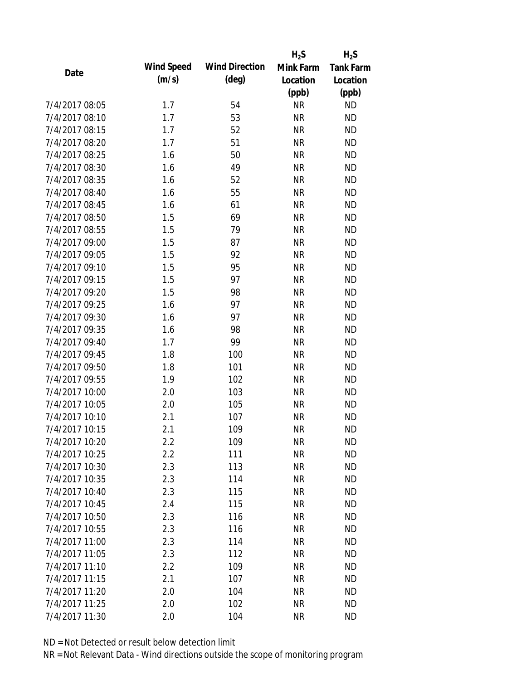|                |                   |                       | $H_2S$    | $H_2S$           |
|----------------|-------------------|-----------------------|-----------|------------------|
| Date           | <b>Wind Speed</b> | <b>Wind Direction</b> | Mink Farm | <b>Tank Farm</b> |
|                | (m/s)             | $(\text{deg})$        | Location  | Location         |
|                |                   |                       | (ppb)     | (ppb)            |
| 7/4/2017 08:05 | 1.7               | 54                    | <b>NR</b> | <b>ND</b>        |
| 7/4/2017 08:10 | 1.7               | 53                    | <b>NR</b> | <b>ND</b>        |
| 7/4/2017 08:15 | 1.7               | 52                    | <b>NR</b> | <b>ND</b>        |
| 7/4/2017 08:20 | 1.7               | 51                    | <b>NR</b> | <b>ND</b>        |
| 7/4/2017 08:25 | 1.6               | 50                    | <b>NR</b> | <b>ND</b>        |
| 7/4/2017 08:30 | 1.6               | 49                    | <b>NR</b> | <b>ND</b>        |
| 7/4/2017 08:35 | 1.6               | 52                    | <b>NR</b> | <b>ND</b>        |
| 7/4/2017 08:40 | 1.6               | 55                    | <b>NR</b> | <b>ND</b>        |
| 7/4/2017 08:45 | 1.6               | 61                    | <b>NR</b> | <b>ND</b>        |
| 7/4/2017 08:50 | 1.5               | 69                    | <b>NR</b> | <b>ND</b>        |
| 7/4/2017 08:55 | 1.5               | 79                    | <b>NR</b> | <b>ND</b>        |
| 7/4/2017 09:00 | 1.5               | 87                    | <b>NR</b> | <b>ND</b>        |
| 7/4/2017 09:05 | 1.5               | 92                    | <b>NR</b> | <b>ND</b>        |
| 7/4/2017 09:10 | 1.5               | 95                    | <b>NR</b> | <b>ND</b>        |
| 7/4/2017 09:15 | 1.5               | 97                    | <b>NR</b> | <b>ND</b>        |
| 7/4/2017 09:20 | 1.5               | 98                    | <b>NR</b> | <b>ND</b>        |
| 7/4/2017 09:25 | 1.6               | 97                    | <b>NR</b> | <b>ND</b>        |
| 7/4/2017 09:30 | 1.6               | 97                    | <b>NR</b> | <b>ND</b>        |
| 7/4/2017 09:35 | 1.6               | 98                    | <b>NR</b> | <b>ND</b>        |
| 7/4/2017 09:40 | 1.7               | 99                    | <b>NR</b> | <b>ND</b>        |
| 7/4/2017 09:45 | 1.8               | 100                   | <b>NR</b> | <b>ND</b>        |
| 7/4/2017 09:50 | 1.8               | 101                   | <b>NR</b> | <b>ND</b>        |
| 7/4/2017 09:55 | 1.9               | 102                   | <b>NR</b> | <b>ND</b>        |
| 7/4/2017 10:00 | 2.0               | 103                   | <b>NR</b> | <b>ND</b>        |
| 7/4/2017 10:05 | 2.0               | 105                   | <b>NR</b> | <b>ND</b>        |
| 7/4/2017 10:10 | 2.1               | 107                   | <b>NR</b> | <b>ND</b>        |
| 7/4/2017 10:15 | 2.1               | 109                   | <b>NR</b> | <b>ND</b>        |
| 7/4/2017 10:20 | 2.2               | 109                   | <b>NR</b> | <b>ND</b>        |
| 7/4/2017 10:25 | 2.2               | 111                   | <b>NR</b> | <b>ND</b>        |
| 7/4/2017 10:30 | 2.3               | 113                   | <b>NR</b> | <b>ND</b>        |
| 7/4/2017 10:35 | 2.3               | 114                   | <b>NR</b> | <b>ND</b>        |
| 7/4/2017 10:40 | 2.3               | 115                   | <b>NR</b> | <b>ND</b>        |
| 7/4/2017 10:45 | 2.4               | 115                   | <b>NR</b> | <b>ND</b>        |
| 7/4/2017 10:50 | 2.3               | 116                   | <b>NR</b> | <b>ND</b>        |
| 7/4/2017 10:55 | 2.3               | 116                   | <b>NR</b> | <b>ND</b>        |
| 7/4/2017 11:00 | 2.3               | 114                   | <b>NR</b> | <b>ND</b>        |
| 7/4/2017 11:05 | 2.3               | 112                   | <b>NR</b> | <b>ND</b>        |
| 7/4/2017 11:10 | 2.2               | 109                   | <b>NR</b> | <b>ND</b>        |
| 7/4/2017 11:15 | 2.1               | 107                   | <b>NR</b> | <b>ND</b>        |
| 7/4/2017 11:20 | 2.0               | 104                   | <b>NR</b> | <b>ND</b>        |
| 7/4/2017 11:25 | 2.0               | 102                   | <b>NR</b> | <b>ND</b>        |
| 7/4/2017 11:30 | 2.0               | 104                   | <b>NR</b> | <b>ND</b>        |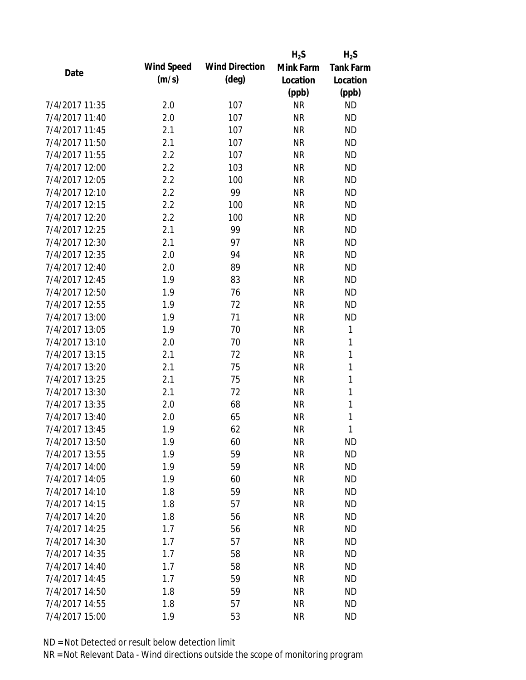|                |                   |                       | $H_2S$    | $H_2S$           |
|----------------|-------------------|-----------------------|-----------|------------------|
|                | <b>Wind Speed</b> | <b>Wind Direction</b> | Mink Farm | <b>Tank Farm</b> |
| Date           | (m/s)             | $(\text{deg})$        | Location  | Location         |
|                |                   |                       | (ppb)     | (ppb)            |
| 7/4/2017 11:35 | 2.0               | 107                   | <b>NR</b> | <b>ND</b>        |
| 7/4/2017 11:40 | 2.0               | 107                   | <b>NR</b> | <b>ND</b>        |
| 7/4/2017 11:45 | 2.1               | 107                   | <b>NR</b> | <b>ND</b>        |
| 7/4/2017 11:50 | 2.1               | 107                   | <b>NR</b> | <b>ND</b>        |
| 7/4/2017 11:55 | 2.2               | 107                   | <b>NR</b> | <b>ND</b>        |
| 7/4/2017 12:00 | 2.2               | 103                   | <b>NR</b> | <b>ND</b>        |
| 7/4/2017 12:05 | 2.2               | 100                   | <b>NR</b> | <b>ND</b>        |
| 7/4/2017 12:10 | 2.2               | 99                    | <b>NR</b> | <b>ND</b>        |
| 7/4/2017 12:15 | 2.2               | 100                   | <b>NR</b> | <b>ND</b>        |
| 7/4/2017 12:20 | 2.2               | 100                   | <b>NR</b> | <b>ND</b>        |
| 7/4/2017 12:25 | 2.1               | 99                    | <b>NR</b> | <b>ND</b>        |
| 7/4/2017 12:30 | 2.1               | 97                    | <b>NR</b> | <b>ND</b>        |
| 7/4/2017 12:35 | 2.0               | 94                    | <b>NR</b> | <b>ND</b>        |
| 7/4/2017 12:40 | 2.0               | 89                    | <b>NR</b> | <b>ND</b>        |
| 7/4/2017 12:45 | 1.9               | 83                    | <b>NR</b> | <b>ND</b>        |
| 7/4/2017 12:50 | 1.9               | 76                    | <b>NR</b> | <b>ND</b>        |
| 7/4/2017 12:55 | 1.9               | 72                    | <b>NR</b> | <b>ND</b>        |
| 7/4/2017 13:00 | 1.9               | 71                    | <b>NR</b> | <b>ND</b>        |
| 7/4/2017 13:05 | 1.9               | 70                    | <b>NR</b> | 1                |
| 7/4/2017 13:10 | 2.0               | 70                    | <b>NR</b> | 1                |
| 7/4/2017 13:15 | 2.1               | 72                    | <b>NR</b> | $\mathbf{1}$     |
| 7/4/2017 13:20 | 2.1               | 75                    | <b>NR</b> | $\mathbf 1$      |
| 7/4/2017 13:25 | 2.1               | 75                    | <b>NR</b> | 1                |
| 7/4/2017 13:30 | 2.1               | 72                    | <b>NR</b> | $\mathbf{1}$     |
| 7/4/2017 13:35 | 2.0               | 68                    | <b>NR</b> | 1                |
| 7/4/2017 13:40 | 2.0               | 65                    | <b>NR</b> | 1                |
| 7/4/2017 13:45 | 1.9               | 62                    | <b>NR</b> | 1                |
| 7/4/2017 13:50 | 1.9               | 60                    | <b>NR</b> | <b>ND</b>        |
| 7/4/2017 13:55 | 1.9               | 59                    | <b>NR</b> | <b>ND</b>        |
| 7/4/2017 14:00 | 1.9               | 59                    | <b>NR</b> | <b>ND</b>        |
| 7/4/2017 14:05 | 1.9               | 60                    | <b>NR</b> | <b>ND</b>        |
| 7/4/2017 14:10 | 1.8               | 59                    | <b>NR</b> | <b>ND</b>        |
| 7/4/2017 14:15 | 1.8               | 57                    | <b>NR</b> | <b>ND</b>        |
| 7/4/2017 14:20 | 1.8               | 56                    | <b>NR</b> | <b>ND</b>        |
| 7/4/2017 14:25 | 1.7               | 56                    | <b>NR</b> | <b>ND</b>        |
| 7/4/2017 14:30 | 1.7               | 57                    | <b>NR</b> | <b>ND</b>        |
| 7/4/2017 14:35 | 1.7               | 58                    | <b>NR</b> | <b>ND</b>        |
| 7/4/2017 14:40 | 1.7               | 58                    | <b>NR</b> | <b>ND</b>        |
| 7/4/2017 14:45 | 1.7               | 59                    | <b>NR</b> | <b>ND</b>        |
| 7/4/2017 14:50 | 1.8               | 59                    | <b>NR</b> | <b>ND</b>        |
| 7/4/2017 14:55 | 1.8               | 57                    | <b>NR</b> | <b>ND</b>        |
| 7/4/2017 15:00 | 1.9               | 53                    | <b>NR</b> | <b>ND</b>        |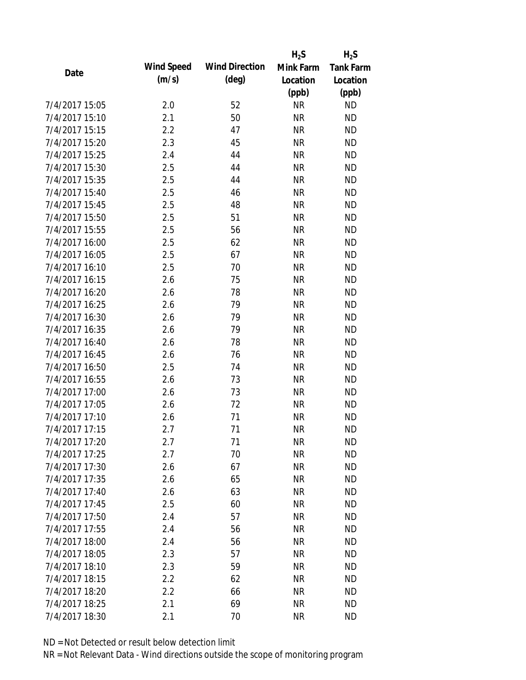|                |                   |                       | $H_2S$    | $H_2S$           |
|----------------|-------------------|-----------------------|-----------|------------------|
|                | <b>Wind Speed</b> | <b>Wind Direction</b> | Mink Farm | <b>Tank Farm</b> |
| Date           | (m/s)             | $(\text{deg})$        | Location  | Location         |
|                |                   |                       | (ppb)     | (ppb)            |
| 7/4/2017 15:05 | 2.0               | 52                    | <b>NR</b> | <b>ND</b>        |
| 7/4/2017 15:10 | 2.1               | 50                    | <b>NR</b> | <b>ND</b>        |
| 7/4/2017 15:15 | 2.2               | 47                    | <b>NR</b> | <b>ND</b>        |
| 7/4/2017 15:20 | 2.3               | 45                    | <b>NR</b> | <b>ND</b>        |
| 7/4/2017 15:25 | 2.4               | 44                    | <b>NR</b> | <b>ND</b>        |
| 7/4/2017 15:30 | 2.5               | 44                    | <b>NR</b> | <b>ND</b>        |
| 7/4/2017 15:35 | 2.5               | 44                    | <b>NR</b> | <b>ND</b>        |
| 7/4/2017 15:40 | 2.5               | 46                    | <b>NR</b> | <b>ND</b>        |
| 7/4/2017 15:45 | 2.5               | 48                    | <b>NR</b> | <b>ND</b>        |
| 7/4/2017 15:50 | 2.5               | 51                    | <b>NR</b> | <b>ND</b>        |
| 7/4/2017 15:55 | 2.5               | 56                    | <b>NR</b> | <b>ND</b>        |
| 7/4/2017 16:00 | 2.5               | 62                    | <b>NR</b> | <b>ND</b>        |
| 7/4/2017 16:05 | 2.5               | 67                    | <b>NR</b> | <b>ND</b>        |
| 7/4/2017 16:10 | 2.5               | 70                    | <b>NR</b> | <b>ND</b>        |
| 7/4/2017 16:15 | 2.6               | 75                    | <b>NR</b> | <b>ND</b>        |
| 7/4/2017 16:20 | 2.6               | 78                    | <b>NR</b> | <b>ND</b>        |
| 7/4/2017 16:25 | 2.6               | 79                    | <b>NR</b> | <b>ND</b>        |
| 7/4/2017 16:30 | 2.6               | 79                    | <b>NR</b> | <b>ND</b>        |
| 7/4/2017 16:35 | 2.6               | 79                    | <b>NR</b> | <b>ND</b>        |
| 7/4/2017 16:40 | 2.6               | 78                    | <b>NR</b> | <b>ND</b>        |
| 7/4/2017 16:45 | 2.6               | 76                    | <b>NR</b> | <b>ND</b>        |
| 7/4/2017 16:50 | 2.5               | 74                    | <b>NR</b> | <b>ND</b>        |
| 7/4/2017 16:55 | 2.6               | 73                    | <b>NR</b> | <b>ND</b>        |
| 7/4/2017 17:00 | 2.6               | 73                    | <b>NR</b> | <b>ND</b>        |
| 7/4/2017 17:05 | 2.6               | 72                    | <b>NR</b> | <b>ND</b>        |
| 7/4/2017 17:10 | 2.6               | 71                    | <b>NR</b> | <b>ND</b>        |
| 7/4/2017 17:15 | 2.7               | 71                    | <b>NR</b> | <b>ND</b>        |
| 7/4/2017 17:20 | 2.7               | 71                    | <b>NR</b> | <b>ND</b>        |
| 7/4/2017 17:25 | 2.7               | 70                    | <b>NR</b> | <b>ND</b>        |
| 7/4/2017 17:30 | 2.6               | 67                    | <b>NR</b> | <b>ND</b>        |
| 7/4/2017 17:35 | 2.6               | 65                    | <b>NR</b> | <b>ND</b>        |
| 7/4/2017 17:40 | 2.6               | 63                    | <b>NR</b> | <b>ND</b>        |
| 7/4/2017 17:45 | 2.5               | 60                    | <b>NR</b> | <b>ND</b>        |
| 7/4/2017 17:50 | 2.4               | 57                    | <b>NR</b> | <b>ND</b>        |
| 7/4/2017 17:55 | 2.4               | 56                    | <b>NR</b> | <b>ND</b>        |
| 7/4/2017 18:00 | 2.4               | 56                    | <b>NR</b> | <b>ND</b>        |
| 7/4/2017 18:05 | 2.3               | 57                    | <b>NR</b> | <b>ND</b>        |
| 7/4/2017 18:10 | 2.3               | 59                    | <b>NR</b> | <b>ND</b>        |
| 7/4/2017 18:15 | 2.2               | 62                    | <b>NR</b> | <b>ND</b>        |
| 7/4/2017 18:20 | 2.2               | 66                    | ΝR        | <b>ND</b>        |
| 7/4/2017 18:25 |                   | 69                    | <b>NR</b> | <b>ND</b>        |
|                | 2.1               |                       |           |                  |
| 7/4/2017 18:30 | 2.1               | 70                    | <b>NR</b> | <b>ND</b>        |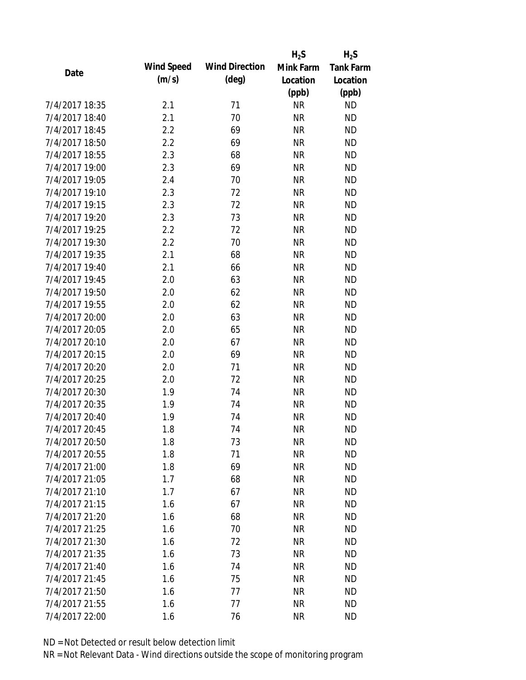|                |                   |                       | $H_2S$    | $H_2S$           |
|----------------|-------------------|-----------------------|-----------|------------------|
| Date           | <b>Wind Speed</b> | <b>Wind Direction</b> | Mink Farm | <b>Tank Farm</b> |
|                | (m/s)             | $(\text{deg})$        | Location  | Location         |
|                |                   |                       | (ppb)     | (ppb)            |
| 7/4/2017 18:35 | 2.1               | 71                    | <b>NR</b> | <b>ND</b>        |
| 7/4/2017 18:40 | 2.1               | 70                    | <b>NR</b> | <b>ND</b>        |
| 7/4/2017 18:45 | 2.2               | 69                    | <b>NR</b> | <b>ND</b>        |
| 7/4/2017 18:50 | 2.2               | 69                    | <b>NR</b> | <b>ND</b>        |
| 7/4/2017 18:55 | 2.3               | 68                    | <b>NR</b> | <b>ND</b>        |
| 7/4/2017 19:00 | 2.3               | 69                    | <b>NR</b> | <b>ND</b>        |
| 7/4/2017 19:05 | 2.4               | 70                    | <b>NR</b> | <b>ND</b>        |
| 7/4/2017 19:10 | 2.3               | 72                    | <b>NR</b> | <b>ND</b>        |
| 7/4/2017 19:15 | 2.3               | 72                    | <b>NR</b> | <b>ND</b>        |
| 7/4/2017 19:20 | 2.3               | 73                    | <b>NR</b> | <b>ND</b>        |
| 7/4/2017 19:25 | 2.2               | 72                    | <b>NR</b> | <b>ND</b>        |
| 7/4/2017 19:30 | 2.2               | 70                    | <b>NR</b> | <b>ND</b>        |
| 7/4/2017 19:35 | 2.1               | 68                    | <b>NR</b> | <b>ND</b>        |
| 7/4/2017 19:40 | 2.1               | 66                    | <b>NR</b> | <b>ND</b>        |
| 7/4/2017 19:45 | 2.0               | 63                    | <b>NR</b> | <b>ND</b>        |
| 7/4/2017 19:50 | 2.0               | 62                    | <b>NR</b> | <b>ND</b>        |
| 7/4/2017 19:55 | 2.0               | 62                    | <b>NR</b> | <b>ND</b>        |
| 7/4/2017 20:00 | 2.0               | 63                    | <b>NR</b> | <b>ND</b>        |
| 7/4/2017 20:05 | 2.0               | 65                    | <b>NR</b> | <b>ND</b>        |
| 7/4/2017 20:10 | 2.0               | 67                    | <b>NR</b> | <b>ND</b>        |
| 7/4/2017 20:15 | 2.0               | 69                    | <b>NR</b> | <b>ND</b>        |
| 7/4/2017 20:20 | 2.0               | 71                    | <b>NR</b> | <b>ND</b>        |
| 7/4/2017 20:25 | 2.0               | 72                    | <b>NR</b> | <b>ND</b>        |
| 7/4/2017 20:30 | 1.9               | 74                    | <b>NR</b> | <b>ND</b>        |
| 7/4/2017 20:35 | 1.9               | 74                    | <b>NR</b> | <b>ND</b>        |
| 7/4/2017 20:40 | 1.9               | 74                    | <b>NR</b> | <b>ND</b>        |
| 7/4/2017 20:45 | 1.8               | 74                    | <b>NR</b> | <b>ND</b>        |
| 7/4/2017 20:50 | 1.8               | 73                    | <b>NR</b> | <b>ND</b>        |
| 7/4/2017 20:55 | 1.8               | 71                    | <b>NR</b> | <b>ND</b>        |
| 7/4/2017 21:00 | 1.8               | 69                    | <b>NR</b> | <b>ND</b>        |
| 7/4/2017 21:05 | 1.7               | 68                    | <b>NR</b> | <b>ND</b>        |
| 7/4/2017 21:10 | 1.7               | 67                    | <b>NR</b> | <b>ND</b>        |
| 7/4/2017 21:15 | 1.6               | 67                    | <b>NR</b> | <b>ND</b>        |
| 7/4/2017 21:20 | 1.6               | 68                    | <b>NR</b> | <b>ND</b>        |
| 7/4/2017 21:25 | 1.6               | 70                    | <b>NR</b> | <b>ND</b>        |
| 7/4/2017 21:30 | 1.6               | 72                    | <b>NR</b> | <b>ND</b>        |
| 7/4/2017 21:35 | 1.6               | 73                    | <b>NR</b> | <b>ND</b>        |
| 7/4/2017 21:40 | 1.6               | 74                    | <b>NR</b> | <b>ND</b>        |
| 7/4/2017 21:45 | 1.6               | 75                    | <b>NR</b> | <b>ND</b>        |
| 7/4/2017 21:50 | 1.6               | 77                    | <b>NR</b> | <b>ND</b>        |
| 7/4/2017 21:55 | 1.6               | 77                    | <b>NR</b> | <b>ND</b>        |
| 7/4/2017 22:00 | 1.6               | 76                    | <b>NR</b> | <b>ND</b>        |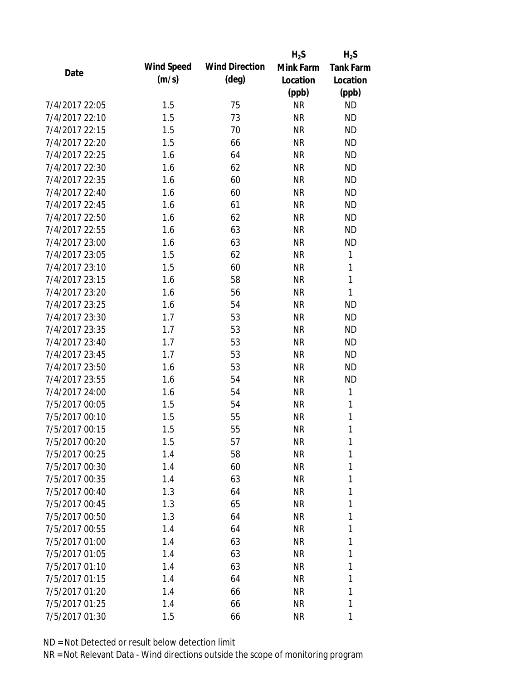|                |                   |                       | $H_2S$    | $H_2S$           |
|----------------|-------------------|-----------------------|-----------|------------------|
| Date           | <b>Wind Speed</b> | <b>Wind Direction</b> | Mink Farm | <b>Tank Farm</b> |
|                | (m/s)             | $(\text{deg})$        | Location  | Location         |
|                |                   |                       | (ppb)     | (ppb)            |
| 7/4/2017 22:05 | 1.5               | 75                    | <b>NR</b> | <b>ND</b>        |
| 7/4/2017 22:10 | 1.5               | 73                    | <b>NR</b> | <b>ND</b>        |
| 7/4/2017 22:15 | 1.5               | 70                    | <b>NR</b> | <b>ND</b>        |
| 7/4/2017 22:20 | 1.5               | 66                    | <b>NR</b> | <b>ND</b>        |
| 7/4/2017 22:25 | 1.6               | 64                    | <b>NR</b> | <b>ND</b>        |
| 7/4/2017 22:30 | 1.6               | 62                    | <b>NR</b> | <b>ND</b>        |
| 7/4/2017 22:35 | 1.6               | 60                    | <b>NR</b> | <b>ND</b>        |
| 7/4/2017 22:40 | 1.6               | 60                    | <b>NR</b> | <b>ND</b>        |
| 7/4/2017 22:45 | 1.6               | 61                    | <b>NR</b> | <b>ND</b>        |
| 7/4/2017 22:50 | 1.6               | 62                    | <b>NR</b> | <b>ND</b>        |
| 7/4/2017 22:55 | 1.6               | 63                    | <b>NR</b> | <b>ND</b>        |
| 7/4/2017 23:00 | 1.6               | 63                    | <b>NR</b> | <b>ND</b>        |
| 7/4/2017 23:05 | 1.5               | 62                    | <b>NR</b> | $\mathbf{1}$     |
| 7/4/2017 23:10 | 1.5               | 60                    | <b>NR</b> | $\mathbf{1}$     |
| 7/4/2017 23:15 | 1.6               | 58                    | <b>NR</b> | $\mathbf{1}$     |
| 7/4/2017 23:20 | 1.6               | 56                    | <b>NR</b> | $\mathbf{1}$     |
| 7/4/2017 23:25 | 1.6               | 54                    | <b>NR</b> | <b>ND</b>        |
| 7/4/2017 23:30 | 1.7               | 53                    | <b>NR</b> | <b>ND</b>        |
| 7/4/2017 23:35 | 1.7               | 53                    | <b>NR</b> | <b>ND</b>        |
| 7/4/2017 23:40 | 1.7               | 53                    | <b>NR</b> | <b>ND</b>        |
| 7/4/2017 23:45 | 1.7               | 53                    | <b>NR</b> | <b>ND</b>        |
| 7/4/2017 23:50 | 1.6               | 53                    | <b>NR</b> | <b>ND</b>        |
| 7/4/2017 23:55 | 1.6               | 54                    | <b>NR</b> | <b>ND</b>        |
| 7/4/2017 24:00 | 1.6               | 54                    | <b>NR</b> | 1                |
| 7/5/2017 00:05 | 1.5               | 54                    | <b>NR</b> | $\mathbf{1}$     |
| 7/5/2017 00:10 | 1.5               | 55                    | <b>NR</b> | $\mathbf{1}$     |
| 7/5/2017 00:15 | 1.5               | 55                    | <b>NR</b> | 1                |
| 7/5/2017 00:20 | 1.5               | 57                    | <b>NR</b> | 1                |
| 7/5/2017 00:25 | 1.4               | 58                    | <b>NR</b> | 1                |
| 7/5/2017 00:30 | 1.4               | 60                    | <b>NR</b> | 1                |
| 7/5/2017 00:35 | 1.4               | 63                    | <b>NR</b> | 1                |
| 7/5/2017 00:40 | 1.3               | 64                    | <b>NR</b> | 1                |
| 7/5/2017 00:45 | 1.3               | 65                    | <b>NR</b> | 1                |
| 7/5/2017 00:50 | 1.3               | 64                    | <b>NR</b> | 1                |
| 7/5/2017 00:55 | 1.4               | 64                    | <b>NR</b> | 1                |
| 7/5/2017 01:00 | 1.4               | 63                    | <b>NR</b> | 1                |
| 7/5/2017 01:05 | 1.4               | 63                    | <b>NR</b> | 1                |
| 7/5/2017 01:10 | 1.4               | 63                    | <b>NR</b> | 1                |
| 7/5/2017 01:15 | 1.4               | 64                    | <b>NR</b> | 1                |
| 7/5/2017 01:20 | 1.4               | 66                    | <b>NR</b> | 1                |
| 7/5/2017 01:25 |                   |                       |           | 1                |
|                | 1.4               | 66                    | <b>NR</b> |                  |
| 7/5/2017 01:30 | 1.5               | 66                    | <b>NR</b> | 1                |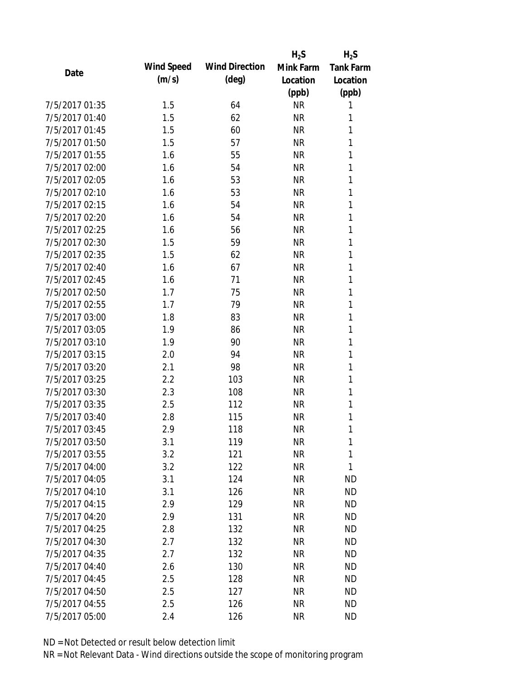|                |            |                       | $H_2S$    | $H_2S$           |
|----------------|------------|-----------------------|-----------|------------------|
| Date           | Wind Speed | <b>Wind Direction</b> | Mink Farm | <b>Tank Farm</b> |
|                | (m/s)      | $(\text{deg})$        | Location  | Location         |
|                |            |                       | (ppb)     | (ppb)            |
| 7/5/2017 01:35 | 1.5        | 64                    | <b>NR</b> | 1                |
| 7/5/2017 01:40 | 1.5        | 62                    | <b>NR</b> | 1                |
| 7/5/2017 01:45 | 1.5        | 60                    | <b>NR</b> | 1                |
| 7/5/2017 01:50 | 1.5        | 57                    | <b>NR</b> | 1                |
| 7/5/2017 01:55 | 1.6        | 55                    | <b>NR</b> | 1                |
| 7/5/2017 02:00 | 1.6        | 54                    | <b>NR</b> | 1                |
| 7/5/2017 02:05 | 1.6        | 53                    | <b>NR</b> | 1                |
| 7/5/2017 02:10 | 1.6        | 53                    | <b>NR</b> | 1                |
| 7/5/2017 02:15 | 1.6        | 54                    | <b>NR</b> | 1                |
| 7/5/2017 02:20 | 1.6        | 54                    | <b>NR</b> | 1                |
| 7/5/2017 02:25 | 1.6        | 56                    | <b>NR</b> | 1                |
| 7/5/2017 02:30 | 1.5        | 59                    | <b>NR</b> | 1                |
| 7/5/2017 02:35 | 1.5        | 62                    | <b>NR</b> | 1                |
| 7/5/2017 02:40 | 1.6        | 67                    | <b>NR</b> | 1                |
| 7/5/2017 02:45 | 1.6        | 71                    | <b>NR</b> | 1                |
| 7/5/2017 02:50 | 1.7        | 75                    | <b>NR</b> | 1                |
| 7/5/2017 02:55 | 1.7        | 79                    | <b>NR</b> | 1                |
| 7/5/2017 03:00 | 1.8        | 83                    | <b>NR</b> | 1                |
| 7/5/2017 03:05 | 1.9        | 86                    | <b>NR</b> | 1                |
| 7/5/2017 03:10 | 1.9        | 90                    | <b>NR</b> | 1                |
| 7/5/2017 03:15 | 2.0        | 94                    | <b>NR</b> | 1                |
| 7/5/2017 03:20 | 2.1        | 98                    | <b>NR</b> | 1                |
| 7/5/2017 03:25 | 2.2        | 103                   | <b>NR</b> | 1                |
| 7/5/2017 03:30 | 2.3        | 108                   | <b>NR</b> | 1                |
| 7/5/2017 03:35 | 2.5        | 112                   | <b>NR</b> | 1                |
| 7/5/2017 03:40 | 2.8        | 115                   | <b>NR</b> | 1                |
| 7/5/2017 03:45 | 2.9        | 118                   | <b>NR</b> | 1                |
| 7/5/2017 03:50 | 3.1        | 119                   | <b>NR</b> | 1                |
| 7/5/2017 03:55 | 3.2        | 121                   | <b>NR</b> | 1                |
| 7/5/2017 04:00 | 3.2        | 122                   | <b>NR</b> | 1                |
| 7/5/2017 04:05 | 3.1        | 124                   | <b>NR</b> | <b>ND</b>        |
| 7/5/2017 04:10 | 3.1        | 126                   | <b>NR</b> | <b>ND</b>        |
| 7/5/2017 04:15 | 2.9        | 129                   | <b>NR</b> | <b>ND</b>        |
| 7/5/2017 04:20 | 2.9        | 131                   | <b>NR</b> | <b>ND</b>        |
| 7/5/2017 04:25 | 2.8        | 132                   | <b>NR</b> | <b>ND</b>        |
| 7/5/2017 04:30 | 2.7        | 132                   | <b>NR</b> | <b>ND</b>        |
| 7/5/2017 04:35 | 2.7        | 132                   | <b>NR</b> | <b>ND</b>        |
| 7/5/2017 04:40 | 2.6        | 130                   | <b>NR</b> | <b>ND</b>        |
| 7/5/2017 04:45 | 2.5        | 128                   | <b>NR</b> | <b>ND</b>        |
| 7/5/2017 04:50 | 2.5        | 127                   | ΝR        | <b>ND</b>        |
| 7/5/2017 04:55 | 2.5        | 126                   | <b>NR</b> | <b>ND</b>        |
| 7/5/2017 05:00 | 2.4        | 126                   | <b>NR</b> | <b>ND</b>        |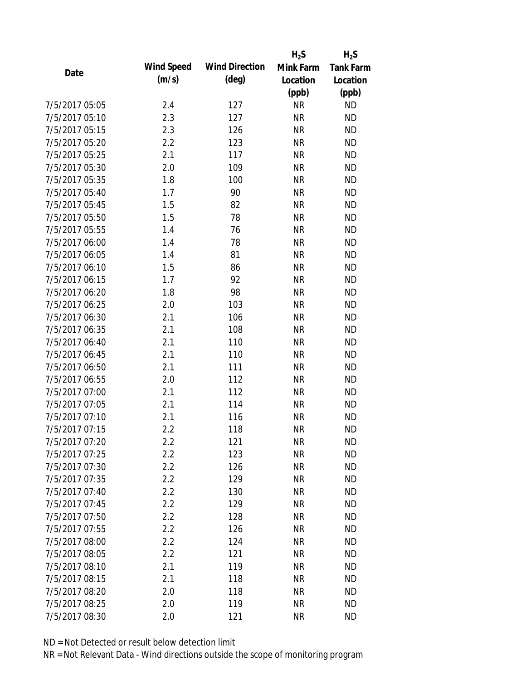|                |                   |                       | $H_2S$    | $H_2S$           |
|----------------|-------------------|-----------------------|-----------|------------------|
| Date           | <b>Wind Speed</b> | <b>Wind Direction</b> | Mink Farm | <b>Tank Farm</b> |
|                | (m/s)             | $(\text{deg})$        | Location  | Location         |
|                |                   |                       | (ppb)     | (ppb)            |
| 7/5/2017 05:05 | 2.4               | 127                   | <b>NR</b> | <b>ND</b>        |
| 7/5/2017 05:10 | 2.3               | 127                   | <b>NR</b> | <b>ND</b>        |
| 7/5/2017 05:15 | 2.3               | 126                   | <b>NR</b> | <b>ND</b>        |
| 7/5/2017 05:20 | 2.2               | 123                   | <b>NR</b> | <b>ND</b>        |
| 7/5/2017 05:25 | 2.1               | 117                   | <b>NR</b> | <b>ND</b>        |
| 7/5/2017 05:30 | 2.0               | 109                   | <b>NR</b> | <b>ND</b>        |
| 7/5/2017 05:35 | 1.8               | 100                   | <b>NR</b> | <b>ND</b>        |
| 7/5/2017 05:40 | 1.7               | 90                    | <b>NR</b> | <b>ND</b>        |
| 7/5/2017 05:45 | 1.5               | 82                    | <b>NR</b> | <b>ND</b>        |
| 7/5/2017 05:50 | 1.5               | 78                    | <b>NR</b> | <b>ND</b>        |
| 7/5/2017 05:55 | 1.4               | 76                    | <b>NR</b> | <b>ND</b>        |
| 7/5/2017 06:00 | 1.4               | 78                    | <b>NR</b> | <b>ND</b>        |
| 7/5/2017 06:05 | 1.4               | 81                    | <b>NR</b> | <b>ND</b>        |
| 7/5/2017 06:10 | 1.5               | 86                    | <b>NR</b> | <b>ND</b>        |
| 7/5/2017 06:15 | 1.7               | 92                    | <b>NR</b> | <b>ND</b>        |
| 7/5/2017 06:20 | 1.8               | 98                    | <b>NR</b> | <b>ND</b>        |
| 7/5/2017 06:25 | 2.0               | 103                   | <b>NR</b> | <b>ND</b>        |
| 7/5/2017 06:30 | 2.1               | 106                   | <b>NR</b> | <b>ND</b>        |
| 7/5/2017 06:35 | 2.1               | 108                   | <b>NR</b> | <b>ND</b>        |
| 7/5/2017 06:40 | 2.1               | 110                   | <b>NR</b> | <b>ND</b>        |
| 7/5/2017 06:45 | 2.1               | 110                   | <b>NR</b> | <b>ND</b>        |
| 7/5/2017 06:50 | 2.1               | 111                   | <b>NR</b> | <b>ND</b>        |
| 7/5/2017 06:55 | 2.0               | 112                   | <b>NR</b> | <b>ND</b>        |
| 7/5/2017 07:00 | 2.1               | 112                   | <b>NR</b> | <b>ND</b>        |
| 7/5/2017 07:05 | 2.1               | 114                   | <b>NR</b> | <b>ND</b>        |
| 7/5/2017 07:10 | 2.1               | 116                   | <b>NR</b> | <b>ND</b>        |
| 7/5/2017 07:15 | 2.2               | 118                   | <b>NR</b> | <b>ND</b>        |
| 7/5/2017 07:20 | 2.2               | 121                   | <b>NR</b> | <b>ND</b>        |
| 7/5/2017 07:25 | 2.2               | 123                   | <b>NR</b> | <b>ND</b>        |
| 7/5/2017 07:30 | 2.2               | 126                   | <b>NR</b> | <b>ND</b>        |
| 7/5/2017 07:35 | 2.2               | 129                   | <b>NR</b> | <b>ND</b>        |
| 7/5/2017 07:40 | 2.2               | 130                   | <b>NR</b> | <b>ND</b>        |
| 7/5/2017 07:45 | 2.2               | 129                   | <b>NR</b> | <b>ND</b>        |
| 7/5/2017 07:50 | 2.2               | 128                   | <b>NR</b> | <b>ND</b>        |
| 7/5/2017 07:55 | 2.2               | 126                   | <b>NR</b> | <b>ND</b>        |
| 7/5/2017 08:00 | 2.2               | 124                   | <b>NR</b> | <b>ND</b>        |
| 7/5/2017 08:05 | 2.2               | 121                   | <b>NR</b> | <b>ND</b>        |
| 7/5/2017 08:10 | 2.1               | 119                   | <b>NR</b> | <b>ND</b>        |
| 7/5/2017 08:15 | 2.1               | 118                   | <b>NR</b> | <b>ND</b>        |
| 7/5/2017 08:20 | 2.0               | 118                   | <b>NR</b> | <b>ND</b>        |
| 7/5/2017 08:25 | 2.0               | 119                   | <b>NR</b> | <b>ND</b>        |
| 7/5/2017 08:30 | 2.0               | 121                   | <b>NR</b> | <b>ND</b>        |
|                |                   |                       |           |                  |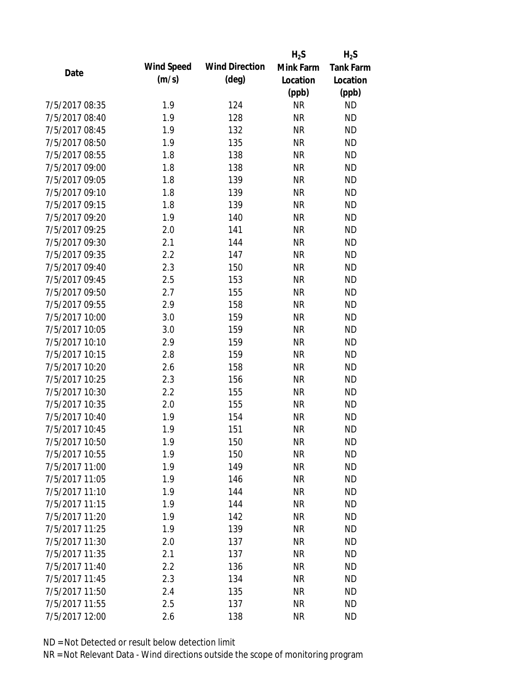|                |                   |                       | $H_2S$    | $H_2S$           |
|----------------|-------------------|-----------------------|-----------|------------------|
| Date           | <b>Wind Speed</b> | <b>Wind Direction</b> | Mink Farm | <b>Tank Farm</b> |
|                | (m/s)             | $(\text{deg})$        | Location  | Location         |
|                |                   |                       | (ppb)     | (ppb)            |
| 7/5/2017 08:35 | 1.9               | 124                   | <b>NR</b> | <b>ND</b>        |
| 7/5/2017 08:40 | 1.9               | 128                   | <b>NR</b> | <b>ND</b>        |
| 7/5/2017 08:45 | 1.9               | 132                   | <b>NR</b> | <b>ND</b>        |
| 7/5/2017 08:50 | 1.9               | 135                   | <b>NR</b> | <b>ND</b>        |
| 7/5/2017 08:55 | 1.8               | 138                   | <b>NR</b> | <b>ND</b>        |
| 7/5/2017 09:00 | 1.8               | 138                   | <b>NR</b> | <b>ND</b>        |
| 7/5/2017 09:05 | 1.8               | 139                   | <b>NR</b> | <b>ND</b>        |
| 7/5/2017 09:10 | 1.8               | 139                   | <b>NR</b> | <b>ND</b>        |
| 7/5/2017 09:15 | 1.8               | 139                   | <b>NR</b> | <b>ND</b>        |
| 7/5/2017 09:20 | 1.9               | 140                   | <b>NR</b> | <b>ND</b>        |
| 7/5/2017 09:25 | 2.0               | 141                   | <b>NR</b> | <b>ND</b>        |
| 7/5/2017 09:30 | 2.1               | 144                   | <b>NR</b> | <b>ND</b>        |
| 7/5/2017 09:35 | 2.2               | 147                   | <b>NR</b> | <b>ND</b>        |
| 7/5/2017 09:40 | 2.3               | 150                   | <b>NR</b> | <b>ND</b>        |
| 7/5/2017 09:45 | 2.5               | 153                   | <b>NR</b> | <b>ND</b>        |
| 7/5/2017 09:50 | 2.7               | 155                   | <b>NR</b> | <b>ND</b>        |
| 7/5/2017 09:55 | 2.9               | 158                   | <b>NR</b> | <b>ND</b>        |
| 7/5/2017 10:00 | 3.0               | 159                   | <b>NR</b> | <b>ND</b>        |
| 7/5/2017 10:05 | 3.0               | 159                   | <b>NR</b> | <b>ND</b>        |
| 7/5/2017 10:10 | 2.9               | 159                   | <b>NR</b> | <b>ND</b>        |
| 7/5/2017 10:15 | 2.8               | 159                   | <b>NR</b> | <b>ND</b>        |
| 7/5/2017 10:20 | 2.6               | 158                   | <b>NR</b> | <b>ND</b>        |
| 7/5/2017 10:25 | 2.3               | 156                   | <b>NR</b> | <b>ND</b>        |
| 7/5/2017 10:30 | 2.2               | 155                   | <b>NR</b> | <b>ND</b>        |
| 7/5/2017 10:35 | 2.0               | 155                   | <b>NR</b> | <b>ND</b>        |
| 7/5/2017 10:40 | 1.9               | 154                   | <b>NR</b> | <b>ND</b>        |
| 7/5/2017 10:45 | 1.9               | 151                   | <b>NR</b> | <b>ND</b>        |
| 7/5/2017 10:50 | 1.9               | 150                   | <b>NR</b> | <b>ND</b>        |
| 7/5/2017 10:55 | 1.9               | 150                   | <b>NR</b> | <b>ND</b>        |
| 7/5/2017 11:00 | 1.9               | 149                   | <b>NR</b> | <b>ND</b>        |
| 7/5/2017 11:05 | 1.9               | 146                   | <b>NR</b> | <b>ND</b>        |
| 7/5/2017 11:10 | 1.9               | 144                   | <b>NR</b> | <b>ND</b>        |
| 7/5/2017 11:15 | 1.9               | 144                   | <b>NR</b> | <b>ND</b>        |
| 7/5/2017 11:20 | 1.9               | 142                   | <b>NR</b> | <b>ND</b>        |
| 7/5/2017 11:25 | 1.9               | 139                   | <b>NR</b> | <b>ND</b>        |
| 7/5/2017 11:30 | 2.0               | 137                   | <b>NR</b> | <b>ND</b>        |
| 7/5/2017 11:35 | 2.1               | 137                   | <b>NR</b> | <b>ND</b>        |
| 7/5/2017 11:40 | 2.2               | 136                   | <b>NR</b> | <b>ND</b>        |
| 7/5/2017 11:45 | 2.3               | 134                   | <b>NR</b> | <b>ND</b>        |
| 7/5/2017 11:50 | 2.4               | 135                   | <b>NR</b> | <b>ND</b>        |
| 7/5/2017 11:55 | 2.5               | 137                   | <b>NR</b> | <b>ND</b>        |
| 7/5/2017 12:00 | 2.6               | 138                   | <b>NR</b> | <b>ND</b>        |
|                |                   |                       |           |                  |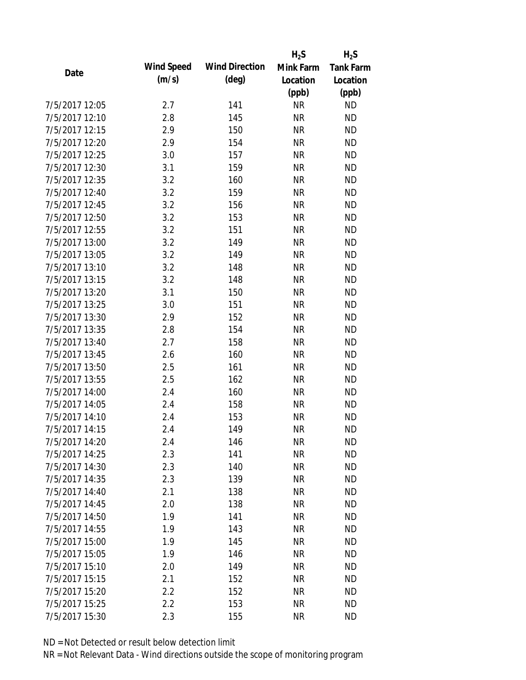|                |                   |                       | $H_2S$    | $H_2S$    |
|----------------|-------------------|-----------------------|-----------|-----------|
| Date           | <b>Wind Speed</b> | <b>Wind Direction</b> | Mink Farm | Tank Farm |
|                | (m/s)             | $(\text{deg})$        | Location  | Location  |
|                |                   |                       | (ppb)     | (ppb)     |
| 7/5/2017 12:05 | 2.7               | 141                   | <b>NR</b> | <b>ND</b> |
| 7/5/2017 12:10 | 2.8               | 145                   | <b>NR</b> | <b>ND</b> |
| 7/5/2017 12:15 | 2.9               | 150                   | <b>NR</b> | <b>ND</b> |
| 7/5/2017 12:20 | 2.9               | 154                   | <b>NR</b> | <b>ND</b> |
| 7/5/2017 12:25 | 3.0               | 157                   | <b>NR</b> | <b>ND</b> |
| 7/5/2017 12:30 | 3.1               | 159                   | <b>NR</b> | <b>ND</b> |
| 7/5/2017 12:35 | 3.2               | 160                   | <b>NR</b> | <b>ND</b> |
| 7/5/2017 12:40 | 3.2               | 159                   | <b>NR</b> | <b>ND</b> |
| 7/5/2017 12:45 | 3.2               | 156                   | <b>NR</b> | <b>ND</b> |
| 7/5/2017 12:50 | 3.2               | 153                   | <b>NR</b> | <b>ND</b> |
| 7/5/2017 12:55 | 3.2               | 151                   | <b>NR</b> | <b>ND</b> |
| 7/5/2017 13:00 | 3.2               | 149                   | <b>NR</b> | <b>ND</b> |
| 7/5/2017 13:05 | 3.2               | 149                   | <b>NR</b> | <b>ND</b> |
| 7/5/2017 13:10 | 3.2               | 148                   | <b>NR</b> | <b>ND</b> |
| 7/5/2017 13:15 | 3.2               | 148                   | <b>NR</b> | <b>ND</b> |
| 7/5/2017 13:20 | 3.1               | 150                   | <b>NR</b> | <b>ND</b> |
| 7/5/2017 13:25 | 3.0               | 151                   | <b>NR</b> | <b>ND</b> |
| 7/5/2017 13:30 | 2.9               | 152                   | <b>NR</b> | <b>ND</b> |
| 7/5/2017 13:35 | 2.8               | 154                   | <b>NR</b> | <b>ND</b> |
| 7/5/2017 13:40 | 2.7               | 158                   | <b>NR</b> | <b>ND</b> |
| 7/5/2017 13:45 | 2.6               | 160                   | <b>NR</b> | <b>ND</b> |
| 7/5/2017 13:50 | 2.5               | 161                   | <b>NR</b> | <b>ND</b> |
| 7/5/2017 13:55 | 2.5               | 162                   | <b>NR</b> | <b>ND</b> |
| 7/5/2017 14:00 | 2.4               | 160                   | <b>NR</b> | <b>ND</b> |
| 7/5/2017 14:05 | 2.4               | 158                   | <b>NR</b> | <b>ND</b> |
| 7/5/2017 14:10 | 2.4               | 153                   | <b>NR</b> | <b>ND</b> |
| 7/5/2017 14:15 | 2.4               | 149                   | <b>NR</b> | <b>ND</b> |
| 7/5/2017 14:20 | 2.4               | 146                   | ΝR        | <b>ND</b> |
| 7/5/2017 14:25 | 2.3               | 141                   | <b>NR</b> | <b>ND</b> |
| 7/5/2017 14:30 | 2.3               | 140                   | <b>NR</b> | <b>ND</b> |
| 7/5/2017 14:35 | 2.3               | 139                   | <b>NR</b> | <b>ND</b> |
| 7/5/2017 14:40 | 2.1               | 138                   | <b>NR</b> | <b>ND</b> |
| 7/5/2017 14:45 | 2.0               | 138                   | <b>NR</b> | <b>ND</b> |
| 7/5/2017 14:50 | 1.9               | 141                   | <b>NR</b> | <b>ND</b> |
| 7/5/2017 14:55 | 1.9               | 143                   | <b>NR</b> | <b>ND</b> |
| 7/5/2017 15:00 | 1.9               | 145                   | <b>NR</b> | <b>ND</b> |
| 7/5/2017 15:05 | 1.9               | 146                   | <b>NR</b> | <b>ND</b> |
| 7/5/2017 15:10 | 2.0               | 149                   | <b>NR</b> | <b>ND</b> |
| 7/5/2017 15:15 | 2.1               | 152                   | <b>NR</b> | <b>ND</b> |
| 7/5/2017 15:20 | 2.2               | 152                   | NR        | <b>ND</b> |
| 7/5/2017 15:25 | 2.2               | 153                   | <b>NR</b> | <b>ND</b> |
| 7/5/2017 15:30 | 2.3               | 155                   | <b>NR</b> | <b>ND</b> |
|                |                   |                       |           |           |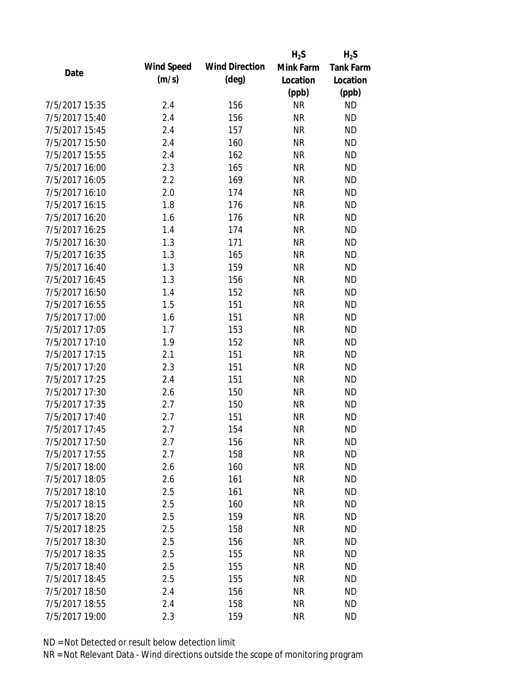|                |                   |                       | $H_2S$    | $H_2S$           |
|----------------|-------------------|-----------------------|-----------|------------------|
| Date           | <b>Wind Speed</b> | <b>Wind Direction</b> | Mink Farm | <b>Tank Farm</b> |
|                | (m/s)             | $(\text{deg})$        | Location  | Location         |
|                |                   |                       | (ppb)     | (ppb)            |
| 7/5/2017 15:35 | 2.4               | 156                   | <b>NR</b> | <b>ND</b>        |
| 7/5/2017 15:40 | 2.4               | 156                   | <b>NR</b> | <b>ND</b>        |
| 7/5/2017 15:45 | 2.4               | 157                   | <b>NR</b> | <b>ND</b>        |
| 7/5/2017 15:50 | 2.4               | 160                   | <b>NR</b> | <b>ND</b>        |
| 7/5/2017 15:55 | 2.4               | 162                   | <b>NR</b> | <b>ND</b>        |
| 7/5/2017 16:00 | 2.3               | 165                   | <b>NR</b> | <b>ND</b>        |
| 7/5/2017 16:05 | 2.2               | 169                   | <b>NR</b> | <b>ND</b>        |
| 7/5/2017 16:10 | 2.0               | 174                   | <b>NR</b> | <b>ND</b>        |
| 7/5/2017 16:15 | 1.8               | 176                   | <b>NR</b> | <b>ND</b>        |
| 7/5/2017 16:20 | 1.6               | 176                   | <b>NR</b> | <b>ND</b>        |
| 7/5/2017 16:25 | 1.4               | 174                   | <b>NR</b> | <b>ND</b>        |
| 7/5/2017 16:30 | 1.3               | 171                   | <b>NR</b> | <b>ND</b>        |
| 7/5/2017 16:35 | 1.3               | 165                   | <b>NR</b> | <b>ND</b>        |
| 7/5/2017 16:40 | 1.3               | 159                   | <b>NR</b> | <b>ND</b>        |
| 7/5/2017 16:45 | 1.3               | 156                   | <b>NR</b> | <b>ND</b>        |
| 7/5/2017 16:50 | 1.4               | 152                   | <b>NR</b> | <b>ND</b>        |
| 7/5/2017 16:55 | 1.5               | 151                   | <b>NR</b> | <b>ND</b>        |
| 7/5/2017 17:00 | 1.6               | 151                   | <b>NR</b> | <b>ND</b>        |
| 7/5/2017 17:05 | 1.7               | 153                   | <b>NR</b> | <b>ND</b>        |
| 7/5/2017 17:10 | 1.9               | 152                   | <b>NR</b> | <b>ND</b>        |
| 7/5/2017 17:15 | 2.1               | 151                   | <b>NR</b> | <b>ND</b>        |
| 7/5/2017 17:20 | 2.3               | 151                   | <b>NR</b> | <b>ND</b>        |
| 7/5/2017 17:25 | 2.4               | 151                   | <b>NR</b> | <b>ND</b>        |
| 7/5/2017 17:30 | 2.6               | 150                   | <b>NR</b> | <b>ND</b>        |
| 7/5/2017 17:35 | 2.7               | 150                   | <b>NR</b> | <b>ND</b>        |
| 7/5/2017 17:40 | 2.7               | 151                   | <b>NR</b> | <b>ND</b>        |
| 7/5/2017 17:45 | 2.7               | 154                   | <b>NR</b> | <b>ND</b>        |
| 7/5/2017 17:50 | 2.7               | 156                   | <b>NR</b> | <b>ND</b>        |
| 7/5/2017 17:55 | 2.7               | 158                   | <b>NR</b> | <b>ND</b>        |
| 7/5/2017 18:00 | 2.6               | 160                   | <b>NR</b> | <b>ND</b>        |
| 7/5/2017 18:05 | 2.6               | 161                   | <b>NR</b> | <b>ND</b>        |
| 7/5/2017 18:10 | 2.5               | 161                   | <b>NR</b> | <b>ND</b>        |
| 7/5/2017 18:15 | 2.5               | 160                   | <b>NR</b> | <b>ND</b>        |
| 7/5/2017 18:20 | 2.5               | 159                   | <b>NR</b> | <b>ND</b>        |
| 7/5/2017 18:25 | 2.5               | 158                   | <b>NR</b> | <b>ND</b>        |
| 7/5/2017 18:30 | 2.5               | 156                   | <b>NR</b> | <b>ND</b>        |
| 7/5/2017 18:35 | 2.5               | 155                   | <b>NR</b> | <b>ND</b>        |
| 7/5/2017 18:40 | 2.5               | 155                   | <b>NR</b> | <b>ND</b>        |
| 7/5/2017 18:45 | 2.5               | 155                   | <b>NR</b> | <b>ND</b>        |
| 7/5/2017 18:50 | 2.4               | 156                   | ΝR        | <b>ND</b>        |
| 7/5/2017 18:55 | 2.4               | 158                   | <b>NR</b> | <b>ND</b>        |
| 7/5/2017 19:00 | 2.3               | 159                   | <b>NR</b> | <b>ND</b>        |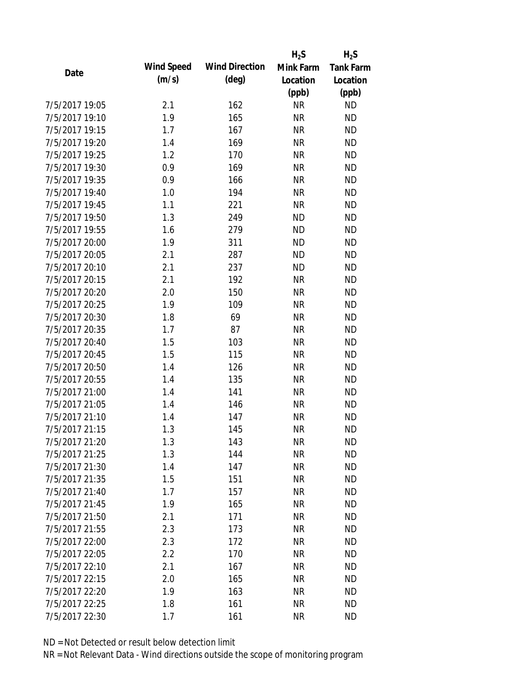|                |                   |                       | $H_2S$    | $H_2S$           |
|----------------|-------------------|-----------------------|-----------|------------------|
| Date           | <b>Wind Speed</b> | <b>Wind Direction</b> | Mink Farm | <b>Tank Farm</b> |
|                | (m/s)             | $(\text{deg})$        | Location  | Location         |
|                |                   |                       | (ppb)     | (ppb)            |
| 7/5/2017 19:05 | 2.1               | 162                   | <b>NR</b> | <b>ND</b>        |
| 7/5/2017 19:10 | 1.9               | 165                   | <b>NR</b> | <b>ND</b>        |
| 7/5/2017 19:15 | 1.7               | 167                   | <b>NR</b> | <b>ND</b>        |
| 7/5/2017 19:20 | 1.4               | 169                   | <b>NR</b> | <b>ND</b>        |
| 7/5/2017 19:25 | 1.2               | 170                   | <b>NR</b> | <b>ND</b>        |
| 7/5/2017 19:30 | 0.9               | 169                   | <b>NR</b> | <b>ND</b>        |
| 7/5/2017 19:35 | 0.9               | 166                   | <b>NR</b> | <b>ND</b>        |
| 7/5/2017 19:40 | 1.0               | 194                   | <b>NR</b> | <b>ND</b>        |
| 7/5/2017 19:45 | 1.1               | 221                   | <b>NR</b> | <b>ND</b>        |
| 7/5/2017 19:50 | 1.3               | 249                   | <b>ND</b> | <b>ND</b>        |
| 7/5/2017 19:55 | 1.6               | 279                   | <b>ND</b> | <b>ND</b>        |
| 7/5/2017 20:00 | 1.9               | 311                   | <b>ND</b> | <b>ND</b>        |
| 7/5/2017 20:05 | 2.1               | 287                   | <b>ND</b> | <b>ND</b>        |
| 7/5/2017 20:10 | 2.1               | 237                   | <b>ND</b> | <b>ND</b>        |
| 7/5/2017 20:15 | 2.1               | 192                   | <b>NR</b> | <b>ND</b>        |
| 7/5/2017 20:20 | 2.0               | 150                   | <b>NR</b> | <b>ND</b>        |
| 7/5/2017 20:25 | 1.9               | 109                   | <b>NR</b> | <b>ND</b>        |
| 7/5/2017 20:30 | 1.8               | 69                    | <b>NR</b> | <b>ND</b>        |
| 7/5/2017 20:35 | 1.7               | 87                    | <b>NR</b> | <b>ND</b>        |
| 7/5/2017 20:40 | 1.5               | 103                   | <b>NR</b> | <b>ND</b>        |
| 7/5/2017 20:45 | 1.5               | 115                   | <b>NR</b> | <b>ND</b>        |
| 7/5/2017 20:50 | 1.4               | 126                   | <b>NR</b> | <b>ND</b>        |
| 7/5/2017 20:55 | 1.4               | 135                   | <b>NR</b> | <b>ND</b>        |
| 7/5/2017 21:00 | 1.4               | 141                   | <b>NR</b> | <b>ND</b>        |
| 7/5/2017 21:05 | 1.4               | 146                   | <b>NR</b> | <b>ND</b>        |
| 7/5/2017 21:10 | 1.4               | 147                   | <b>NR</b> | <b>ND</b>        |
| 7/5/2017 21:15 | 1.3               | 145                   | <b>NR</b> | <b>ND</b>        |
| 7/5/2017 21:20 | 1.3               | 143                   | ΝR        | <b>ND</b>        |
| 7/5/2017 21:25 | 1.3               | 144                   | <b>NR</b> | <b>ND</b>        |
| 7/5/2017 21:30 | 1.4               | 147                   | <b>NR</b> | <b>ND</b>        |
| 7/5/2017 21:35 | 1.5               | 151                   | <b>NR</b> | <b>ND</b>        |
| 7/5/2017 21:40 | 1.7               | 157                   | <b>NR</b> | <b>ND</b>        |
| 7/5/2017 21:45 | 1.9               | 165                   | <b>NR</b> | <b>ND</b>        |
| 7/5/2017 21:50 | 2.1               | 171                   | <b>NR</b> | <b>ND</b>        |
| 7/5/2017 21:55 | 2.3               | 173                   | <b>NR</b> | <b>ND</b>        |
| 7/5/2017 22:00 | 2.3               | 172                   | <b>NR</b> | <b>ND</b>        |
| 7/5/2017 22:05 | 2.2               | 170                   | <b>NR</b> | <b>ND</b>        |
| 7/5/2017 22:10 | 2.1               | 167                   | <b>NR</b> | <b>ND</b>        |
| 7/5/2017 22:15 | 2.0               | 165                   | <b>NR</b> | <b>ND</b>        |
| 7/5/2017 22:20 | 1.9               | 163                   | <b>NR</b> | <b>ND</b>        |
| 7/5/2017 22:25 | 1.8               | 161                   | <b>NR</b> | <b>ND</b>        |
| 7/5/2017 22:30 | 1.7               | 161                   | <b>NR</b> | <b>ND</b>        |
|                |                   |                       |           |                  |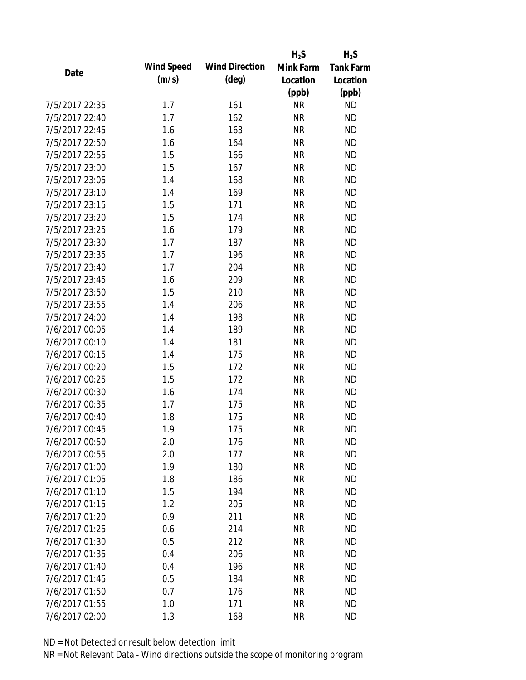|                |                   |                       | $H_2S$    | $H_2S$           |
|----------------|-------------------|-----------------------|-----------|------------------|
| Date           | <b>Wind Speed</b> | <b>Wind Direction</b> | Mink Farm | <b>Tank Farm</b> |
|                | (m/s)             | $(\text{deg})$        | Location  | Location         |
|                |                   |                       | (ppb)     | (ppb)            |
| 7/5/2017 22:35 | 1.7               | 161                   | <b>NR</b> | <b>ND</b>        |
| 7/5/2017 22:40 | 1.7               | 162                   | <b>NR</b> | <b>ND</b>        |
| 7/5/2017 22:45 | 1.6               | 163                   | <b>NR</b> | <b>ND</b>        |
| 7/5/2017 22:50 | 1.6               | 164                   | <b>NR</b> | <b>ND</b>        |
| 7/5/2017 22:55 | 1.5               | 166                   | <b>NR</b> | <b>ND</b>        |
| 7/5/2017 23:00 | 1.5               | 167                   | <b>NR</b> | <b>ND</b>        |
| 7/5/2017 23:05 | 1.4               | 168                   | <b>NR</b> | <b>ND</b>        |
| 7/5/2017 23:10 | 1.4               | 169                   | <b>NR</b> | <b>ND</b>        |
| 7/5/2017 23:15 | 1.5               | 171                   | <b>NR</b> | <b>ND</b>        |
| 7/5/2017 23:20 | 1.5               | 174                   | <b>NR</b> | <b>ND</b>        |
| 7/5/2017 23:25 | 1.6               | 179                   | <b>NR</b> | <b>ND</b>        |
| 7/5/2017 23:30 | 1.7               | 187                   | <b>NR</b> | <b>ND</b>        |
| 7/5/2017 23:35 | 1.7               | 196                   | <b>NR</b> | <b>ND</b>        |
| 7/5/2017 23:40 | 1.7               | 204                   | <b>NR</b> | <b>ND</b>        |
| 7/5/2017 23:45 | 1.6               | 209                   | <b>NR</b> | <b>ND</b>        |
| 7/5/2017 23:50 | 1.5               | 210                   | <b>NR</b> | <b>ND</b>        |
| 7/5/2017 23:55 | 1.4               | 206                   | <b>NR</b> | <b>ND</b>        |
| 7/5/2017 24:00 | 1.4               | 198                   | <b>NR</b> | <b>ND</b>        |
| 7/6/2017 00:05 | 1.4               | 189                   | <b>NR</b> | <b>ND</b>        |
| 7/6/2017 00:10 | 1.4               | 181                   | <b>NR</b> | <b>ND</b>        |
| 7/6/2017 00:15 | 1.4               | 175                   | <b>NR</b> | <b>ND</b>        |
| 7/6/2017 00:20 | 1.5               | 172                   | <b>NR</b> | <b>ND</b>        |
| 7/6/2017 00:25 | 1.5               | 172                   | <b>NR</b> | <b>ND</b>        |
| 7/6/2017 00:30 | 1.6               | 174                   | <b>NR</b> | <b>ND</b>        |
| 7/6/2017 00:35 | 1.7               | 175                   | <b>NR</b> | <b>ND</b>        |
| 7/6/2017 00:40 | 1.8               | 175                   | <b>NR</b> | <b>ND</b>        |
| 7/6/2017 00:45 | 1.9               | 175                   | <b>NR</b> | <b>ND</b>        |
| 7/6/2017 00:50 | 2.0               | 176                   | <b>NR</b> | <b>ND</b>        |
| 7/6/2017 00:55 | 2.0               | 177                   | <b>NR</b> | <b>ND</b>        |
| 7/6/2017 01:00 | 1.9               | 180                   | <b>NR</b> | <b>ND</b>        |
| 7/6/2017 01:05 | 1.8               | 186                   | <b>NR</b> | <b>ND</b>        |
| 7/6/2017 01:10 | 1.5               | 194                   | <b>NR</b> | <b>ND</b>        |
| 7/6/2017 01:15 | 1.2               | 205                   | <b>NR</b> | <b>ND</b>        |
| 7/6/2017 01:20 | 0.9               | 211                   | <b>NR</b> | <b>ND</b>        |
| 7/6/2017 01:25 | 0.6               | 214                   | <b>NR</b> | <b>ND</b>        |
| 7/6/2017 01:30 | 0.5               | 212                   | <b>NR</b> | <b>ND</b>        |
| 7/6/2017 01:35 | 0.4               | 206                   | <b>NR</b> | <b>ND</b>        |
| 7/6/2017 01:40 | 0.4               | 196                   | <b>NR</b> | <b>ND</b>        |
| 7/6/2017 01:45 | 0.5               | 184                   | <b>NR</b> | <b>ND</b>        |
| 7/6/2017 01:50 | 0.7               | 176                   | ΝR        | <b>ND</b>        |
| 7/6/2017 01:55 | 1.0               | 171                   | <b>NR</b> | <b>ND</b>        |
| 7/6/2017 02:00 | 1.3               | 168                   | <b>NR</b> | <b>ND</b>        |
|                |                   |                       |           |                  |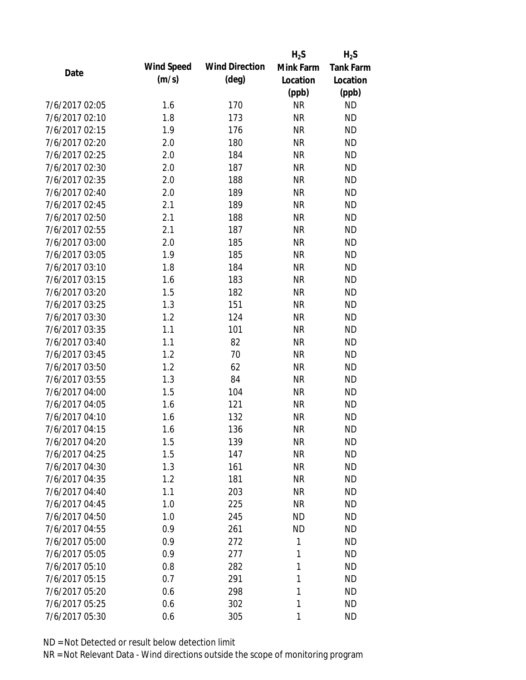|                |                   |                       | $H_2S$    | $H_2S$           |
|----------------|-------------------|-----------------------|-----------|------------------|
| Date           | <b>Wind Speed</b> | <b>Wind Direction</b> | Mink Farm | <b>Tank Farm</b> |
|                | (m/s)             | $(\text{deg})$        | Location  | Location         |
|                |                   |                       | (ppb)     | (ppb)            |
| 7/6/2017 02:05 | 1.6               | 170                   | <b>NR</b> | <b>ND</b>        |
| 7/6/2017 02:10 | 1.8               | 173                   | <b>NR</b> | <b>ND</b>        |
| 7/6/2017 02:15 | 1.9               | 176                   | <b>NR</b> | <b>ND</b>        |
| 7/6/2017 02:20 | 2.0               | 180                   | <b>NR</b> | <b>ND</b>        |
| 7/6/2017 02:25 | 2.0               | 184                   | <b>NR</b> | <b>ND</b>        |
| 7/6/2017 02:30 | 2.0               | 187                   | <b>NR</b> | <b>ND</b>        |
| 7/6/2017 02:35 | 2.0               | 188                   | <b>NR</b> | <b>ND</b>        |
| 7/6/2017 02:40 | 2.0               | 189                   | <b>NR</b> | <b>ND</b>        |
| 7/6/2017 02:45 | 2.1               | 189                   | <b>NR</b> | <b>ND</b>        |
| 7/6/2017 02:50 | 2.1               | 188                   | <b>NR</b> | <b>ND</b>        |
| 7/6/2017 02:55 | 2.1               | 187                   | <b>NR</b> | <b>ND</b>        |
| 7/6/2017 03:00 | 2.0               | 185                   | <b>NR</b> | <b>ND</b>        |
| 7/6/2017 03:05 | 1.9               | 185                   | <b>NR</b> | <b>ND</b>        |
| 7/6/2017 03:10 | 1.8               | 184                   | <b>NR</b> | <b>ND</b>        |
| 7/6/2017 03:15 | 1.6               | 183                   | <b>NR</b> | <b>ND</b>        |
| 7/6/2017 03:20 | 1.5               | 182                   | <b>NR</b> | <b>ND</b>        |
| 7/6/2017 03:25 | 1.3               | 151                   | <b>NR</b> | <b>ND</b>        |
| 7/6/2017 03:30 | 1.2               | 124                   | <b>NR</b> | <b>ND</b>        |
| 7/6/2017 03:35 | 1.1               | 101                   | <b>NR</b> | <b>ND</b>        |
| 7/6/2017 03:40 | 1.1               | 82                    | <b>NR</b> | <b>ND</b>        |
| 7/6/2017 03:45 | 1.2               | 70                    | <b>NR</b> | <b>ND</b>        |
| 7/6/2017 03:50 | 1.2               | 62                    | <b>NR</b> | <b>ND</b>        |
| 7/6/2017 03:55 | 1.3               | 84                    | <b>NR</b> | <b>ND</b>        |
| 7/6/2017 04:00 | 1.5               | 104                   | <b>NR</b> | <b>ND</b>        |
| 7/6/2017 04:05 | 1.6               | 121                   | <b>NR</b> | <b>ND</b>        |
| 7/6/2017 04:10 | 1.6               | 132                   | <b>NR</b> | <b>ND</b>        |
| 7/6/2017 04:15 | 1.6               | 136                   | <b>NR</b> | <b>ND</b>        |
| 7/6/2017 04:20 | 1.5               | 139                   | <b>NR</b> | <b>ND</b>        |
| 7/6/2017 04:25 | 1.5               | 147                   | <b>NR</b> | <b>ND</b>        |
| 7/6/2017 04:30 | 1.3               | 161                   | <b>NR</b> | <b>ND</b>        |
| 7/6/2017 04:35 | 1.2               | 181                   | <b>NR</b> | <b>ND</b>        |
| 7/6/2017 04:40 | 1.1               | 203                   | <b>NR</b> | <b>ND</b>        |
| 7/6/2017 04:45 | 1.0               | 225                   | <b>NR</b> | <b>ND</b>        |
| 7/6/2017 04:50 | 1.0               | 245                   | <b>ND</b> | <b>ND</b>        |
| 7/6/2017 04:55 | 0.9               | 261                   | <b>ND</b> | <b>ND</b>        |
| 7/6/2017 05:00 | 0.9               | 272                   | 1         | <b>ND</b>        |
| 7/6/2017 05:05 | 0.9               | 277                   | 1         | <b>ND</b>        |
| 7/6/2017 05:10 | 0.8               | 282                   | 1         | <b>ND</b>        |
| 7/6/2017 05:15 | 0.7               | 291                   | 1         | <b>ND</b>        |
| 7/6/2017 05:20 | 0.6               | 298                   | 1         | <b>ND</b>        |
| 7/6/2017 05:25 | 0.6               | 302                   | 1         | <b>ND</b>        |
| 7/6/2017 05:30 | 0.6               | 305                   | 1         | <b>ND</b>        |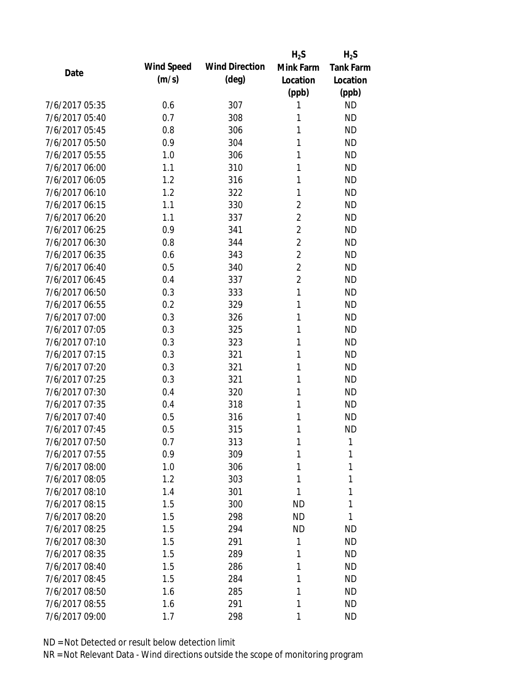|                |                   |                       | $H_2S$         | $H_2S$           |
|----------------|-------------------|-----------------------|----------------|------------------|
| Date           | <b>Wind Speed</b> | <b>Wind Direction</b> | Mink Farm      | <b>Tank Farm</b> |
|                | (m/s)             | $(\text{deg})$        | Location       | Location         |
|                |                   |                       | (ppb)          | (ppb)            |
| 7/6/2017 05:35 | 0.6               | 307                   | 1              | <b>ND</b>        |
| 7/6/2017 05:40 | 0.7               | 308                   | 1              | <b>ND</b>        |
| 7/6/2017 05:45 | 0.8               | 306                   | 1              | <b>ND</b>        |
| 7/6/2017 05:50 | 0.9               | 304                   | 1              | <b>ND</b>        |
| 7/6/2017 05:55 | 1.0               | 306                   | 1              | <b>ND</b>        |
| 7/6/2017 06:00 | 1.1               | 310                   | 1              | <b>ND</b>        |
| 7/6/2017 06:05 | 1.2               | 316                   | 1              | <b>ND</b>        |
| 7/6/2017 06:10 | 1.2               | 322                   | 1              | <b>ND</b>        |
| 7/6/2017 06:15 | 1.1               | 330                   | $\overline{2}$ | <b>ND</b>        |
| 7/6/2017 06:20 | 1.1               | 337                   | $\overline{2}$ | <b>ND</b>        |
| 7/6/2017 06:25 | 0.9               | 341                   | $\overline{2}$ | <b>ND</b>        |
| 7/6/2017 06:30 | 0.8               | 344                   | $\overline{2}$ | <b>ND</b>        |
| 7/6/2017 06:35 | 0.6               | 343                   | $\overline{2}$ | <b>ND</b>        |
| 7/6/2017 06:40 | 0.5               | 340                   | $\overline{2}$ | <b>ND</b>        |
| 7/6/2017 06:45 | 0.4               | 337                   | $\overline{2}$ | <b>ND</b>        |
| 7/6/2017 06:50 | 0.3               | 333                   | 1              | <b>ND</b>        |
| 7/6/2017 06:55 | 0.2               | 329                   | 1              | <b>ND</b>        |
| 7/6/2017 07:00 | 0.3               | 326                   | 1              | <b>ND</b>        |
| 7/6/2017 07:05 | 0.3               | 325                   | 1              | <b>ND</b>        |
| 7/6/2017 07:10 | 0.3               | 323                   | 1              | <b>ND</b>        |
| 7/6/2017 07:15 | 0.3               | 321                   | 1              | <b>ND</b>        |
| 7/6/2017 07:20 | 0.3               | 321                   | 1              | <b>ND</b>        |
| 7/6/2017 07:25 | 0.3               | 321                   | 1              | <b>ND</b>        |
| 7/6/2017 07:30 | 0.4               | 320                   | 1              | <b>ND</b>        |
| 7/6/2017 07:35 | 0.4               | 318                   | 1              | <b>ND</b>        |
| 7/6/2017 07:40 | 0.5               | 316                   | 1              | <b>ND</b>        |
| 7/6/2017 07:45 | 0.5               | 315                   | 1              | <b>ND</b>        |
| 7/6/2017 07:50 | 0.7               | 313                   | 1              | 1                |
| 7/6/2017 07:55 | 0.9               | 309                   | 1              | 1                |
| 7/6/2017 08:00 | 1.0               | 306                   | 1              | 1                |
| 7/6/2017 08:05 | 1.2               | 303                   | 1              | 1                |
| 7/6/2017 08:10 | 1.4               | 301                   | 1              | 1                |
| 7/6/2017 08:15 | 1.5               | 300                   | ND             | 1                |
| 7/6/2017 08:20 | 1.5               | 298                   | <b>ND</b>      | 1                |
| 7/6/2017 08:25 | 1.5               | 294                   | <b>ND</b>      | <b>ND</b>        |
| 7/6/2017 08:30 | 1.5               | 291                   | 1              | <b>ND</b>        |
| 7/6/2017 08:35 | 1.5               | 289                   | 1              | <b>ND</b>        |
| 7/6/2017 08:40 | 1.5               | 286                   | 1              | <b>ND</b>        |
| 7/6/2017 08:45 | 1.5               | 284                   | 1              | <b>ND</b>        |
| 7/6/2017 08:50 | 1.6               | 285                   | 1              | <b>ND</b>        |
| 7/6/2017 08:55 | 1.6               | 291                   | 1              | <b>ND</b>        |
| 7/6/2017 09:00 | 1.7               | 298                   | 1              | <b>ND</b>        |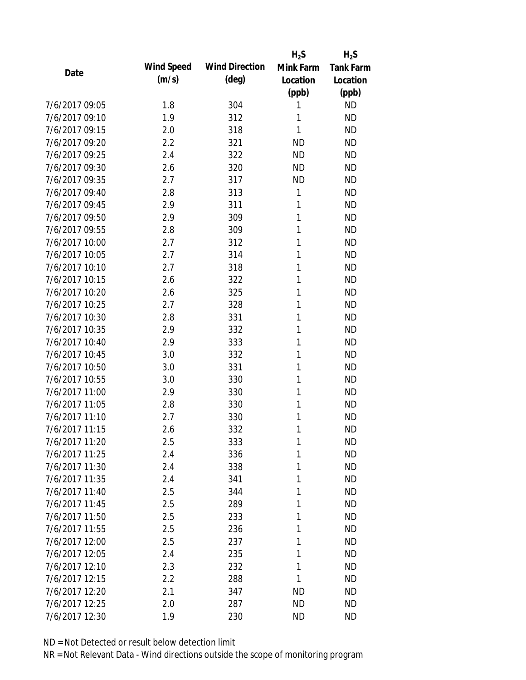|                |                   |                       | $H_2S$    | $H_2S$           |
|----------------|-------------------|-----------------------|-----------|------------------|
| Date           | <b>Wind Speed</b> | <b>Wind Direction</b> | Mink Farm | <b>Tank Farm</b> |
|                | (m/s)             | $(\text{deg})$        | Location  | Location         |
|                |                   |                       | (ppb)     | (ppb)            |
| 7/6/2017 09:05 | 1.8               | 304                   | 1         | <b>ND</b>        |
| 7/6/2017 09:10 | 1.9               | 312                   | 1         | <b>ND</b>        |
| 7/6/2017 09:15 | 2.0               | 318                   | 1         | <b>ND</b>        |
| 7/6/2017 09:20 | 2.2               | 321                   | <b>ND</b> | <b>ND</b>        |
| 7/6/2017 09:25 | 2.4               | 322                   | <b>ND</b> | <b>ND</b>        |
| 7/6/2017 09:30 | 2.6               | 320                   | <b>ND</b> | <b>ND</b>        |
| 7/6/2017 09:35 | 2.7               | 317                   | <b>ND</b> | <b>ND</b>        |
| 7/6/2017 09:40 | 2.8               | 313                   | 1         | <b>ND</b>        |
| 7/6/2017 09:45 | 2.9               | 311                   | 1         | <b>ND</b>        |
| 7/6/2017 09:50 | 2.9               | 309                   | 1         | <b>ND</b>        |
| 7/6/2017 09:55 | 2.8               | 309                   | 1         | <b>ND</b>        |
| 7/6/2017 10:00 | 2.7               | 312                   | 1         | <b>ND</b>        |
| 7/6/2017 10:05 | 2.7               | 314                   | 1         | <b>ND</b>        |
| 7/6/2017 10:10 | 2.7               | 318                   | 1         | <b>ND</b>        |
| 7/6/2017 10:15 | 2.6               | 322                   | 1         | <b>ND</b>        |
| 7/6/2017 10:20 | 2.6               | 325                   | 1         | <b>ND</b>        |
| 7/6/2017 10:25 | 2.7               | 328                   | 1         | <b>ND</b>        |
| 7/6/2017 10:30 | 2.8               | 331                   | 1         | <b>ND</b>        |
| 7/6/2017 10:35 | 2.9               | 332                   | 1         | <b>ND</b>        |
| 7/6/2017 10:40 | 2.9               | 333                   | 1         | <b>ND</b>        |
| 7/6/2017 10:45 | 3.0               | 332                   | 1         | <b>ND</b>        |
| 7/6/2017 10:50 | 3.0               | 331                   | 1         | <b>ND</b>        |
| 7/6/2017 10:55 | 3.0               | 330                   | 1         | <b>ND</b>        |
| 7/6/2017 11:00 | 2.9               | 330                   | 1         | <b>ND</b>        |
| 7/6/2017 11:05 | 2.8               | 330                   | 1         | <b>ND</b>        |
| 7/6/2017 11:10 | 2.7               | 330                   | 1         | <b>ND</b>        |
| 7/6/2017 11:15 | 2.6               | 332                   | 1         | <b>ND</b>        |
| 7/6/2017 11:20 | 2.5               | 333                   | 1         | <b>ND</b>        |
| 7/6/2017 11:25 | 2.4               | 336                   | 1         | <b>ND</b>        |
| 7/6/2017 11:30 | 2.4               | 338                   | 1         | <b>ND</b>        |
| 7/6/2017 11:35 | 2.4               | 341                   | 1         | <b>ND</b>        |
| 7/6/2017 11:40 | 2.5               | 344                   | 1         | <b>ND</b>        |
| 7/6/2017 11:45 | 2.5               | 289                   | 1         | ND               |
| 7/6/2017 11:50 | 2.5               | 233                   | 1         | <b>ND</b>        |
| 7/6/2017 11:55 | 2.5               | 236                   | 1         | <b>ND</b>        |
| 7/6/2017 12:00 | 2.5               | 237                   | 1         | <b>ND</b>        |
| 7/6/2017 12:05 | 2.4               | 235                   | 1         | <b>ND</b>        |
| 7/6/2017 12:10 | 2.3               | 232                   | 1         | <b>ND</b>        |
| 7/6/2017 12:15 | 2.2               | 288                   | 1         | <b>ND</b>        |
| 7/6/2017 12:20 | 2.1               | 347                   | ND        | ND               |
| 7/6/2017 12:25 |                   | 287                   | <b>ND</b> | <b>ND</b>        |
|                | 2.0               |                       |           |                  |
| 7/6/2017 12:30 | 1.9               | 230                   | <b>ND</b> | <b>ND</b>        |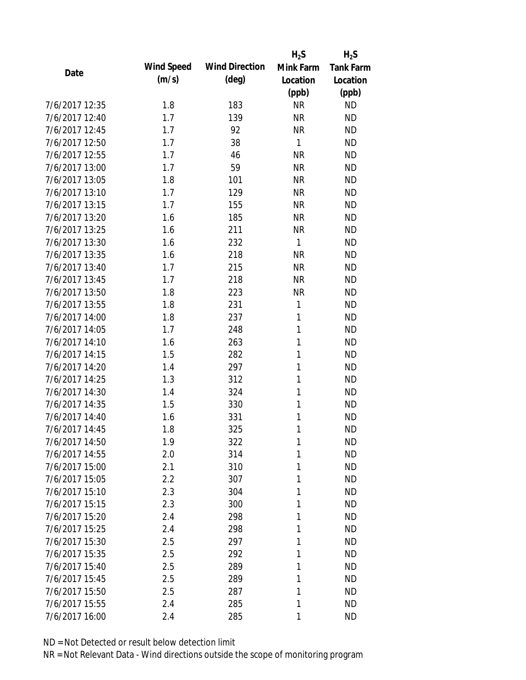|                |                   |                       | $H_2S$       | $H_2S$           |
|----------------|-------------------|-----------------------|--------------|------------------|
| Date           | <b>Wind Speed</b> | <b>Wind Direction</b> | Mink Farm    | <b>Tank Farm</b> |
|                | (m/s)             | $(\text{deg})$        | Location     | Location         |
|                |                   |                       | (ppb)        | (ppb)            |
| 7/6/2017 12:35 | 1.8               | 183                   | <b>NR</b>    | <b>ND</b>        |
| 7/6/2017 12:40 | 1.7               | 139                   | <b>NR</b>    | <b>ND</b>        |
| 7/6/2017 12:45 | 1.7               | 92                    | <b>NR</b>    | <b>ND</b>        |
| 7/6/2017 12:50 | 1.7               | 38                    | $\mathbf{1}$ | <b>ND</b>        |
| 7/6/2017 12:55 | 1.7               | 46                    | <b>NR</b>    | <b>ND</b>        |
| 7/6/2017 13:00 | 1.7               | 59                    | <b>NR</b>    | <b>ND</b>        |
| 7/6/2017 13:05 | 1.8               | 101                   | <b>NR</b>    | <b>ND</b>        |
| 7/6/2017 13:10 | 1.7               | 129                   | <b>NR</b>    | <b>ND</b>        |
| 7/6/2017 13:15 | 1.7               | 155                   | <b>NR</b>    | <b>ND</b>        |
| 7/6/2017 13:20 | 1.6               | 185                   | <b>NR</b>    | <b>ND</b>        |
| 7/6/2017 13:25 | 1.6               | 211                   | <b>NR</b>    | <b>ND</b>        |
| 7/6/2017 13:30 | 1.6               | 232                   | $\mathbf{1}$ | <b>ND</b>        |
| 7/6/2017 13:35 | 1.6               | 218                   | <b>NR</b>    | <b>ND</b>        |
| 7/6/2017 13:40 | 1.7               | 215                   | <b>NR</b>    | <b>ND</b>        |
| 7/6/2017 13:45 | 1.7               | 218                   | <b>NR</b>    | <b>ND</b>        |
| 7/6/2017 13:50 | 1.8               | 223                   | <b>NR</b>    | <b>ND</b>        |
| 7/6/2017 13:55 | 1.8               | 231                   | 1            | <b>ND</b>        |
| 7/6/2017 14:00 | 1.8               | 237                   | 1            | <b>ND</b>        |
| 7/6/2017 14:05 | 1.7               | 248                   | $\mathbf{1}$ | <b>ND</b>        |
| 7/6/2017 14:10 | 1.6               | 263                   | 1            | <b>ND</b>        |
| 7/6/2017 14:15 | 1.5               | 282                   | 1            | <b>ND</b>        |
| 7/6/2017 14:20 | 1.4               | 297                   | 1            | <b>ND</b>        |
| 7/6/2017 14:25 | 1.3               | 312                   | 1            | <b>ND</b>        |
| 7/6/2017 14:30 | 1.4               | 324                   | 1            | <b>ND</b>        |
| 7/6/2017 14:35 | 1.5               | 330                   | 1            | <b>ND</b>        |
| 7/6/2017 14:40 | 1.6               | 331                   | 1            | <b>ND</b>        |
| 7/6/2017 14:45 | 1.8               | 325                   | 1            | <b>ND</b>        |
| 7/6/2017 14:50 | 1.9               | 322                   | 1            | <b>ND</b>        |
| 7/6/2017 14:55 | 2.0               | 314                   | 1            | <b>ND</b>        |
| 7/6/2017 15:00 | 2.1               | 310                   | 1            | <b>ND</b>        |
| 7/6/2017 15:05 | 2.2               | 307                   | 1            | <b>ND</b>        |
| 7/6/2017 15:10 | 2.3               | 304                   | 1            | <b>ND</b>        |
| 7/6/2017 15:15 | 2.3               | 300                   | 1            | <b>ND</b>        |
| 7/6/2017 15:20 | 2.4               | 298                   | 1            | <b>ND</b>        |
| 7/6/2017 15:25 | 2.4               | 298                   | 1            | <b>ND</b>        |
| 7/6/2017 15:30 | 2.5               | 297                   | 1            | <b>ND</b>        |
| 7/6/2017 15:35 | 2.5               | 292                   | 1            | <b>ND</b>        |
| 7/6/2017 15:40 | 2.5               | 289                   | 1            | <b>ND</b>        |
| 7/6/2017 15:45 | 2.5               | 289                   | 1            | <b>ND</b>        |
| 7/6/2017 15:50 | 2.5               | 287                   | 1            | <b>ND</b>        |
| 7/6/2017 15:55 | 2.4               | 285                   | 1            | <b>ND</b>        |
| 7/6/2017 16:00 | 2.4               | 285                   | 1            | <b>ND</b>        |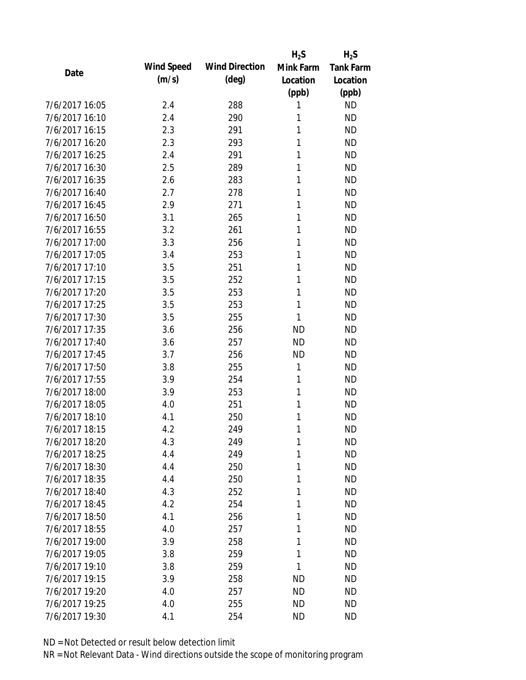|                |                   |                       | $H_2S$    | $H_2S$           |
|----------------|-------------------|-----------------------|-----------|------------------|
| Date           | <b>Wind Speed</b> | <b>Wind Direction</b> | Mink Farm | <b>Tank Farm</b> |
|                | (m/s)             | $(\text{deg})$        | Location  | Location         |
|                |                   |                       | (ppb)     | (ppb)            |
| 7/6/2017 16:05 | 2.4               | 288                   | 1         | <b>ND</b>        |
| 7/6/2017 16:10 | 2.4               | 290                   | 1         | <b>ND</b>        |
| 7/6/2017 16:15 | 2.3               | 291                   | 1         | <b>ND</b>        |
| 7/6/2017 16:20 | 2.3               | 293                   | 1         | <b>ND</b>        |
| 7/6/2017 16:25 | 2.4               | 291                   | 1         | <b>ND</b>        |
| 7/6/2017 16:30 | 2.5               | 289                   | 1         | <b>ND</b>        |
| 7/6/2017 16:35 | 2.6               | 283                   | 1         | <b>ND</b>        |
| 7/6/2017 16:40 | 2.7               | 278                   | 1         | <b>ND</b>        |
| 7/6/2017 16:45 | 2.9               | 271                   | 1         | <b>ND</b>        |
| 7/6/2017 16:50 | 3.1               | 265                   | 1         | <b>ND</b>        |
| 7/6/2017 16:55 | 3.2               | 261                   | 1         | <b>ND</b>        |
| 7/6/2017 17:00 | 3.3               | 256                   | 1         | <b>ND</b>        |
| 7/6/2017 17:05 | 3.4               | 253                   | 1         | <b>ND</b>        |
| 7/6/2017 17:10 | 3.5               | 251                   | 1         | <b>ND</b>        |
| 7/6/2017 17:15 | 3.5               | 252                   | 1         | <b>ND</b>        |
| 7/6/2017 17:20 | 3.5               | 253                   | 1         | <b>ND</b>        |
| 7/6/2017 17:25 | 3.5               | 253                   | 1         | <b>ND</b>        |
| 7/6/2017 17:30 | 3.5               | 255                   | 1         | <b>ND</b>        |
| 7/6/2017 17:35 | 3.6               | 256                   | <b>ND</b> | <b>ND</b>        |
| 7/6/2017 17:40 | 3.6               | 257                   | <b>ND</b> | <b>ND</b>        |
| 7/6/2017 17:45 | 3.7               | 256                   | <b>ND</b> | <b>ND</b>        |
| 7/6/2017 17:50 | 3.8               | 255                   | 1         | <b>ND</b>        |
| 7/6/2017 17:55 | 3.9               | 254                   | 1         | <b>ND</b>        |
| 7/6/2017 18:00 | 3.9               | 253                   | 1         | <b>ND</b>        |
| 7/6/2017 18:05 | 4.0               | 251                   | 1         | <b>ND</b>        |
| 7/6/2017 18:10 | 4.1               | 250                   | 1         | <b>ND</b>        |
| 7/6/2017 18:15 | 4.2               | 249                   | 1         | <b>ND</b>        |
| 7/6/2017 18:20 | 4.3               | 249                   | 1         | <b>ND</b>        |
| 7/6/2017 18:25 | 4.4               | 249                   | 1         | <b>ND</b>        |
| 7/6/2017 18:30 | 4.4               | 250                   | 1         | <b>ND</b>        |
| 7/6/2017 18:35 | 4.4               | 250                   | 1         | <b>ND</b>        |
| 7/6/2017 18:40 | 4.3               | 252                   | 1         | <b>ND</b>        |
| 7/6/2017 18:45 | 4.2               | 254                   | 1         | <b>ND</b>        |
| 7/6/2017 18:50 | 4.1               | 256                   | 1         | <b>ND</b>        |
| 7/6/2017 18:55 | 4.0               | 257                   | 1         | <b>ND</b>        |
| 7/6/2017 19:00 | 3.9               | 258                   | 1         | <b>ND</b>        |
| 7/6/2017 19:05 | 3.8               | 259                   | 1         | <b>ND</b>        |
| 7/6/2017 19:10 | 3.8               | 259                   | 1         | <b>ND</b>        |
| 7/6/2017 19:15 | 3.9               | 258                   | ND        | <b>ND</b>        |
| 7/6/2017 19:20 | 4.0               | 257                   | ND        | <b>ND</b>        |
| 7/6/2017 19:25 | 4.0               | 255                   | <b>ND</b> | <b>ND</b>        |
| 7/6/2017 19:30 | 4.1               | 254                   | <b>ND</b> | <b>ND</b>        |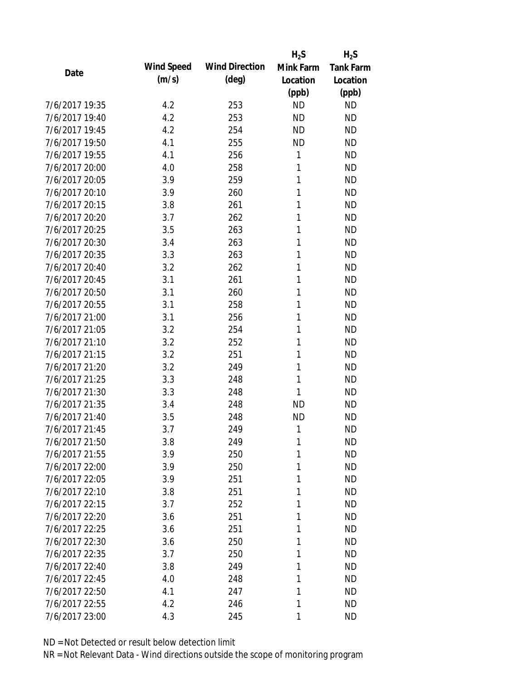|                |            |                       | $H_2S$    | $H_2S$           |
|----------------|------------|-----------------------|-----------|------------------|
| Date           | Wind Speed | <b>Wind Direction</b> | Mink Farm | <b>Tank Farm</b> |
|                | (m/s)      | $(\text{deg})$        | Location  | Location         |
|                |            |                       | (ppb)     | (ppb)            |
| 7/6/2017 19:35 | 4.2        | 253                   | <b>ND</b> | <b>ND</b>        |
| 7/6/2017 19:40 | 4.2        | 253                   | <b>ND</b> | <b>ND</b>        |
| 7/6/2017 19:45 | 4.2        | 254                   | <b>ND</b> | <b>ND</b>        |
| 7/6/2017 19:50 | 4.1        | 255                   | <b>ND</b> | <b>ND</b>        |
| 7/6/2017 19:55 | 4.1        | 256                   | 1         | <b>ND</b>        |
| 7/6/2017 20:00 | 4.0        | 258                   | 1         | <b>ND</b>        |
| 7/6/2017 20:05 | 3.9        | 259                   | 1         | <b>ND</b>        |
| 7/6/2017 20:10 | 3.9        | 260                   | 1         | <b>ND</b>        |
| 7/6/2017 20:15 | 3.8        | 261                   | 1         | <b>ND</b>        |
| 7/6/2017 20:20 | 3.7        | 262                   | 1         | <b>ND</b>        |
| 7/6/2017 20:25 | 3.5        | 263                   | 1         | <b>ND</b>        |
| 7/6/2017 20:30 | 3.4        | 263                   | 1         | <b>ND</b>        |
| 7/6/2017 20:35 | 3.3        | 263                   | 1         | <b>ND</b>        |
| 7/6/2017 20:40 | 3.2        | 262                   | 1         | <b>ND</b>        |
| 7/6/2017 20:45 | 3.1        | 261                   | 1         | <b>ND</b>        |
| 7/6/2017 20:50 | 3.1        | 260                   | 1         | <b>ND</b>        |
| 7/6/2017 20:55 | 3.1        | 258                   | 1         | <b>ND</b>        |
| 7/6/2017 21:00 | 3.1        | 256                   | 1         | <b>ND</b>        |
| 7/6/2017 21:05 | 3.2        | 254                   | 1         | <b>ND</b>        |
| 7/6/2017 21:10 | 3.2        | 252                   | 1         | <b>ND</b>        |
| 7/6/2017 21:15 | 3.2        | 251                   | 1         | <b>ND</b>        |
| 7/6/2017 21:20 | 3.2        | 249                   | 1         | <b>ND</b>        |
| 7/6/2017 21:25 | 3.3        | 248                   | 1         | <b>ND</b>        |
| 7/6/2017 21:30 | 3.3        | 248                   | 1         | <b>ND</b>        |
| 7/6/2017 21:35 | 3.4        | 248                   | <b>ND</b> | <b>ND</b>        |
| 7/6/2017 21:40 | 3.5        | 248                   | <b>ND</b> | <b>ND</b>        |
| 7/6/2017 21:45 | 3.7        | 249                   | 1         | <b>ND</b>        |
| 7/6/2017 21:50 | 3.8        | 249                   | 1         | <b>ND</b>        |
| 7/6/2017 21:55 | 3.9        | 250                   | 1         | <b>ND</b>        |
| 7/6/2017 22:00 | 3.9        | 250                   | 1         | <b>ND</b>        |
| 7/6/2017 22:05 | 3.9        | 251                   | 1         | <b>ND</b>        |
| 7/6/2017 22:10 | 3.8        | 251                   | 1         | <b>ND</b>        |
| 7/6/2017 22:15 | 3.7        | 252                   | 1         | <b>ND</b>        |
| 7/6/2017 22:20 | 3.6        | 251                   | 1         | <b>ND</b>        |
| 7/6/2017 22:25 | 3.6        | 251                   | 1         | <b>ND</b>        |
| 7/6/2017 22:30 | 3.6        | 250                   | 1         | <b>ND</b>        |
| 7/6/2017 22:35 | 3.7        | 250                   | 1         | <b>ND</b>        |
| 7/6/2017 22:40 | 3.8        | 249                   | 1         | <b>ND</b>        |
| 7/6/2017 22:45 | 4.0        | 248                   | 1         | <b>ND</b>        |
| 7/6/2017 22:50 | 4.1        | 247                   | 1         | <b>ND</b>        |
| 7/6/2017 22:55 | 4.2        | 246                   | 1         | <b>ND</b>        |
| 7/6/2017 23:00 | 4.3        | 245                   | 1         | <b>ND</b>        |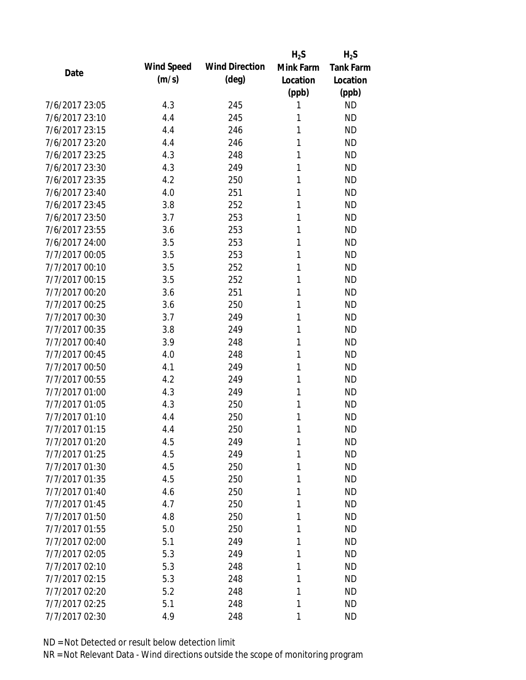|                |            |                       | $H_2S$    | $H_2S$           |
|----------------|------------|-----------------------|-----------|------------------|
| Date           | Wind Speed | <b>Wind Direction</b> | Mink Farm | <b>Tank Farm</b> |
|                | (m/s)      | $(\text{deg})$        | Location  | Location         |
|                |            |                       | (ppb)     | (ppb)            |
| 7/6/2017 23:05 | 4.3        | 245                   | 1         | <b>ND</b>        |
| 7/6/2017 23:10 | 4.4        | 245                   | 1         | <b>ND</b>        |
| 7/6/2017 23:15 | 4.4        | 246                   | 1         | <b>ND</b>        |
| 7/6/2017 23:20 | 4.4        | 246                   | 1         | <b>ND</b>        |
| 7/6/2017 23:25 | 4.3        | 248                   | 1         | <b>ND</b>        |
| 7/6/2017 23:30 | 4.3        | 249                   | 1         | <b>ND</b>        |
| 7/6/2017 23:35 | 4.2        | 250                   | 1         | <b>ND</b>        |
| 7/6/2017 23:40 | 4.0        | 251                   | 1         | <b>ND</b>        |
| 7/6/2017 23:45 | 3.8        | 252                   | 1         | <b>ND</b>        |
| 7/6/2017 23:50 | 3.7        | 253                   | 1         | <b>ND</b>        |
| 7/6/2017 23:55 | 3.6        | 253                   | 1         | <b>ND</b>        |
| 7/6/2017 24:00 | 3.5        | 253                   | 1         | <b>ND</b>        |
| 7/7/2017 00:05 | 3.5        | 253                   | 1         | <b>ND</b>        |
| 7/7/2017 00:10 | 3.5        | 252                   | 1         | <b>ND</b>        |
| 7/7/2017 00:15 | 3.5        | 252                   | 1         | <b>ND</b>        |
| 7/7/2017 00:20 | 3.6        | 251                   | 1         | <b>ND</b>        |
| 7/7/2017 00:25 | 3.6        | 250                   | 1         | <b>ND</b>        |
| 7/7/2017 00:30 | 3.7        | 249                   | 1         | <b>ND</b>        |
| 7/7/2017 00:35 | 3.8        | 249                   | 1         | <b>ND</b>        |
| 7/7/2017 00:40 | 3.9        | 248                   | 1         | <b>ND</b>        |
| 7/7/2017 00:45 | 4.0        | 248                   | 1         | <b>ND</b>        |
| 7/7/2017 00:50 | 4.1        | 249                   | 1         | <b>ND</b>        |
| 7/7/2017 00:55 | 4.2        | 249                   | 1         | <b>ND</b>        |
| 7/7/2017 01:00 | 4.3        | 249                   | 1         | <b>ND</b>        |
| 7/7/2017 01:05 | 4.3        | 250                   | 1         | <b>ND</b>        |
| 7/7/2017 01:10 | 4.4        | 250                   | 1         | <b>ND</b>        |
| 7/7/2017 01:15 | 4.4        | 250                   | 1         | <b>ND</b>        |
| 7/7/2017 01:20 | 4.5        | 249                   | 1         | <b>ND</b>        |
| 7/7/2017 01:25 | 4.5        | 249                   | 1         | <b>ND</b>        |
| 7/7/2017 01:30 | 4.5        | 250                   | 1         | <b>ND</b>        |
| 7/7/2017 01:35 | 4.5        | 250                   | 1         | <b>ND</b>        |
| 7/7/2017 01:40 | 4.6        | 250                   | 1         | <b>ND</b>        |
| 7/7/2017 01:45 | 4.7        | 250                   | 1         | <b>ND</b>        |
| 7/7/2017 01:50 | 4.8        | 250                   | 1         | <b>ND</b>        |
| 7/7/2017 01:55 | 5.0        | 250                   | 1         | <b>ND</b>        |
| 7/7/2017 02:00 | 5.1        | 249                   | 1         | <b>ND</b>        |
| 7/7/2017 02:05 | 5.3        | 249                   | 1         | <b>ND</b>        |
| 7/7/2017 02:10 | 5.3        | 248                   | 1         | <b>ND</b>        |
| 7/7/2017 02:15 | 5.3        | 248                   | 1         | <b>ND</b>        |
| 7/7/2017 02:20 | 5.2        | 248                   | 1         | <b>ND</b>        |
| 7/7/2017 02:25 | 5.1        | 248                   | 1         | <b>ND</b>        |
| 7/7/2017 02:30 | 4.9        | 248                   | 1         | <b>ND</b>        |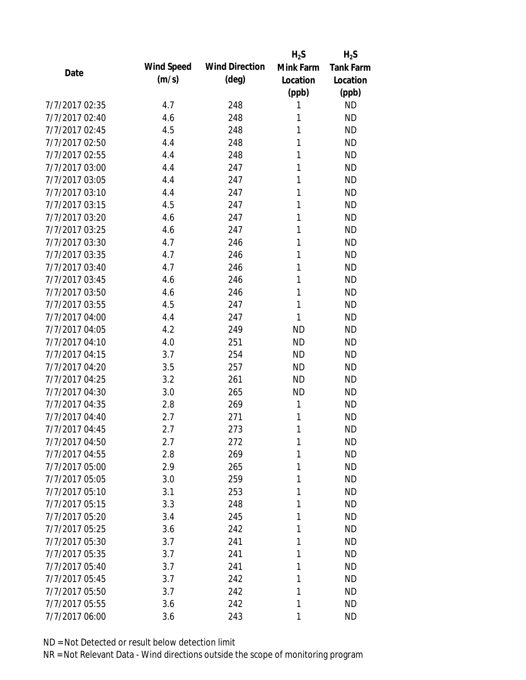|                |            |                       | $H_2S$    | $H_2S$           |
|----------------|------------|-----------------------|-----------|------------------|
| Date           | Wind Speed | <b>Wind Direction</b> | Mink Farm | <b>Tank Farm</b> |
|                | (m/s)      | $(\text{deg})$        | Location  | Location         |
|                |            |                       | (ppb)     | (ppb)            |
| 7/7/2017 02:35 | 4.7        | 248                   | 1         | <b>ND</b>        |
| 7/7/2017 02:40 | 4.6        | 248                   | 1         | <b>ND</b>        |
| 7/7/2017 02:45 | 4.5        | 248                   | 1         | <b>ND</b>        |
| 7/7/2017 02:50 | 4.4        | 248                   | 1         | <b>ND</b>        |
| 7/7/2017 02:55 | 4.4        | 248                   | 1         | <b>ND</b>        |
| 7/7/2017 03:00 | 4.4        | 247                   | 1         | <b>ND</b>        |
| 7/7/2017 03:05 | 4.4        | 247                   | 1         | <b>ND</b>        |
| 7/7/2017 03:10 | 4.4        | 247                   | 1         | <b>ND</b>        |
| 7/7/2017 03:15 | 4.5        | 247                   | 1         | <b>ND</b>        |
| 7/7/2017 03:20 | 4.6        | 247                   | 1         | <b>ND</b>        |
| 7/7/2017 03:25 | 4.6        | 247                   | 1         | <b>ND</b>        |
| 7/7/2017 03:30 | 4.7        | 246                   | 1         | <b>ND</b>        |
| 7/7/2017 03:35 | 4.7        | 246                   | 1         | <b>ND</b>        |
| 7/7/2017 03:40 | 4.7        | 246                   | 1         | <b>ND</b>        |
| 7/7/2017 03:45 | 4.6        | 246                   | 1         | <b>ND</b>        |
| 7/7/2017 03:50 | 4.6        | 246                   | 1         | <b>ND</b>        |
| 7/7/2017 03:55 | 4.5        | 247                   | 1         | <b>ND</b>        |
| 7/7/2017 04:00 | 4.4        | 247                   | 1         | <b>ND</b>        |
| 7/7/2017 04:05 | 4.2        | 249                   | <b>ND</b> | <b>ND</b>        |
| 7/7/2017 04:10 | 4.0        | 251                   | <b>ND</b> | <b>ND</b>        |
| 7/7/2017 04:15 | 3.7        | 254                   | <b>ND</b> | <b>ND</b>        |
| 7/7/2017 04:20 | 3.5        | 257                   | <b>ND</b> | <b>ND</b>        |
| 7/7/2017 04:25 | 3.2        | 261                   | <b>ND</b> | <b>ND</b>        |
| 7/7/2017 04:30 | 3.0        | 265                   | <b>ND</b> | <b>ND</b>        |
| 7/7/2017 04:35 | 2.8        | 269                   | 1         | <b>ND</b>        |
| 7/7/2017 04:40 | 2.7        | 271                   | 1         | <b>ND</b>        |
| 7/7/2017 04:45 | 2.7        | 273                   | 1         | <b>ND</b>        |
| 7/7/2017 04:50 | 2.7        | 272                   | 1         | <b>ND</b>        |
| 7/7/2017 04:55 | 2.8        | 269                   | 1         | <b>ND</b>        |
| 7/7/2017 05:00 | 2.9        | 265                   | 1         | <b>ND</b>        |
| 7/7/2017 05:05 | 3.0        | 259                   | 1         | <b>ND</b>        |
| 7/7/2017 05:10 | 3.1        | 253                   | 1         | <b>ND</b>        |
| 7/7/2017 05:15 | 3.3        | 248                   | 1         | <b>ND</b>        |
| 7/7/2017 05:20 | 3.4        | 245                   | 1         | <b>ND</b>        |
| 7/7/2017 05:25 | 3.6        | 242                   | 1         | <b>ND</b>        |
| 7/7/2017 05:30 | 3.7        | 241                   | 1         | <b>ND</b>        |
| 7/7/2017 05:35 | 3.7        | 241                   | 1         | <b>ND</b>        |
| 7/7/2017 05:40 | 3.7        | 241                   | 1         | <b>ND</b>        |
| 7/7/2017 05:45 | 3.7        | 242                   | 1         | <b>ND</b>        |
| 7/7/2017 05:50 | 3.7        | 242                   | 1         | <b>ND</b>        |
| 7/7/2017 05:55 | 3.6        | 242                   | 1         | <b>ND</b>        |
| 7/7/2017 06:00 | 3.6        | 243                   | 1         | <b>ND</b>        |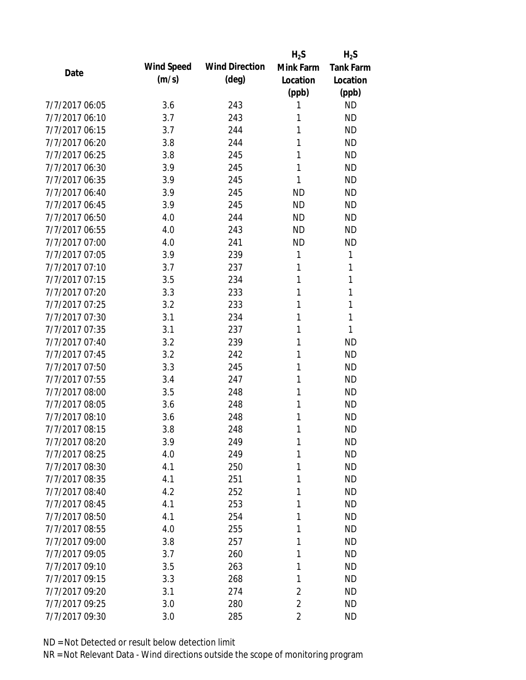|                |            |                       | $H_2S$         | $H_2S$           |
|----------------|------------|-----------------------|----------------|------------------|
| Date           | Wind Speed | <b>Wind Direction</b> | Mink Farm      | <b>Tank Farm</b> |
|                | (m/s)      | $(\text{deg})$        | Location       | Location         |
|                |            |                       | (ppb)          | (ppb)            |
| 7/7/2017 06:05 | 3.6        | 243                   | 1              | <b>ND</b>        |
| 7/7/2017 06:10 | 3.7        | 243                   | 1              | <b>ND</b>        |
| 7/7/2017 06:15 | 3.7        | 244                   | 1              | <b>ND</b>        |
| 7/7/2017 06:20 | 3.8        | 244                   | 1              | <b>ND</b>        |
| 7/7/2017 06:25 | 3.8        | 245                   | 1              | <b>ND</b>        |
| 7/7/2017 06:30 | 3.9        | 245                   | 1              | <b>ND</b>        |
| 7/7/2017 06:35 | 3.9        | 245                   | 1              | <b>ND</b>        |
| 7/7/2017 06:40 | 3.9        | 245                   | <b>ND</b>      | <b>ND</b>        |
| 7/7/2017 06:45 | 3.9        | 245                   | <b>ND</b>      | <b>ND</b>        |
| 7/7/2017 06:50 | 4.0        | 244                   | <b>ND</b>      | <b>ND</b>        |
| 7/7/2017 06:55 | 4.0        | 243                   | <b>ND</b>      | <b>ND</b>        |
| 7/7/2017 07:00 | 4.0        | 241                   | <b>ND</b>      | <b>ND</b>        |
| 7/7/2017 07:05 | 3.9        | 239                   | 1              | 1                |
| 7/7/2017 07:10 | 3.7        | 237                   | 1              | 1                |
| 7/7/2017 07:15 | 3.5        | 234                   | 1              | 1                |
| 7/7/2017 07:20 | 3.3        | 233                   | 1              | 1                |
| 7/7/2017 07:25 | 3.2        | 233                   | 1              | 1                |
| 7/7/2017 07:30 | 3.1        | 234                   | 1              | 1                |
| 7/7/2017 07:35 | 3.1        | 237                   | 1              | 1                |
| 7/7/2017 07:40 | 3.2        | 239                   | 1              | <b>ND</b>        |
| 7/7/2017 07:45 | 3.2        | 242                   | 1              | <b>ND</b>        |
| 7/7/2017 07:50 | 3.3        | 245                   | 1              | <b>ND</b>        |
| 7/7/2017 07:55 | 3.4        | 247                   | 1              | <b>ND</b>        |
| 7/7/2017 08:00 | 3.5        | 248                   | 1              | <b>ND</b>        |
| 7/7/2017 08:05 | 3.6        | 248                   | 1              | <b>ND</b>        |
| 7/7/2017 08:10 | 3.6        | 248                   | 1              | <b>ND</b>        |
| 7/7/2017 08:15 | 3.8        | 248                   | 1              | <b>ND</b>        |
| 7/7/2017 08:20 | 3.9        | 249                   | 1              | <b>ND</b>        |
| 7/7/2017 08:25 | 4.0        | 249                   | 1              | <b>ND</b>        |
| 7/7/2017 08:30 | 4.1        | 250                   | 1              | <b>ND</b>        |
| 7/7/2017 08:35 | 4.1        | 251                   | 1              | <b>ND</b>        |
| 7/7/2017 08:40 | 4.2        | 252                   | 1              | <b>ND</b>        |
| 7/7/2017 08:45 | 4.1        | 253                   | 1              | <b>ND</b>        |
| 7/7/2017 08:50 | 4.1        | 254                   | 1              | <b>ND</b>        |
| 7/7/2017 08:55 | 4.0        | 255                   | 1              | <b>ND</b>        |
| 7/7/2017 09:00 | 3.8        | 257                   | 1              | <b>ND</b>        |
| 7/7/2017 09:05 | 3.7        | 260                   | 1              | <b>ND</b>        |
| 7/7/2017 09:10 | 3.5        | 263                   | 1              | <b>ND</b>        |
| 7/7/2017 09:15 | 3.3        | 268                   | 1              | <b>ND</b>        |
| 7/7/2017 09:20 | 3.1        | 274                   | $\overline{2}$ | <b>ND</b>        |
| 7/7/2017 09:25 | 3.0        | 280                   | $\overline{c}$ | <b>ND</b>        |
| 7/7/2017 09:30 | 3.0        | 285                   | $\overline{2}$ | <b>ND</b>        |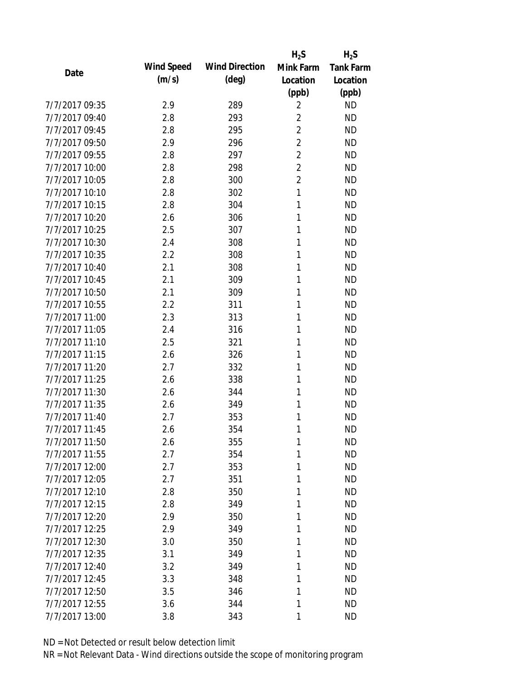|                |                   |                       | $H_2S$         | $H_2S$           |
|----------------|-------------------|-----------------------|----------------|------------------|
| Date           | <b>Wind Speed</b> | <b>Wind Direction</b> | Mink Farm      | <b>Tank Farm</b> |
|                | (m/s)             | $(\text{deg})$        | Location       | Location         |
|                |                   |                       | (ppb)          | (ppb)            |
| 7/7/2017 09:35 | 2.9               | 289                   | 2              | <b>ND</b>        |
| 7/7/2017 09:40 | 2.8               | 293                   | $\overline{2}$ | <b>ND</b>        |
| 7/7/2017 09:45 | 2.8               | 295                   | 2              | <b>ND</b>        |
| 7/7/2017 09:50 | 2.9               | 296                   | $\overline{2}$ | <b>ND</b>        |
| 7/7/2017 09:55 | 2.8               | 297                   | $\overline{2}$ | <b>ND</b>        |
| 7/7/2017 10:00 | 2.8               | 298                   | $\overline{2}$ | <b>ND</b>        |
| 7/7/2017 10:05 | 2.8               | 300                   | $\overline{2}$ | <b>ND</b>        |
| 7/7/2017 10:10 | 2.8               | 302                   | 1              | <b>ND</b>        |
| 7/7/2017 10:15 | 2.8               | 304                   | 1              | <b>ND</b>        |
| 7/7/2017 10:20 | 2.6               | 306                   | 1              | <b>ND</b>        |
| 7/7/2017 10:25 | 2.5               | 307                   | 1              | <b>ND</b>        |
| 7/7/2017 10:30 | 2.4               | 308                   | 1              | <b>ND</b>        |
| 7/7/2017 10:35 | 2.2               | 308                   | 1              | <b>ND</b>        |
| 7/7/2017 10:40 | 2.1               | 308                   | 1              | <b>ND</b>        |
| 7/7/2017 10:45 | 2.1               | 309                   | 1              | <b>ND</b>        |
| 7/7/2017 10:50 | 2.1               | 309                   | 1              | <b>ND</b>        |
| 7/7/2017 10:55 | 2.2               | 311                   | 1              | <b>ND</b>        |
| 7/7/2017 11:00 | 2.3               | 313                   | 1              | <b>ND</b>        |
| 7/7/2017 11:05 | 2.4               | 316                   | 1              | <b>ND</b>        |
| 7/7/2017 11:10 | 2.5               | 321                   | 1              | <b>ND</b>        |
| 7/7/2017 11:15 | 2.6               | 326                   | 1              | <b>ND</b>        |
| 7/7/2017 11:20 | 2.7               | 332                   | 1              | <b>ND</b>        |
| 7/7/2017 11:25 | 2.6               | 338                   | 1              | <b>ND</b>        |
| 7/7/2017 11:30 | 2.6               | 344                   | 1              | <b>ND</b>        |
| 7/7/2017 11:35 | 2.6               | 349                   | 1              | <b>ND</b>        |
| 7/7/2017 11:40 | 2.7               | 353                   | 1              | <b>ND</b>        |
| 7/7/2017 11:45 | 2.6               | 354                   | 1              | <b>ND</b>        |
| 7/7/2017 11:50 | 2.6               | 355                   | 1              | <b>ND</b>        |
| 7/7/2017 11:55 | 2.7               | 354                   | 1              | <b>ND</b>        |
| 7/7/2017 12:00 | 2.7               | 353                   | 1              | <b>ND</b>        |
| 7/7/2017 12:05 | 2.7               | 351                   | 1              | <b>ND</b>        |
| 7/7/2017 12:10 | 2.8               | 350                   | 1              | <b>ND</b>        |
| 7/7/2017 12:15 | 2.8               | 349                   | 1              | <b>ND</b>        |
| 7/7/2017 12:20 | 2.9               | 350                   | 1              | <b>ND</b>        |
| 7/7/2017 12:25 | 2.9               | 349                   | 1              | <b>ND</b>        |
| 7/7/2017 12:30 | 3.0               | 350                   | 1              | <b>ND</b>        |
| 7/7/2017 12:35 | 3.1               | 349                   | 1              | <b>ND</b>        |
| 7/7/2017 12:40 | 3.2               | 349                   | 1              | <b>ND</b>        |
| 7/7/2017 12:45 | 3.3               | 348                   | 1              | <b>ND</b>        |
| 7/7/2017 12:50 | 3.5               | 346                   | 1              | <b>ND</b>        |
| 7/7/2017 12:55 | 3.6               | 344                   | 1              | <b>ND</b>        |
| 7/7/2017 13:00 | 3.8               | 343                   | 1              | <b>ND</b>        |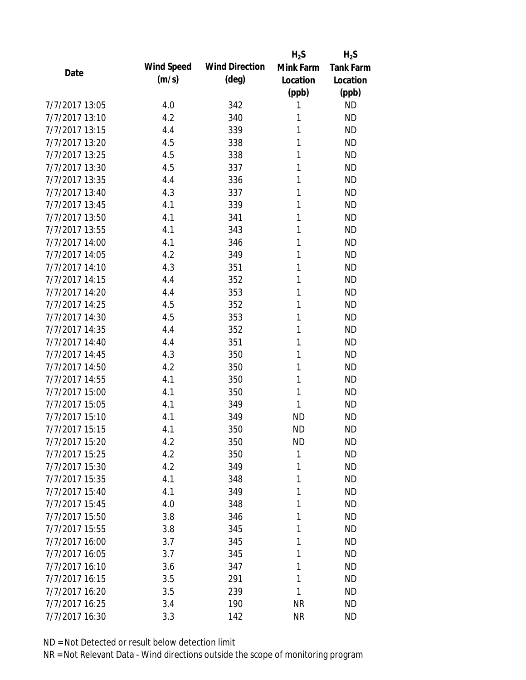|                |            |                       | $H_2S$    | $H_2S$           |
|----------------|------------|-----------------------|-----------|------------------|
| Date           | Wind Speed | <b>Wind Direction</b> | Mink Farm | <b>Tank Farm</b> |
|                | (m/s)      | $(\text{deg})$        | Location  | Location         |
|                |            |                       | (ppb)     | (ppb)            |
| 7/7/2017 13:05 | 4.0        | 342                   | 1         | <b>ND</b>        |
| 7/7/2017 13:10 | 4.2        | 340                   | 1         | <b>ND</b>        |
| 7/7/2017 13:15 | 4.4        | 339                   | 1         | <b>ND</b>        |
| 7/7/2017 13:20 | 4.5        | 338                   | 1         | <b>ND</b>        |
| 7/7/2017 13:25 | 4.5        | 338                   | 1         | <b>ND</b>        |
| 7/7/2017 13:30 | 4.5        | 337                   | 1         | <b>ND</b>        |
| 7/7/2017 13:35 | 4.4        | 336                   | 1         | <b>ND</b>        |
| 7/7/2017 13:40 | 4.3        | 337                   | 1         | <b>ND</b>        |
| 7/7/2017 13:45 | 4.1        | 339                   | 1         | <b>ND</b>        |
| 7/7/2017 13:50 | 4.1        | 341                   | 1         | <b>ND</b>        |
| 7/7/2017 13:55 | 4.1        | 343                   | 1         | <b>ND</b>        |
| 7/7/2017 14:00 | 4.1        | 346                   | 1         | <b>ND</b>        |
| 7/7/2017 14:05 | 4.2        | 349                   | 1         | <b>ND</b>        |
| 7/7/2017 14:10 | 4.3        | 351                   | 1         | <b>ND</b>        |
| 7/7/2017 14:15 | 4.4        | 352                   | 1         | <b>ND</b>        |
| 7/7/2017 14:20 | 4.4        | 353                   | 1         | <b>ND</b>        |
| 7/7/2017 14:25 | 4.5        | 352                   | 1         | <b>ND</b>        |
| 7/7/2017 14:30 | 4.5        | 353                   | 1         | <b>ND</b>        |
| 7/7/2017 14:35 | 4.4        | 352                   | 1         | <b>ND</b>        |
| 7/7/2017 14:40 | 4.4        | 351                   | 1         | <b>ND</b>        |
| 7/7/2017 14:45 | 4.3        | 350                   | 1         | <b>ND</b>        |
| 7/7/2017 14:50 | 4.2        | 350                   | 1         | <b>ND</b>        |
| 7/7/2017 14:55 | 4.1        | 350                   | 1         | <b>ND</b>        |
| 7/7/2017 15:00 | 4.1        | 350                   | 1         | <b>ND</b>        |
| 7/7/2017 15:05 | 4.1        | 349                   | 1         | <b>ND</b>        |
| 7/7/2017 15:10 | 4.1        | 349                   | <b>ND</b> | <b>ND</b>        |
| 7/7/2017 15:15 | 4.1        | 350                   | <b>ND</b> | <b>ND</b>        |
| 7/7/2017 15:20 | 4.2        | 350                   | <b>ND</b> | <b>ND</b>        |
| 7/7/2017 15:25 | 4.2        | 350                   | 1         | <b>ND</b>        |
| 7/7/2017 15:30 | 4.2        | 349                   | 1         | <b>ND</b>        |
| 7/7/2017 15:35 | 4.1        | 348                   | 1         | <b>ND</b>        |
| 7/7/2017 15:40 | 4.1        | 349                   | 1         | <b>ND</b>        |
| 7/7/2017 15:45 | 4.0        | 348                   | 1         | <b>ND</b>        |
| 7/7/2017 15:50 | 3.8        | 346                   | 1         | <b>ND</b>        |
| 7/7/2017 15:55 | 3.8        | 345                   | 1         | <b>ND</b>        |
| 7/7/2017 16:00 | 3.7        | 345                   | 1         | <b>ND</b>        |
| 7/7/2017 16:05 | 3.7        | 345                   | 1         | <b>ND</b>        |
| 7/7/2017 16:10 | 3.6        | 347                   | 1         | <b>ND</b>        |
| 7/7/2017 16:15 | 3.5        | 291                   | 1         | <b>ND</b>        |
| 7/7/2017 16:20 | 3.5        | 239                   | 1         | <b>ND</b>        |
| 7/7/2017 16:25 | 3.4        | 190                   | <b>NR</b> | <b>ND</b>        |
| 7/7/2017 16:30 | 3.3        | 142                   | <b>NR</b> | <b>ND</b>        |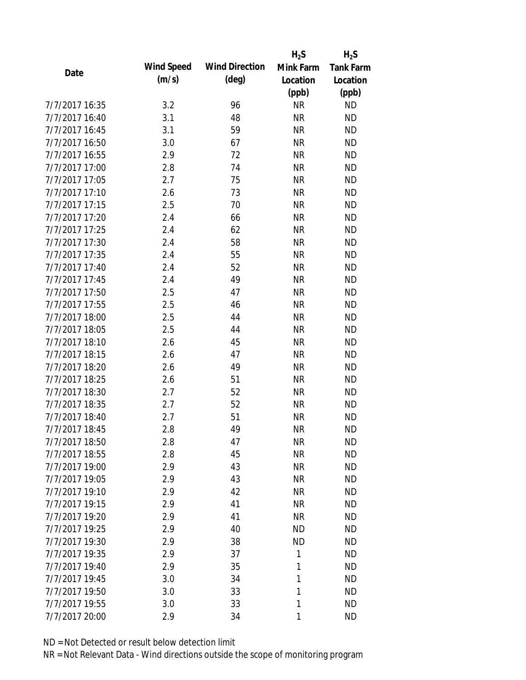|                |                   |                       | $H_2S$       | $H_2S$           |
|----------------|-------------------|-----------------------|--------------|------------------|
|                | <b>Wind Speed</b> | <b>Wind Direction</b> | Mink Farm    | <b>Tank Farm</b> |
| Date           | (m/s)             | $(\text{deg})$        | Location     | Location         |
|                |                   |                       | (ppb)        | (ppb)            |
| 7/7/2017 16:35 | 3.2               | 96                    | <b>NR</b>    | <b>ND</b>        |
| 7/7/2017 16:40 | 3.1               | 48                    | <b>NR</b>    | <b>ND</b>        |
| 7/7/2017 16:45 | 3.1               | 59                    | <b>NR</b>    | <b>ND</b>        |
| 7/7/2017 16:50 | 3.0               | 67                    | <b>NR</b>    | <b>ND</b>        |
| 7/7/2017 16:55 | 2.9               | 72                    | <b>NR</b>    | <b>ND</b>        |
| 7/7/2017 17:00 | 2.8               | 74                    | <b>NR</b>    | <b>ND</b>        |
| 7/7/2017 17:05 | 2.7               | 75                    | <b>NR</b>    | <b>ND</b>        |
| 7/7/2017 17:10 | 2.6               | 73                    | <b>NR</b>    | <b>ND</b>        |
| 7/7/2017 17:15 | 2.5               | 70                    | <b>NR</b>    | <b>ND</b>        |
| 7/7/2017 17:20 | 2.4               | 66                    | <b>NR</b>    | <b>ND</b>        |
| 7/7/2017 17:25 | 2.4               | 62                    | <b>NR</b>    | <b>ND</b>        |
| 7/7/2017 17:30 | 2.4               | 58                    | <b>NR</b>    | <b>ND</b>        |
| 7/7/2017 17:35 | 2.4               | 55                    | <b>NR</b>    | <b>ND</b>        |
| 7/7/2017 17:40 | 2.4               | 52                    | <b>NR</b>    | <b>ND</b>        |
| 7/7/2017 17:45 | 2.4               | 49                    | <b>NR</b>    | <b>ND</b>        |
| 7/7/2017 17:50 | 2.5               | 47                    | <b>NR</b>    | <b>ND</b>        |
| 7/7/2017 17:55 | 2.5               | 46                    | <b>NR</b>    | <b>ND</b>        |
| 7/7/2017 18:00 | 2.5               | 44                    | <b>NR</b>    | <b>ND</b>        |
| 7/7/2017 18:05 | 2.5               | 44                    | <b>NR</b>    | <b>ND</b>        |
| 7/7/2017 18:10 | 2.6               | 45                    | <b>NR</b>    | <b>ND</b>        |
| 7/7/2017 18:15 | 2.6               | 47                    | <b>NR</b>    | <b>ND</b>        |
| 7/7/2017 18:20 | 2.6               | 49                    | <b>NR</b>    | <b>ND</b>        |
| 7/7/2017 18:25 | 2.6               | 51                    | <b>NR</b>    | <b>ND</b>        |
| 7/7/2017 18:30 | 2.7               | 52                    | <b>NR</b>    | <b>ND</b>        |
| 7/7/2017 18:35 | 2.7               | 52                    | <b>NR</b>    | <b>ND</b>        |
| 7/7/2017 18:40 | 2.7               | 51                    | <b>NR</b>    | <b>ND</b>        |
| 7/7/2017 18:45 | 2.8               | 49                    | <b>NR</b>    | <b>ND</b>        |
| 7/7/2017 18:50 | 2.8               | 47                    | <b>NR</b>    | <b>ND</b>        |
| 7/7/2017 18:55 | 2.8               | 45                    | <b>NR</b>    | <b>ND</b>        |
| 7/7/2017 19:00 | 2.9               | 43                    | <b>NR</b>    | <b>ND</b>        |
| 7/7/2017 19:05 | 2.9               | 43                    | <b>NR</b>    | <b>ND</b>        |
| 7/7/2017 19:10 | 2.9               | 42                    | <b>NR</b>    | <b>ND</b>        |
| 7/7/2017 19:15 | 2.9               | 41                    | <b>NR</b>    | <b>ND</b>        |
| 7/7/2017 19:20 | 2.9               | 41                    | <b>NR</b>    | <b>ND</b>        |
| 7/7/2017 19:25 | 2.9               | 40                    | <b>ND</b>    | <b>ND</b>        |
| 7/7/2017 19:30 | 2.9               | 38                    | <b>ND</b>    | <b>ND</b>        |
| 7/7/2017 19:35 | 2.9               | 37                    | 1            | <b>ND</b>        |
| 7/7/2017 19:40 | 2.9               | 35                    | 1            | <b>ND</b>        |
| 7/7/2017 19:45 | 3.0               | 34                    | $\mathbf{1}$ | <b>ND</b>        |
| 7/7/2017 19:50 | 3.0               | 33                    | $\mathbf{1}$ | <b>ND</b>        |
| 7/7/2017 19:55 | 3.0               | 33                    | 1            | <b>ND</b>        |
| 7/7/2017 20:00 | 2.9               | 34                    | 1            | <b>ND</b>        |
|                |                   |                       |              |                  |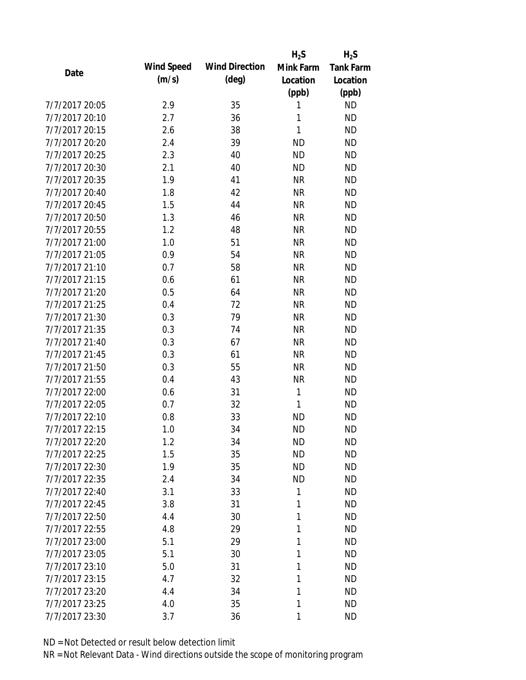|                |                   |                       | $H_2S$       | $H_2S$           |
|----------------|-------------------|-----------------------|--------------|------------------|
|                | <b>Wind Speed</b> | <b>Wind Direction</b> | Mink Farm    | <b>Tank Farm</b> |
| Date           | (m/s)             | $(\text{deg})$        | Location     | Location         |
|                |                   |                       | (ppb)        | (ppb)            |
| 7/7/2017 20:05 | 2.9               | 35                    | 1            | <b>ND</b>        |
| 7/7/2017 20:10 | 2.7               | 36                    | 1            | <b>ND</b>        |
| 7/7/2017 20:15 | 2.6               | 38                    | $\mathbf{1}$ | <b>ND</b>        |
| 7/7/2017 20:20 | 2.4               | 39                    | <b>ND</b>    | <b>ND</b>        |
| 7/7/2017 20:25 | 2.3               | 40                    | <b>ND</b>    | <b>ND</b>        |
| 7/7/2017 20:30 | 2.1               | 40                    | <b>ND</b>    | <b>ND</b>        |
| 7/7/2017 20:35 | 1.9               | 41                    | <b>NR</b>    | <b>ND</b>        |
| 7/7/2017 20:40 | 1.8               | 42                    | <b>NR</b>    | <b>ND</b>        |
| 7/7/2017 20:45 | 1.5               | 44                    | <b>NR</b>    | <b>ND</b>        |
| 7/7/2017 20:50 | 1.3               | 46                    | <b>NR</b>    | <b>ND</b>        |
| 7/7/2017 20:55 | 1.2               | 48                    | <b>NR</b>    | <b>ND</b>        |
| 7/7/2017 21:00 | 1.0               | 51                    | <b>NR</b>    | <b>ND</b>        |
| 7/7/2017 21:05 | 0.9               | 54                    | <b>NR</b>    | <b>ND</b>        |
| 7/7/2017 21:10 | 0.7               | 58                    | <b>NR</b>    | <b>ND</b>        |
| 7/7/2017 21:15 | 0.6               | 61                    | <b>NR</b>    | <b>ND</b>        |
| 7/7/2017 21:20 | 0.5               | 64                    | <b>NR</b>    | <b>ND</b>        |
| 7/7/2017 21:25 | 0.4               | 72                    | <b>NR</b>    | <b>ND</b>        |
| 7/7/2017 21:30 | 0.3               | 79                    | <b>NR</b>    | <b>ND</b>        |
| 7/7/2017 21:35 | 0.3               | 74                    | <b>NR</b>    | <b>ND</b>        |
| 7/7/2017 21:40 | 0.3               | 67                    | <b>NR</b>    | <b>ND</b>        |
| 7/7/2017 21:45 | 0.3               | 61                    | <b>NR</b>    | <b>ND</b>        |
| 7/7/2017 21:50 | 0.3               | 55                    | <b>NR</b>    | <b>ND</b>        |
| 7/7/2017 21:55 | 0.4               | 43                    | <b>NR</b>    | <b>ND</b>        |
| 7/7/2017 22:00 | 0.6               | 31                    | 1            | <b>ND</b>        |
| 7/7/2017 22:05 | 0.7               | 32                    | 1            | <b>ND</b>        |
| 7/7/2017 22:10 | 0.8               | 33                    | <b>ND</b>    | <b>ND</b>        |
| 7/7/2017 22:15 | 1.0               | 34                    | <b>ND</b>    | <b>ND</b>        |
| 7/7/2017 22:20 | 1.2               | 34                    | <b>ND</b>    | <b>ND</b>        |
| 7/7/2017 22:25 | 1.5               | 35                    | <b>ND</b>    | <b>ND</b>        |
| 7/7/2017 22:30 | 1.9               | 35                    | <b>ND</b>    | <b>ND</b>        |
| 7/7/2017 22:35 | 2.4               | 34                    | <b>ND</b>    | <b>ND</b>        |
| 7/7/2017 22:40 | 3.1               | 33                    | 1            | <b>ND</b>        |
| 7/7/2017 22:45 | 3.8               | 31                    | 1            | <b>ND</b>        |
| 7/7/2017 22:50 | 4.4               | 30                    | 1            | <b>ND</b>        |
| 7/7/2017 22:55 | 4.8               | 29                    | 1            | <b>ND</b>        |
| 7/7/2017 23:00 | 5.1               | 29                    | 1            | <b>ND</b>        |
| 7/7/2017 23:05 | 5.1               | 30                    | 1            | <b>ND</b>        |
| 7/7/2017 23:10 | 5.0               | 31                    | 1            | <b>ND</b>        |
| 7/7/2017 23:15 | 4.7               | 32                    | 1            | <b>ND</b>        |
| 7/7/2017 23:20 | 4.4               | 34                    | 1            | <b>ND</b>        |
| 7/7/2017 23:25 | 4.0               | 35                    | 1            | <b>ND</b>        |
| 7/7/2017 23:30 | 3.7               | 36                    | 1            | <b>ND</b>        |
|                |                   |                       |              |                  |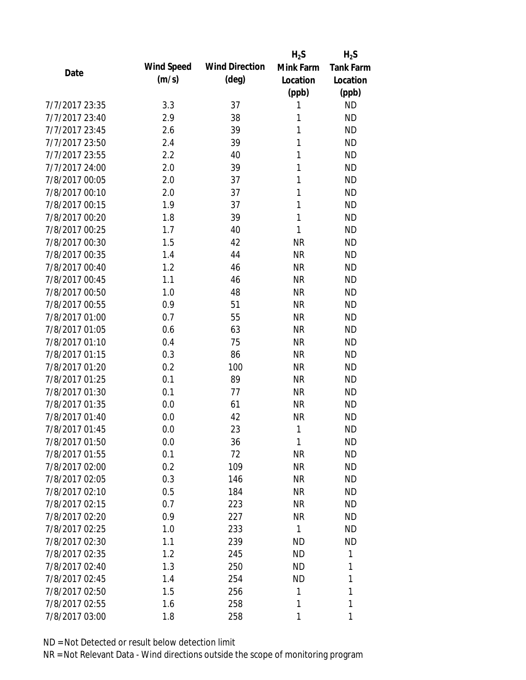|                |                   |                       | $H_2S$    | $H_2S$           |
|----------------|-------------------|-----------------------|-----------|------------------|
|                | <b>Wind Speed</b> | <b>Wind Direction</b> | Mink Farm | <b>Tank Farm</b> |
| Date           | (m/s)             | $(\text{deg})$        | Location  | Location         |
|                |                   |                       | (ppb)     | (ppb)            |
| 7/7/2017 23:35 | 3.3               | 37                    | 1         | <b>ND</b>        |
| 7/7/2017 23:40 | 2.9               | 38                    | 1         | <b>ND</b>        |
| 7/7/2017 23:45 | 2.6               | 39                    | 1         | <b>ND</b>        |
| 7/7/2017 23:50 | 2.4               | 39                    | 1         | <b>ND</b>        |
| 7/7/2017 23:55 | 2.2               | 40                    | 1         | <b>ND</b>        |
| 7/7/2017 24:00 | 2.0               | 39                    | 1         | <b>ND</b>        |
| 7/8/2017 00:05 | 2.0               | 37                    | 1         | <b>ND</b>        |
| 7/8/2017 00:10 | 2.0               | 37                    | 1         | <b>ND</b>        |
| 7/8/2017 00:15 | 1.9               | 37                    | 1         | <b>ND</b>        |
| 7/8/2017 00:20 | 1.8               | 39                    | 1         | <b>ND</b>        |
| 7/8/2017 00:25 | 1.7               | 40                    | 1         | <b>ND</b>        |
| 7/8/2017 00:30 | 1.5               | 42                    | <b>NR</b> | <b>ND</b>        |
| 7/8/2017 00:35 | 1.4               | 44                    | <b>NR</b> | <b>ND</b>        |
| 7/8/2017 00:40 | 1.2               | 46                    | <b>NR</b> | <b>ND</b>        |
| 7/8/2017 00:45 | 1.1               | 46                    | <b>NR</b> | <b>ND</b>        |
| 7/8/2017 00:50 | 1.0               | 48                    | <b>NR</b> | <b>ND</b>        |
| 7/8/2017 00:55 | 0.9               | 51                    | <b>NR</b> | <b>ND</b>        |
| 7/8/2017 01:00 | 0.7               | 55                    | <b>NR</b> | <b>ND</b>        |
| 7/8/2017 01:05 | 0.6               | 63                    | <b>NR</b> | <b>ND</b>        |
| 7/8/2017 01:10 | 0.4               | 75                    | <b>NR</b> | <b>ND</b>        |
| 7/8/2017 01:15 | 0.3               | 86                    | <b>NR</b> | <b>ND</b>        |
| 7/8/2017 01:20 | 0.2               | 100                   | <b>NR</b> | <b>ND</b>        |
| 7/8/2017 01:25 | 0.1               | 89                    | <b>NR</b> | <b>ND</b>        |
| 7/8/2017 01:30 | 0.1               | 77                    | <b>NR</b> | <b>ND</b>        |
| 7/8/2017 01:35 | 0.0               | 61                    | <b>NR</b> | <b>ND</b>        |
| 7/8/2017 01:40 | 0.0               | 42                    | <b>NR</b> | <b>ND</b>        |
| 7/8/2017 01:45 | 0.0               | 23                    | 1         | <b>ND</b>        |
| 7/8/2017 01:50 | 0.0               | 36                    | 1         | <b>ND</b>        |
| 7/8/2017 01:55 | 0.1               | 72                    | <b>NR</b> | <b>ND</b>        |
| 7/8/2017 02:00 | 0.2               | 109                   | <b>NR</b> | <b>ND</b>        |
| 7/8/2017 02:05 | 0.3               | 146                   | <b>NR</b> | <b>ND</b>        |
| 7/8/2017 02:10 | 0.5               | 184                   | <b>NR</b> | <b>ND</b>        |
| 7/8/2017 02:15 | 0.7               | 223                   | NR        | <b>ND</b>        |
| 7/8/2017 02:20 | 0.9               | 227                   | <b>NR</b> | <b>ND</b>        |
| 7/8/2017 02:25 | 1.0               | 233                   | 1         | <b>ND</b>        |
| 7/8/2017 02:30 | 1.1               | 239                   | <b>ND</b> | <b>ND</b>        |
| 7/8/2017 02:35 | 1.2               | 245                   | <b>ND</b> | 1                |
| 7/8/2017 02:40 | 1.3               | 250                   | ND        | 1                |
| 7/8/2017 02:45 | 1.4               | 254                   | <b>ND</b> | 1                |
| 7/8/2017 02:50 | 1.5               | 256                   | 1         | 1                |
| 7/8/2017 02:55 | 1.6               | 258                   | 1         | 1                |
| 7/8/2017 03:00 | 1.8               | 258                   | 1         | 1                |
|                |                   |                       |           |                  |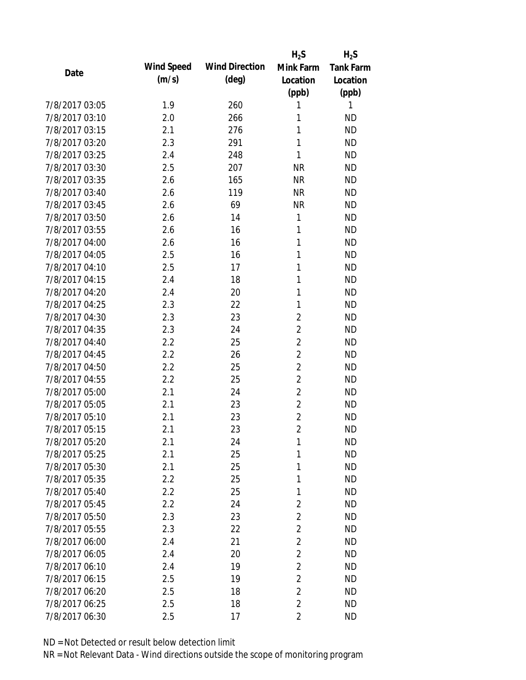|                |            |                       | $H_2S$         | $H_2S$           |
|----------------|------------|-----------------------|----------------|------------------|
| Date           | Wind Speed | <b>Wind Direction</b> | Mink Farm      | <b>Tank Farm</b> |
|                | (m/s)      | $(\text{deg})$        | Location       | Location         |
|                |            |                       | (ppb)          | (ppb)            |
| 7/8/2017 03:05 | 1.9        | 260                   | 1              | 1                |
| 7/8/2017 03:10 | 2.0        | 266                   | 1              | <b>ND</b>        |
| 7/8/2017 03:15 | 2.1        | 276                   | 1              | <b>ND</b>        |
| 7/8/2017 03:20 | 2.3        | 291                   | 1              | <b>ND</b>        |
| 7/8/2017 03:25 | 2.4        | 248                   | 1              | <b>ND</b>        |
| 7/8/2017 03:30 | 2.5        | 207                   | <b>NR</b>      | <b>ND</b>        |
| 7/8/2017 03:35 | 2.6        | 165                   | <b>NR</b>      | <b>ND</b>        |
| 7/8/2017 03:40 | 2.6        | 119                   | <b>NR</b>      | <b>ND</b>        |
| 7/8/2017 03:45 | 2.6        | 69                    | <b>NR</b>      | <b>ND</b>        |
| 7/8/2017 03:50 | 2.6        | 14                    | 1              | <b>ND</b>        |
| 7/8/2017 03:55 | 2.6        | 16                    | 1              | <b>ND</b>        |
| 7/8/2017 04:00 | 2.6        | 16                    | 1              | <b>ND</b>        |
| 7/8/2017 04:05 | 2.5        | 16                    | 1              | <b>ND</b>        |
| 7/8/2017 04:10 | 2.5        | 17                    | 1              | <b>ND</b>        |
| 7/8/2017 04:15 | 2.4        | 18                    | 1              | <b>ND</b>        |
| 7/8/2017 04:20 | 2.4        | 20                    | 1              | <b>ND</b>        |
| 7/8/2017 04:25 | 2.3        | 22                    | 1              | <b>ND</b>        |
| 7/8/2017 04:30 | 2.3        | 23                    | $\overline{c}$ | <b>ND</b>        |
| 7/8/2017 04:35 | 2.3        | 24                    | $\overline{2}$ | <b>ND</b>        |
| 7/8/2017 04:40 | 2.2        | 25                    | $\overline{2}$ | <b>ND</b>        |
| 7/8/2017 04:45 | 2.2        | 26                    | $\overline{2}$ | <b>ND</b>        |
| 7/8/2017 04:50 | 2.2        | 25                    | $\overline{2}$ | <b>ND</b>        |
| 7/8/2017 04:55 | 2.2        | 25                    | $\overline{c}$ | <b>ND</b>        |
| 7/8/2017 05:00 | 2.1        | 24                    | $\overline{2}$ | <b>ND</b>        |
| 7/8/2017 05:05 | 2.1        | 23                    | $\overline{2}$ | <b>ND</b>        |
| 7/8/2017 05:10 | 2.1        | 23                    | $\overline{2}$ | <b>ND</b>        |
| 7/8/2017 05:15 | 2.1        | 23                    | $\overline{2}$ | <b>ND</b>        |
| 7/8/2017 05:20 | 2.1        | 24                    | 1              | <b>ND</b>        |
| 7/8/2017 05:25 | 2.1        | 25                    | 1              | <b>ND</b>        |
| 7/8/2017 05:30 | 2.1        | 25                    | 1              | <b>ND</b>        |
| 7/8/2017 05:35 | 2.2        | 25                    | 1              | <b>ND</b>        |
| 7/8/2017 05:40 | 2.2        | 25                    | 1              | <b>ND</b>        |
| 7/8/2017 05:45 | 2.2        | 24                    | $\overline{2}$ | <b>ND</b>        |
| 7/8/2017 05:50 | 2.3        | 23                    | $\overline{2}$ | <b>ND</b>        |
| 7/8/2017 05:55 | 2.3        | 22                    | $\overline{c}$ | <b>ND</b>        |
| 7/8/2017 06:00 | 2.4        | 21                    | $\overline{2}$ | <b>ND</b>        |
| 7/8/2017 06:05 | 2.4        | 20                    | $\overline{2}$ | <b>ND</b>        |
| 7/8/2017 06:10 | 2.4        | 19                    | $\overline{2}$ | <b>ND</b>        |
| 7/8/2017 06:15 | 2.5        | 19                    | $\overline{2}$ | <b>ND</b>        |
| 7/8/2017 06:20 | 2.5        | 18                    | $\overline{2}$ | <b>ND</b>        |
| 7/8/2017 06:25 | 2.5        | 18                    | $\overline{c}$ | <b>ND</b>        |
| 7/8/2017 06:30 | 2.5        | 17                    | $\overline{2}$ | <b>ND</b>        |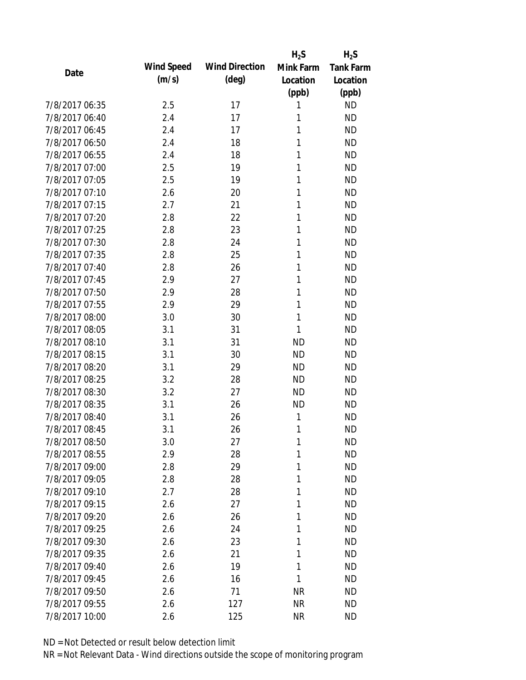|                |            |                       | $H_2S$    | $H_2S$           |
|----------------|------------|-----------------------|-----------|------------------|
| Date           | Wind Speed | <b>Wind Direction</b> | Mink Farm | <b>Tank Farm</b> |
|                | (m/s)      | $(\text{deg})$        | Location  | Location         |
|                |            |                       | (ppb)     | (ppb)            |
| 7/8/2017 06:35 | 2.5        | 17                    | 1         | <b>ND</b>        |
| 7/8/2017 06:40 | 2.4        | 17                    | 1         | <b>ND</b>        |
| 7/8/2017 06:45 | 2.4        | 17                    | 1         | <b>ND</b>        |
| 7/8/2017 06:50 | 2.4        | 18                    | 1         | <b>ND</b>        |
| 7/8/2017 06:55 | 2.4        | 18                    | 1         | <b>ND</b>        |
| 7/8/2017 07:00 | 2.5        | 19                    | 1         | <b>ND</b>        |
| 7/8/2017 07:05 | 2.5        | 19                    | 1         | <b>ND</b>        |
| 7/8/2017 07:10 | 2.6        | 20                    | 1         | <b>ND</b>        |
| 7/8/2017 07:15 | 2.7        | 21                    | 1         | <b>ND</b>        |
| 7/8/2017 07:20 | 2.8        | 22                    | 1         | <b>ND</b>        |
| 7/8/2017 07:25 | 2.8        | 23                    | 1         | <b>ND</b>        |
| 7/8/2017 07:30 | 2.8        | 24                    | 1         | <b>ND</b>        |
| 7/8/2017 07:35 | 2.8        | 25                    | 1         | <b>ND</b>        |
| 7/8/2017 07:40 | 2.8        | 26                    | 1         | <b>ND</b>        |
| 7/8/2017 07:45 | 2.9        | 27                    | 1         | <b>ND</b>        |
| 7/8/2017 07:50 | 2.9        | 28                    | 1         | <b>ND</b>        |
| 7/8/2017 07:55 | 2.9        | 29                    | 1         | <b>ND</b>        |
| 7/8/2017 08:00 | 3.0        | 30                    | 1         | <b>ND</b>        |
| 7/8/2017 08:05 | 3.1        | 31                    | 1         | <b>ND</b>        |
| 7/8/2017 08:10 | 3.1        | 31                    | <b>ND</b> | <b>ND</b>        |
| 7/8/2017 08:15 | 3.1        | 30                    | <b>ND</b> | <b>ND</b>        |
| 7/8/2017 08:20 | 3.1        | 29                    | <b>ND</b> | <b>ND</b>        |
| 7/8/2017 08:25 | 3.2        | 28                    | <b>ND</b> | <b>ND</b>        |
| 7/8/2017 08:30 | 3.2        | 27                    | <b>ND</b> | <b>ND</b>        |
| 7/8/2017 08:35 | 3.1        | 26                    | <b>ND</b> | <b>ND</b>        |
| 7/8/2017 08:40 | 3.1        | 26                    | 1         | <b>ND</b>        |
| 7/8/2017 08:45 | 3.1        | 26                    | 1         | <b>ND</b>        |
| 7/8/2017 08:50 | 3.0        | 27                    | 1         | <b>ND</b>        |
| 7/8/2017 08:55 | 2.9        | 28                    | 1         | <b>ND</b>        |
| 7/8/2017 09:00 | 2.8        | 29                    | 1         | <b>ND</b>        |
| 7/8/2017 09:05 | 2.8        | 28                    | 1         | <b>ND</b>        |
| 7/8/2017 09:10 | 2.7        | 28                    | 1         | <b>ND</b>        |
| 7/8/2017 09:15 | 2.6        | 27                    | 1         | <b>ND</b>        |
| 7/8/2017 09:20 | 2.6        | 26                    | 1         | <b>ND</b>        |
| 7/8/2017 09:25 | 2.6        | 24                    | 1         | <b>ND</b>        |
| 7/8/2017 09:30 | 2.6        | 23                    | 1         | <b>ND</b>        |
| 7/8/2017 09:35 | 2.6        | 21                    | 1         | <b>ND</b>        |
| 7/8/2017 09:40 | 2.6        | 19                    | 1         | <b>ND</b>        |
| 7/8/2017 09:45 | 2.6        | 16                    | 1         | <b>ND</b>        |
| 7/8/2017 09:50 | 2.6        | 71                    | <b>NR</b> | <b>ND</b>        |
| 7/8/2017 09:55 | 2.6        | 127                   | <b>NR</b> | <b>ND</b>        |
| 7/8/2017 10:00 | 2.6        | 125                   | <b>NR</b> | <b>ND</b>        |
|                |            |                       |           |                  |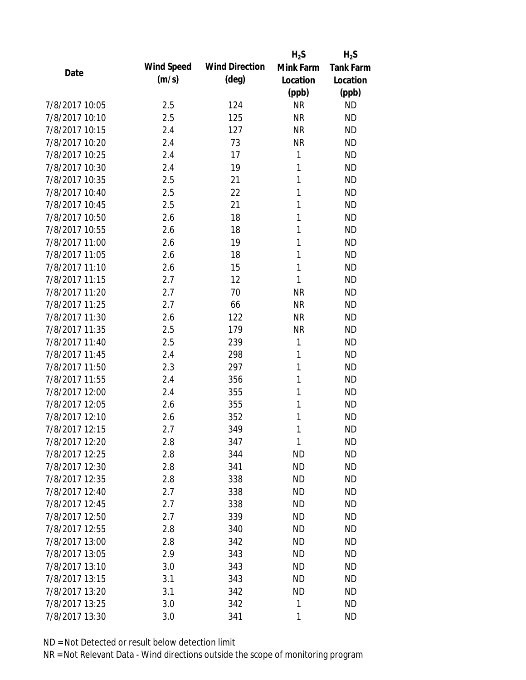|                |                   |                       | $H_2S$       | $H_2S$           |
|----------------|-------------------|-----------------------|--------------|------------------|
| Date           | <b>Wind Speed</b> | <b>Wind Direction</b> | Mink Farm    | <b>Tank Farm</b> |
|                | (m/s)             | $(\text{deg})$        | Location     | Location         |
|                |                   |                       | (ppb)        | (ppb)            |
| 7/8/2017 10:05 | 2.5               | 124                   | <b>NR</b>    | <b>ND</b>        |
| 7/8/2017 10:10 | 2.5               | 125                   | <b>NR</b>    | <b>ND</b>        |
| 7/8/2017 10:15 | 2.4               | 127                   | <b>NR</b>    | <b>ND</b>        |
| 7/8/2017 10:20 | 2.4               | 73                    | <b>NR</b>    | <b>ND</b>        |
| 7/8/2017 10:25 | 2.4               | 17                    | 1            | <b>ND</b>        |
| 7/8/2017 10:30 | 2.4               | 19                    | 1            | <b>ND</b>        |
| 7/8/2017 10:35 | 2.5               | 21                    | 1            | <b>ND</b>        |
| 7/8/2017 10:40 | 2.5               | 22                    | 1            | <b>ND</b>        |
| 7/8/2017 10:45 | 2.5               | 21                    | 1            | <b>ND</b>        |
| 7/8/2017 10:50 | 2.6               | 18                    | 1            | <b>ND</b>        |
| 7/8/2017 10:55 | 2.6               | 18                    | 1            | <b>ND</b>        |
| 7/8/2017 11:00 | 2.6               | 19                    | 1            | <b>ND</b>        |
| 7/8/2017 11:05 | 2.6               | 18                    | 1            | <b>ND</b>        |
| 7/8/2017 11:10 | 2.6               | 15                    | $\mathbf{1}$ | <b>ND</b>        |
| 7/8/2017 11:15 | 2.7               | 12                    | 1            | <b>ND</b>        |
| 7/8/2017 11:20 | 2.7               | 70                    | <b>NR</b>    | <b>ND</b>        |
| 7/8/2017 11:25 | 2.7               | 66                    | <b>NR</b>    | <b>ND</b>        |
| 7/8/2017 11:30 | 2.6               | 122                   | <b>NR</b>    | <b>ND</b>        |
| 7/8/2017 11:35 | 2.5               | 179                   | <b>NR</b>    | <b>ND</b>        |
| 7/8/2017 11:40 | 2.5               | 239                   | 1            | <b>ND</b>        |
| 7/8/2017 11:45 | 2.4               | 298                   | 1            | <b>ND</b>        |
| 7/8/2017 11:50 | 2.3               | 297                   | 1            | <b>ND</b>        |
| 7/8/2017 11:55 | 2.4               | 356                   | 1            | <b>ND</b>        |
| 7/8/2017 12:00 | 2.4               | 355                   | 1            | <b>ND</b>        |
| 7/8/2017 12:05 | 2.6               | 355                   | 1            | <b>ND</b>        |
| 7/8/2017 12:10 | 2.6               | 352                   | 1            | <b>ND</b>        |
| 7/8/2017 12:15 | 2.7               | 349                   | 1            | <b>ND</b>        |
| 7/8/2017 12:20 | 2.8               | 347                   | 1            | <b>ND</b>        |
| 7/8/2017 12:25 | 2.8               | 344                   | <b>ND</b>    | <b>ND</b>        |
| 7/8/2017 12:30 | 2.8               | 341                   | <b>ND</b>    | <b>ND</b>        |
| 7/8/2017 12:35 | 2.8               | 338                   | <b>ND</b>    | <b>ND</b>        |
| 7/8/2017 12:40 | 2.7               | 338                   | <b>ND</b>    | <b>ND</b>        |
| 7/8/2017 12:45 | 2.7               | 338                   | <b>ND</b>    | <b>ND</b>        |
| 7/8/2017 12:50 | 2.7               | 339                   | <b>ND</b>    | <b>ND</b>        |
| 7/8/2017 12:55 | 2.8               | 340                   | <b>ND</b>    | <b>ND</b>        |
| 7/8/2017 13:00 | 2.8               | 342                   | <b>ND</b>    | <b>ND</b>        |
| 7/8/2017 13:05 | 2.9               | 343                   | <b>ND</b>    | <b>ND</b>        |
| 7/8/2017 13:10 | 3.0               | 343                   | <b>ND</b>    | <b>ND</b>        |
| 7/8/2017 13:15 | 3.1               | 343                   | <b>ND</b>    | <b>ND</b>        |
| 7/8/2017 13:20 | 3.1               | 342                   | <b>ND</b>    | <b>ND</b>        |
| 7/8/2017 13:25 | 3.0               | 342                   | 1            | <b>ND</b>        |
| 7/8/2017 13:30 | 3.0               | 341                   | 1            | <b>ND</b>        |
|                |                   |                       |              |                  |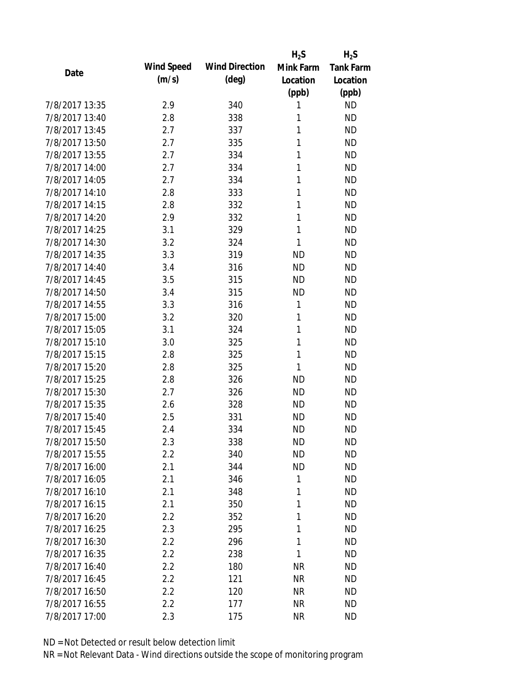|                |                   |                       | $H_2S$    | $H_2S$           |
|----------------|-------------------|-----------------------|-----------|------------------|
| Date           | <b>Wind Speed</b> | <b>Wind Direction</b> | Mink Farm | <b>Tank Farm</b> |
|                | (m/s)             | $(\text{deg})$        | Location  | Location         |
|                |                   |                       | (ppb)     | (ppb)            |
| 7/8/2017 13:35 | 2.9               | 340                   | 1         | <b>ND</b>        |
| 7/8/2017 13:40 | 2.8               | 338                   | 1         | <b>ND</b>        |
| 7/8/2017 13:45 | 2.7               | 337                   | 1         | <b>ND</b>        |
| 7/8/2017 13:50 | 2.7               | 335                   | 1         | <b>ND</b>        |
| 7/8/2017 13:55 | 2.7               | 334                   | 1         | <b>ND</b>        |
| 7/8/2017 14:00 | 2.7               | 334                   | 1         | <b>ND</b>        |
| 7/8/2017 14:05 | 2.7               | 334                   | 1         | <b>ND</b>        |
| 7/8/2017 14:10 | 2.8               | 333                   | 1         | <b>ND</b>        |
| 7/8/2017 14:15 | 2.8               | 332                   | 1         | <b>ND</b>        |
| 7/8/2017 14:20 | 2.9               | 332                   | 1         | <b>ND</b>        |
| 7/8/2017 14:25 | 3.1               | 329                   | 1         | <b>ND</b>        |
| 7/8/2017 14:30 | 3.2               | 324                   | 1         | <b>ND</b>        |
| 7/8/2017 14:35 | 3.3               | 319                   | <b>ND</b> | <b>ND</b>        |
| 7/8/2017 14:40 | 3.4               | 316                   | <b>ND</b> | <b>ND</b>        |
| 7/8/2017 14:45 | 3.5               | 315                   | <b>ND</b> | <b>ND</b>        |
| 7/8/2017 14:50 | 3.4               | 315                   | <b>ND</b> | <b>ND</b>        |
| 7/8/2017 14:55 | 3.3               | 316                   | 1         | <b>ND</b>        |
| 7/8/2017 15:00 | 3.2               | 320                   | 1         | <b>ND</b>        |
| 7/8/2017 15:05 | 3.1               | 324                   | 1         | <b>ND</b>        |
| 7/8/2017 15:10 | 3.0               | 325                   | 1         | <b>ND</b>        |
| 7/8/2017 15:15 | 2.8               | 325                   | 1         | <b>ND</b>        |
| 7/8/2017 15:20 | 2.8               | 325                   | 1         | <b>ND</b>        |
| 7/8/2017 15:25 | 2.8               | 326                   | <b>ND</b> | <b>ND</b>        |
| 7/8/2017 15:30 | 2.7               | 326                   | <b>ND</b> | <b>ND</b>        |
| 7/8/2017 15:35 | 2.6               | 328                   | <b>ND</b> | <b>ND</b>        |
| 7/8/2017 15:40 | 2.5               | 331                   | <b>ND</b> | <b>ND</b>        |
| 7/8/2017 15:45 | 2.4               | 334                   | <b>ND</b> | <b>ND</b>        |
| 7/8/2017 15:50 | 2.3               | 338                   | <b>ND</b> | <b>ND</b>        |
| 7/8/2017 15:55 | 2.2               | 340                   | <b>ND</b> | <b>ND</b>        |
| 7/8/2017 16:00 | 2.1               | 344                   | <b>ND</b> | <b>ND</b>        |
| 7/8/2017 16:05 | 2.1               | 346                   | 1         | <b>ND</b>        |
| 7/8/2017 16:10 | 2.1               | 348                   | 1         | <b>ND</b>        |
| 7/8/2017 16:15 | 2.1               | 350                   | 1         | <b>ND</b>        |
| 7/8/2017 16:20 | 2.2               | 352                   | 1         | <b>ND</b>        |
| 7/8/2017 16:25 | 2.3               | 295                   | 1         | <b>ND</b>        |
| 7/8/2017 16:30 | 2.2               | 296                   | 1         | <b>ND</b>        |
| 7/8/2017 16:35 | 2.2               | 238                   | 1         | <b>ND</b>        |
| 7/8/2017 16:40 | 2.2               | 180                   | <b>NR</b> | <b>ND</b>        |
| 7/8/2017 16:45 | 2.2               | 121                   | <b>NR</b> | <b>ND</b>        |
| 7/8/2017 16:50 | 2.2               | 120                   | <b>NR</b> | ND               |
| 7/8/2017 16:55 | 2.2               | 177                   | <b>NR</b> | <b>ND</b>        |
| 7/8/2017 17:00 | 2.3               | 175                   | <b>NR</b> | <b>ND</b>        |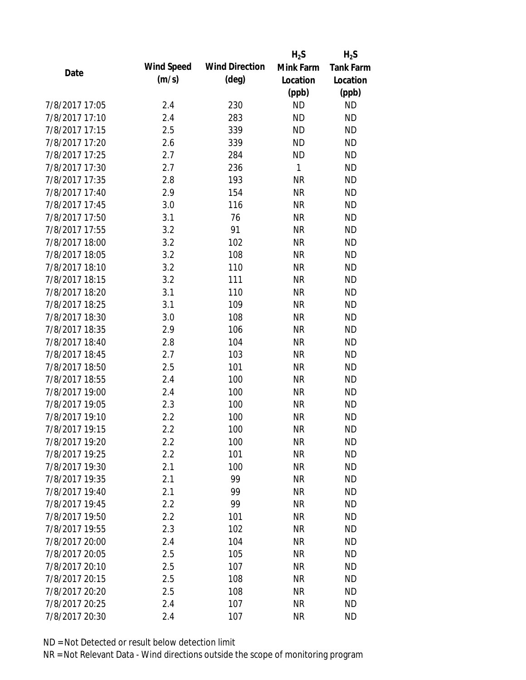|                |                   |                       | $H_2S$    | $H_2S$           |
|----------------|-------------------|-----------------------|-----------|------------------|
| Date           | <b>Wind Speed</b> | <b>Wind Direction</b> | Mink Farm | <b>Tank Farm</b> |
|                | (m/s)             | $(\text{deg})$        | Location  | Location         |
|                |                   |                       | (ppb)     | (ppb)            |
| 7/8/2017 17:05 | 2.4               | 230                   | <b>ND</b> | <b>ND</b>        |
| 7/8/2017 17:10 | 2.4               | 283                   | <b>ND</b> | <b>ND</b>        |
| 7/8/2017 17:15 | 2.5               | 339                   | <b>ND</b> | <b>ND</b>        |
| 7/8/2017 17:20 | 2.6               | 339                   | <b>ND</b> | <b>ND</b>        |
| 7/8/2017 17:25 | 2.7               | 284                   | <b>ND</b> | <b>ND</b>        |
| 7/8/2017 17:30 | 2.7               | 236                   | 1         | <b>ND</b>        |
| 7/8/2017 17:35 | 2.8               | 193                   | <b>NR</b> | <b>ND</b>        |
| 7/8/2017 17:40 | 2.9               | 154                   | <b>NR</b> | <b>ND</b>        |
| 7/8/2017 17:45 | 3.0               | 116                   | <b>NR</b> | <b>ND</b>        |
| 7/8/2017 17:50 | 3.1               | 76                    | <b>NR</b> | <b>ND</b>        |
| 7/8/2017 17:55 | 3.2               | 91                    | <b>NR</b> | <b>ND</b>        |
| 7/8/2017 18:00 | 3.2               | 102                   | <b>NR</b> | <b>ND</b>        |
| 7/8/2017 18:05 | 3.2               | 108                   | <b>NR</b> | <b>ND</b>        |
| 7/8/2017 18:10 | 3.2               | 110                   | <b>NR</b> | <b>ND</b>        |
| 7/8/2017 18:15 | 3.2               | 111                   | <b>NR</b> | <b>ND</b>        |
| 7/8/2017 18:20 | 3.1               | 110                   | <b>NR</b> | <b>ND</b>        |
| 7/8/2017 18:25 | 3.1               | 109                   | <b>NR</b> | <b>ND</b>        |
| 7/8/2017 18:30 | 3.0               | 108                   | <b>NR</b> | <b>ND</b>        |
| 7/8/2017 18:35 | 2.9               | 106                   | <b>NR</b> | <b>ND</b>        |
| 7/8/2017 18:40 | 2.8               | 104                   | <b>NR</b> | <b>ND</b>        |
| 7/8/2017 18:45 | 2.7               | 103                   | <b>NR</b> | <b>ND</b>        |
| 7/8/2017 18:50 | 2.5               | 101                   | <b>NR</b> | <b>ND</b>        |
| 7/8/2017 18:55 | 2.4               | 100                   | <b>NR</b> | <b>ND</b>        |
| 7/8/2017 19:00 | 2.4               | 100                   | <b>NR</b> | <b>ND</b>        |
| 7/8/2017 19:05 | 2.3               | 100                   | <b>NR</b> | <b>ND</b>        |
| 7/8/2017 19:10 | 2.2               | 100                   | <b>NR</b> | <b>ND</b>        |
| 7/8/2017 19:15 | 2.2               | 100                   | <b>NR</b> | <b>ND</b>        |
| 7/8/2017 19:20 | 2.2               | 100                   | <b>NR</b> | <b>ND</b>        |
| 7/8/2017 19:25 | 2.2               | 101                   | <b>NR</b> | <b>ND</b>        |
| 7/8/2017 19:30 | 2.1               | 100                   | <b>NR</b> | <b>ND</b>        |
| 7/8/2017 19:35 | 2.1               | 99                    | <b>NR</b> | <b>ND</b>        |
| 7/8/2017 19:40 | 2.1               | 99                    | <b>NR</b> | <b>ND</b>        |
| 7/8/2017 19:45 | 2.2               | 99                    | <b>NR</b> | <b>ND</b>        |
| 7/8/2017 19:50 | 2.2               | 101                   | <b>NR</b> | <b>ND</b>        |
| 7/8/2017 19:55 | 2.3               | 102                   | <b>NR</b> | <b>ND</b>        |
| 7/8/2017 20:00 | 2.4               | 104                   | <b>NR</b> | <b>ND</b>        |
| 7/8/2017 20:05 | 2.5               | 105                   | <b>NR</b> | <b>ND</b>        |
| 7/8/2017 20:10 | 2.5               | 107                   | <b>NR</b> | <b>ND</b>        |
| 7/8/2017 20:15 | 2.5               | 108                   | <b>NR</b> | <b>ND</b>        |
| 7/8/2017 20:20 | 2.5               | 108                   | ΝR        | <b>ND</b>        |
| 7/8/2017 20:25 | 2.4               | 107                   | <b>NR</b> | <b>ND</b>        |
| 7/8/2017 20:30 | 2.4               | 107                   | <b>NR</b> | <b>ND</b>        |
|                |                   |                       |           |                  |